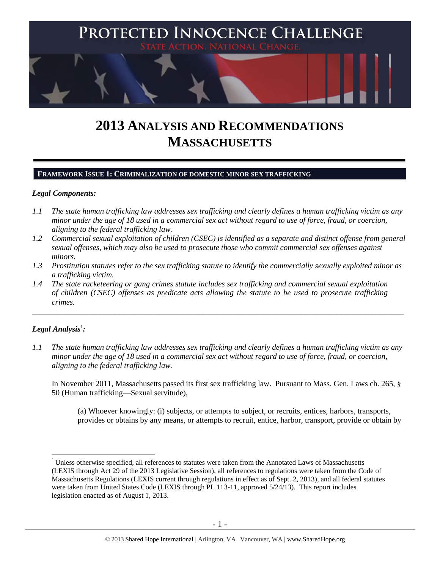

# **2013 ANALYSIS AND RECOMMENDATIONS MASSACHUSETTS**

## **FRAMEWORK ISSUE 1: CRIMINALIZATION OF DOMESTIC MINOR SEX TRAFFICKING**

#### *Legal Components:*

- *1.1 The state human trafficking law addresses sex trafficking and clearly defines a human trafficking victim as any minor under the age of 18 used in a commercial sex act without regard to use of force, fraud, or coercion, aligning to the federal trafficking law.*
- *1.2 Commercial sexual exploitation of children (CSEC) is identified as a separate and distinct offense from general sexual offenses, which may also be used to prosecute those who commit commercial sex offenses against minors.*
- *1.3 Prostitution statutes refer to the sex trafficking statute to identify the commercially sexually exploited minor as a trafficking victim.*

\_\_\_\_\_\_\_\_\_\_\_\_\_\_\_\_\_\_\_\_\_\_\_\_\_\_\_\_\_\_\_\_\_\_\_\_\_\_\_\_\_\_\_\_\_\_\_\_\_\_\_\_\_\_\_\_\_\_\_\_\_\_\_\_\_\_\_\_\_\_\_\_\_\_\_\_\_\_\_\_\_\_\_\_\_\_\_\_\_\_\_\_\_\_

*1.4 The state racketeering or gang crimes statute includes sex trafficking and commercial sexual exploitation of children (CSEC) offenses as predicate acts allowing the statute to be used to prosecute trafficking crimes.* 

# $\bm{L}$ egal Analysis $^1$ :

 $\overline{a}$ 

*1.1 The state human trafficking law addresses sex trafficking and clearly defines a human trafficking victim as any minor under the age of 18 used in a commercial sex act without regard to use of force, fraud, or coercion, aligning to the federal trafficking law.*

In November 2011, Massachusetts passed its first sex trafficking law. Pursuant to Mass. Gen. Laws ch. 265, § 50 (Human trafficking—Sexual servitude),

(a) Whoever knowingly: (i) subjects, or attempts to subject, or recruits, entices, harbors, transports, provides or obtains by any means, or attempts to recruit, entice, harbor, transport, provide or obtain by

<sup>&</sup>lt;sup>1</sup> Unless otherwise specified, all references to statutes were taken from the Annotated Laws of Massachusetts (LEXIS through Act 29 of the 2013 Legislative Session), all references to regulations were taken from the Code of Massachusetts Regulations (LEXIS current through regulations in effect as of Sept. 2, 2013), and all federal statutes were taken from United States Code (LEXIS through PL 113-11, approved 5/24/13). This report includes legislation enacted as of August 1, 2013.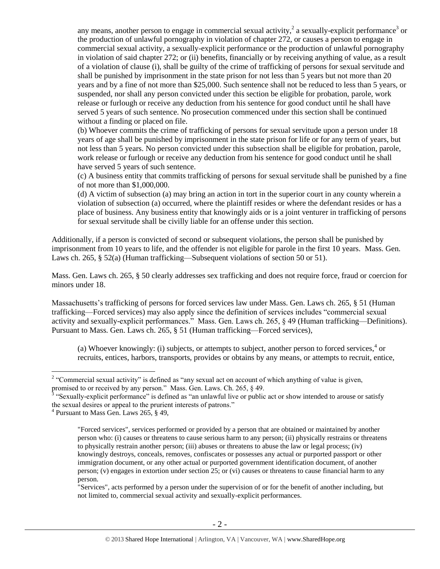any means, another person to engage in commercial sexual activity,  $2$  a sexually-explicit performance<sup>3</sup> or the production of unlawful pornography in violation of chapter 272, or causes a person to engage in commercial sexual activity, a sexually-explicit performance or the production of unlawful pornography in violation of said chapter 272; or (ii) benefits, financially or by receiving anything of value, as a result of a violation of clause (i), shall be guilty of the crime of trafficking of persons for sexual servitude and shall be punished by imprisonment in the state prison for not less than 5 years but not more than 20 years and by a fine of not more than \$25,000. Such sentence shall not be reduced to less than 5 years, or suspended, nor shall any person convicted under this section be eligible for probation, parole, work release or furlough or receive any deduction from his sentence for good conduct until he shall have served 5 years of such sentence. No prosecution commenced under this section shall be continued without a finding or placed on file.

(b) Whoever commits the crime of trafficking of persons for sexual servitude upon a person under 18 years of age shall be punished by imprisonment in the state prison for life or for any term of years, but not less than 5 years. No person convicted under this subsection shall be eligible for probation, parole, work release or furlough or receive any deduction from his sentence for good conduct until he shall have served 5 years of such sentence.

(c) A business entity that commits trafficking of persons for sexual servitude shall be punished by a fine of not more than \$1,000,000.

(d) A victim of subsection (a) may bring an action in tort in the superior court in any county wherein a violation of subsection (a) occurred, where the plaintiff resides or where the defendant resides or has a place of business. Any business entity that knowingly aids or is a joint venturer in trafficking of persons for sexual servitude shall be civilly liable for an offense under this section.

Additionally, if a person is convicted of second or subsequent violations, the person shall be punished by imprisonment from 10 years to life, and the offender is not eligible for parole in the first 10 years. Mass. Gen. Laws ch. 265, § 52(a) (Human trafficking—Subsequent violations of section 50 or 51).

Mass. Gen. Laws ch. 265, § 50 clearly addresses sex trafficking and does not require force, fraud or coercion for minors under 18.

Massachusetts's trafficking of persons for forced services law under Mass. Gen. Laws ch. 265, § 51 (Human trafficking—Forced services) may also apply since the definition of services includes "commercial sexual activity and sexually-explicit performances." Mass. Gen. Laws ch. 265, § 49 (Human trafficking—Definitions). Pursuant to Mass. Gen. Laws ch. 265, § 51 (Human trafficking—Forced services),

(a) Whoever knowingly: (i) subjects, or attempts to subject, another person to forced services, $4$  or recruits, entices, harbors, transports, provides or obtains by any means, or attempts to recruit, entice,

 $\overline{a}$ 

"Services", acts performed by a person under the supervision of or for the benefit of another including, but not limited to, commercial sexual activity and sexually-explicit performances.

<sup>&</sup>lt;sup>2</sup> "Commercial sexual activity" is defined as "any sexual act on account of which anything of value is given,

promised to or received by any person." Mass. Gen. Laws. Ch. 265, § 49.<br><sup>3</sup> "Sexually-explicit performance" is defined as "an unlawful live or public act or show intended to arouse or satisfy the sexual desires or appeal to the prurient interests of patrons."

<sup>4</sup> Pursuant to Mass Gen. Laws 265, § 49,

<sup>&</sup>quot;Forced services", services performed or provided by a person that are obtained or maintained by another person who: (i) causes or threatens to cause serious harm to any person; (ii) physically restrains or threatens to physically restrain another person; (iii) abuses or threatens to abuse the law or legal process; (iv) knowingly destroys, conceals, removes, confiscates or possesses any actual or purported passport or other immigration document, or any other actual or purported government identification document, of another person; (v) engages in extortion under section 25; or (vi) causes or threatens to cause financial harm to any person.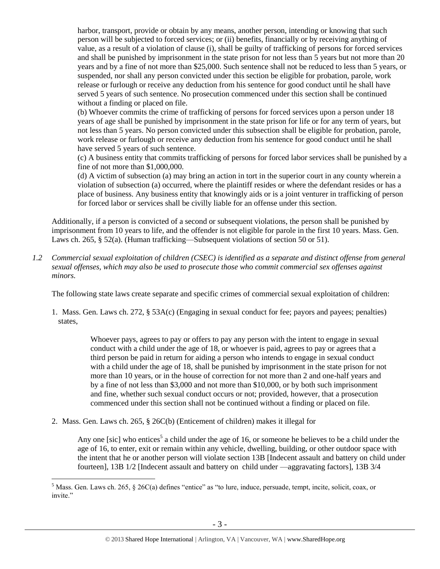harbor, transport, provide or obtain by any means, another person, intending or knowing that such person will be subjected to forced services; or (ii) benefits, financially or by receiving anything of value, as a result of a violation of clause (i), shall be guilty of trafficking of persons for forced services and shall be punished by imprisonment in the state prison for not less than 5 years but not more than 20 years and by a fine of not more than \$25,000. Such sentence shall not be reduced to less than 5 years, or suspended, nor shall any person convicted under this section be eligible for probation, parole, work release or furlough or receive any deduction from his sentence for good conduct until he shall have served 5 years of such sentence. No prosecution commenced under this section shall be continued without a finding or placed on file.

(b) Whoever commits the crime of trafficking of persons for forced services upon a person under 18 years of age shall be punished by imprisonment in the state prison for life or for any term of years, but not less than 5 years. No person convicted under this subsection shall be eligible for probation, parole, work release or furlough or receive any deduction from his sentence for good conduct until he shall have served 5 years of such sentence.

(c) A business entity that commits trafficking of persons for forced labor services shall be punished by a fine of not more than \$1,000,000.

(d) A victim of subsection (a) may bring an action in tort in the superior court in any county wherein a violation of subsection (a) occurred, where the plaintiff resides or where the defendant resides or has a place of business. Any business entity that knowingly aids or is a joint venturer in trafficking of person for forced labor or services shall be civilly liable for an offense under this section.

Additionally, if a person is convicted of a second or subsequent violations, the person shall be punished by imprisonment from 10 years to life, and the offender is not eligible for parole in the first 10 years. Mass. Gen. Laws ch. 265, § 52(a). (Human trafficking—Subsequent violations of section 50 or 51).

*1.2 Commercial sexual exploitation of children (CSEC) is identified as a separate and distinct offense from general sexual offenses, which may also be used to prosecute those who commit commercial sex offenses against minors.*

The following state laws create separate and specific crimes of commercial sexual exploitation of children:

1. Mass. Gen. Laws ch. 272, § 53A(c) (Engaging in sexual conduct for fee; payors and payees; penalties) states,

> Whoever pays, agrees to pay or offers to pay any person with the intent to engage in sexual conduct with a child under the age of 18, or whoever is paid, agrees to pay or agrees that a third person be paid in return for aiding a person who intends to engage in sexual conduct with a child under the age of 18, shall be punished by imprisonment in the state prison for not more than 10 years, or in the house of correction for not more than 2 and one-half years and by a fine of not less than \$3,000 and not more than \$10,000, or by both such imprisonment and fine, whether such sexual conduct occurs or not; provided, however, that a prosecution commenced under this section shall not be continued without a finding or placed on file.

2. Mass. Gen. Laws ch. 265, § 26C(b) (Enticement of children) makes it illegal for

 $\overline{a}$ 

<span id="page-2-0"></span>Any one [sic] who entices<sup>5</sup> a child under the age of 16, or someone he believes to be a child under the age of 16, to enter, exit or remain within any vehicle, dwelling, building, or other outdoor space with the intent that he or another person will violate section 13B [Indecent assault and battery on child under fourteen], 13B 1/2 [Indecent assault and battery on child under —aggravating factors], 13B 3/4

<sup>&</sup>lt;sup>5</sup> Mass. Gen. Laws ch. 265, § 26C(a) defines "entice" as "to lure, induce, persuade, tempt, incite, solicit, coax, or invite."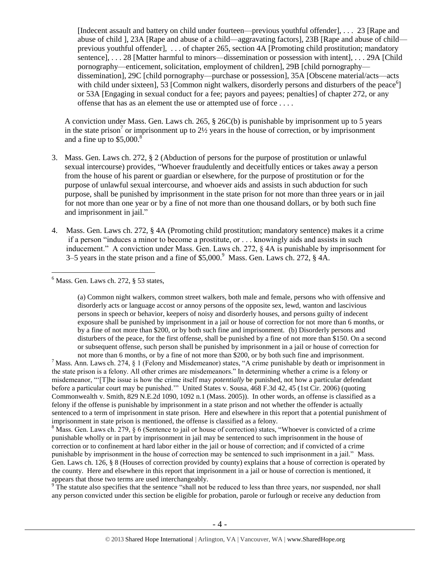[Indecent assault and battery on child under fourteen—previous youthful offender], . . . 23 [Rape and abuse of child ], 23A [Rape and abuse of a child—aggravating factors], 23B [Rape and abuse of child previous youthful offender], . . . of chapter 265, section 4A [Promoting child prostitution; mandatory sentence], . . . 28 [Matter harmful to minors—dissemination or possession with intent], . . . 29A [Child] pornography—enticement, solicitation, employment of children], 29B [child pornography dissemination], 29C [child pornography—purchase or possession], 35A [Obscene material/acts—acts with child under sixteen],  $\overline{53}$  [Common night walkers, disorderly persons and disturbers of the peace<sup>6</sup>] or 53A [Engaging in sexual conduct for a fee; payors and payees; penalties] of chapter 272, or any offense that has as an element the use or attempted use of force . . . .

A conviction under Mass. Gen. Laws ch. 265, § 26C(b) is punishable by imprisonment up to 5 years in the state prison<sup>7</sup> or imprisonment up to  $2\frac{1}{2}$  years in the house of correction, or by imprisonment and a fine up to  $$5,000$ .<sup>8</sup>

- 3. Mass. Gen. Laws ch. 272, § 2 (Abduction of persons for the purpose of prostitution or unlawful sexual intercourse) provides, "Whoever fraudulently and deceitfully entices or takes away a person from the house of his parent or guardian or elsewhere, for the purpose of prostitution or for the purpose of unlawful sexual intercourse, and whoever aids and assists in such abduction for such purpose, shall be punished by imprisonment in the state prison for not more than three years or in jail for not more than one year or by a fine of not more than one thousand dollars, or by both such fine and imprisonment in jail."
- 4. Mass. Gen. Laws ch. 272, § 4A (Promoting child prostitution; mandatory sentence) makes it a crime if a person "induces a minor to become a prostitute, or . . . knowingly aids and assists in such inducement." A conviction under Mass. Gen. Laws ch. 272, § 4A is punishable by imprisonment for 3–5 years in the state prison and a fine of  $$5,000$ . Mass. Gen. Laws ch. 272,  $§$  4A.

 $\overline{a}$  $<sup>6</sup>$  Mass. Gen. Laws ch. 272,  $§$  53 states,</sup>

> (a) Common night walkers, common street walkers, both male and female, persons who with offensive and disorderly acts or language accost or annoy persons of the opposite sex, lewd, wanton and lascivious persons in speech or behavior, keepers of noisy and disorderly houses, and persons guilty of indecent exposure shall be punished by imprisonment in a jail or house of correction for not more than 6 months, or by a fine of not more than \$200, or by both such fine and imprisonment. (b) Disorderly persons and disturbers of the peace, for the first offense, shall be punished by a fine of not more than \$150. On a second or subsequent offense, such person shall be punished by imprisonment in a jail or house of correction for not more than 6 months, or by a fine of not more than \$200, or by both such fine and imprisonment.

<sup>7</sup> Mass. Ann. Laws ch. 274, § 1 (Felony and Misdemeanor) states, "A crime punishable by death or imprisonment in the state prison is a felony. All other crimes are misdemeanors." In determining whether a crime is a felony or misdemeanor, "'[T]he issue is how the crime itself may *potentially* be punished, not how a particular defendant before a particular court may be punished.'"United States v. Sousa, 468 F.3d 42, 45 (1st Cir. 2006) (quoting Commonwealth v. Smith, 829 N.E.2d 1090, 1092 n.1 (Mass. 2005)). In other words, an offense is classified as a felony if the offense is punishable by imprisonment in a state prison and not whether the offender is actually sentenced to a term of imprisonment in state prison. Here and elsewhere in this report that a potential punishment of imprisonment in state prison is mentioned, the offense is classified as a felony.

 $8$  Mass. Gen. Laws ch. 279,  $\S 6$  (Sentence to jail or house of correction) states, "Whoever is convicted of a crime punishable wholly or in part by imprisonment in jail may be sentenced to such imprisonment in the house of correction or to confinement at hard labor either in the jail or house of correction; and if convicted of a crime punishable by imprisonment in the house of correction may be sentenced to such imprisonment in a jail." Mass. Gen. Laws ch. 126, § 8 (Houses of correction provided by county) explains that a house of correction is operated by the county. Here and elsewhere in this report that imprisonment in a jail or house of correction is mentioned, it appears that those two terms are used interchangeably.

<sup>9</sup>The statute also specifies that the sentence "shall not be reduced to less than three years, nor suspended, nor shall any person convicted under this section be eligible for probation, parole or furlough or receive any deduction from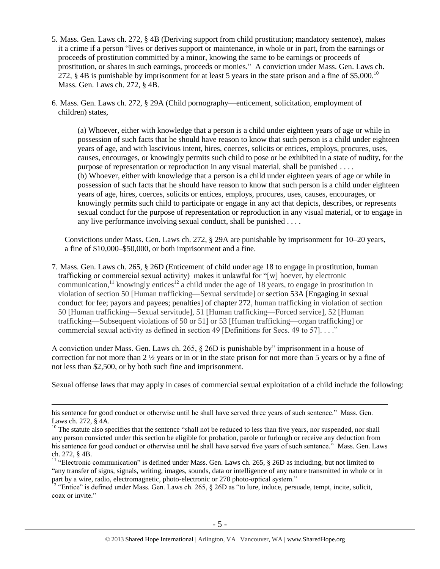- 5. Mass. Gen. Laws ch. 272, § 4B (Deriving support from child prostitution; mandatory sentence), makes it a crime if a person "lives or derives support or maintenance, in whole or in part, from the earnings or proceeds of prostitution committed by a minor, knowing the same to be earnings or proceeds of prostitution, or shares in such earnings, proceeds or monies." A conviction under Mass. Gen. Laws ch. 272,  $\S$  4B is punishable by imprisonment for at least 5 years in the state prison and a fine of  $\S$ 5,000.<sup>10</sup> Mass. Gen. Laws ch. 272, § 4B.
- 6. Mass. Gen. Laws ch. 272, § 29A (Child pornography—enticement, solicitation, employment of children) states,

(a) Whoever, either with knowledge that a person is a child under eighteen years of age or while in possession of such facts that he should have reason to know that such person is a child under eighteen years of age, and with lascivious intent, hires, coerces, solicits or entices, employs, procures, uses, causes, encourages, or knowingly permits such child to pose or be exhibited in a state of nudity, for the purpose of representation or reproduction in any visual material, shall be punished . . . . (b) Whoever, either with knowledge that a person is a child under eighteen years of age or while in possession of such facts that he should have reason to know that such person is a child under eighteen years of age, hires, coerces, solicits or entices, employs, procures, uses, causes, encourages, or knowingly permits such child to participate or engage in any act that depicts, describes, or represents sexual conduct for the purpose of representation or reproduction in any visual material, or to engage in any live performance involving sexual conduct, shall be punished . . . .

Convictions under Mass. Gen. Laws ch. 272, § 29A are punishable by imprisonment for 10–20 years, a fine of \$10,000–\$50,000, or both imprisonment and a fine.

7. Mass. Gen. Laws ch. 265, § 26D (Enticement of child under age 18 to engage in prostitution, human trafficking or commercial sexual activity) makes it unlawful for "[w] hoever, by electronic communication,<sup>11</sup> knowingly entices<sup>12</sup> a child under the age of 18 years, to engage in prostitution in violation of section 50 [Human trafficking—Sexual servitude] or section 53A [Engaging in sexual conduct for fee; payors and payees; penalties] of chapter 272, human trafficking in violation of section 50 [Human trafficking—Sexual servitude], 51 [Human trafficking—Forced service], 52 [Human trafficking—Subsequent violations of 50 or 51] or 53 [Human trafficking—organ trafficking] or commercial sexual activity as defined in section 49 [Definitions for Secs. 49 to 57].......

A conviction under Mass. Gen. Laws ch. 265, § 26D is punishable by" imprisonment in a house of correction for not more than 2 ½ years or in or in the state prison for not more than 5 years or by a fine of not less than \$2,500, or by both such fine and imprisonment.

Sexual offense laws that may apply in cases of commercial sexual exploitation of a child include the following:

 $\overline{a}$ 

<sup>12</sup> "Entice" is defined under Mass. Gen. Laws ch. 265,  $\S$  26D as "to lure, induce, persuade, tempt, incite, solicit, coax or invite."

his sentence for good conduct or otherwise until he shall have served three years of such sentence." Mass. Gen. Laws ch. 272, § 4A.

<sup>&</sup>lt;sup>10</sup> The statute also specifies that the sentence "shall not be reduced to less than five years, nor suspended, nor shall any person convicted under this section be eligible for probation, parole or furlough or receive any deduction from his sentence for good conduct or otherwise until he shall have served five years of such sentence." Mass. Gen. Laws ch. 272, § 4B.

<sup>&</sup>lt;sup>11</sup> "Electronic communication" is defined under Mass. Gen. Laws ch. 265, § 26D as including, but not limited to "any transfer of signs, signals, writing, images, sounds, data or intelligence of any nature transmitted in whole or in part by a wire, radio, electromagnetic, photo-electronic or 270 photo-optical system."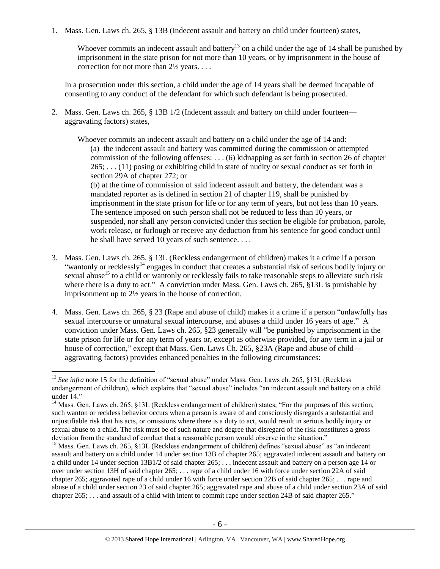1. Mass. Gen. Laws ch. 265, § 13B (Indecent assault and battery on child under fourteen) states,

Whoever commits an indecent assault and battery<sup>13</sup> on a child under the age of 14 shall be punished by imprisonment in the state prison for not more than 10 years, or by imprisonment in the house of correction for not more than 2½ years. . . .

In a prosecution under this section, a child under the age of 14 years shall be deemed incapable of consenting to any conduct of the defendant for which such defendant is being prosecuted.

2. Mass. Gen. Laws ch. 265, § 13B 1/2 (Indecent assault and battery on child under fourteen aggravating factors) states,

Whoever commits an indecent assault and battery on a child under the age of 14 and: (a) the indecent assault and battery was committed during the commission or attempted commission of the following offenses: . . . (6) kidnapping as set forth in [section 26 of chapter](https://www.lexis.com/research/buttonTFLink?_m=8378ebcba54bab51be39e9308c539334&_xfercite=%3ccite%20cc%3d%22USA%22%3e%3c%21%5bCDATA%5bALM%20GL%20ch.%20265%2c%20%a7%2013B1%2f2%5d%5d%3e%3c%2fcite%3e&_butType=4&_butStat=0&_butNum=7&_butInline=1&_butinfo=MACODE%20265%2026&_fmtstr=FULL&docnum=1&_startdoc=1&wchp=dGLzVzV-zSkAA&_md5=21ba39cb29b4c0f837ad361861d47ea3)   $265$ ; . . . (11) posing or exhibiting child in state of nudity or sexual conduct as set forth in [section 29A of chapter 272;](https://www.lexis.com/research/buttonTFLink?_m=8378ebcba54bab51be39e9308c539334&_xfercite=%3ccite%20cc%3d%22USA%22%3e%3c%21%5bCDATA%5bALM%20GL%20ch.%20265%2c%20%a7%2013B1%2f2%5d%5d%3e%3c%2fcite%3e&_butType=4&_butStat=0&_butNum=12&_butInline=1&_butinfo=MACODE%20272%2029A&_fmtstr=FULL&docnum=1&_startdoc=1&wchp=dGLzVzV-zSkAA&_md5=5c7d23950a2e1a720754511c5cc83006) or

(b) at the time of commission of said indecent assault and battery, the defendant was a mandated reporter as is defined in [section 21 of chapter 119,](https://www.lexis.com/research/buttonTFLink?_m=8378ebcba54bab51be39e9308c539334&_xfercite=%3ccite%20cc%3d%22USA%22%3e%3c%21%5bCDATA%5bALM%20GL%20ch.%20265%2c%20%a7%2013B1%2f2%5d%5d%3e%3c%2fcite%3e&_butType=4&_butStat=0&_butNum=13&_butInline=1&_butinfo=MACODE%20119%2021&_fmtstr=FULL&docnum=1&_startdoc=1&wchp=dGLzVzV-zSkAA&_md5=6d2dc8482bb7444b67dc63849e69242a) shall be punished by imprisonment in the state prison for life or for any term of years, but not less than 10 years. The sentence imposed on such person shall not be reduced to less than 10 years, or suspended, nor shall any person convicted under this section be eligible for probation, parole, work release, or furlough or receive any deduction from his sentence for good conduct until he shall have served 10 years of such sentence. . . .

- <span id="page-5-0"></span>3. Mass. Gen. Laws ch. 265, § 13L (Reckless endangerment of children) makes it a crime if a person "wantonly or recklessly<sup>14</sup> engages in conduct that creates a substantial risk of serious bodily injury or sexual abuse<sup>15</sup> to a child or wantonly or recklessly fails to take reasonable steps to alleviate such risk where there is a duty to act." A conviction under Mass. Gen. Laws ch. 265, §13L is punishable by imprisonment up to 2½ years in the house of correction.
- 4. Mass. Gen. Laws ch. 265, § 23 (Rape and abuse of child) makes it a crime if a person "unlawfully has sexual intercourse or unnatural sexual intercourse, and abuses a child under 16 years of age." A conviction under Mass. Gen. Laws ch. 265, §23 generally will "be punished by imprisonment in the state prison for life or for any term of years or, except as otherwise provided, for any term in a jail or house of correction," except that Mass. Gen. Laws Ch. 265, §23A (Rape and abuse of child aggravating factors) provides enhanced penalties in the following circumstances:

<sup>&</sup>lt;sup>13</sup> See infra note [15](#page-5-0) for the definition of "sexual abuse" under Mass. Gen. Laws ch. 265, §13L (Reckless endangerment of children), which explains that "sexual abuse" includes "an indecent assault and battery on a child under 14."

<sup>&</sup>lt;sup>14</sup> Mass. Gen. Laws ch. 265, §13L (Reckless endangerment of children) states, "For the purposes of this section, such wanton or reckless behavior occurs when a person is aware of and consciously disregards a substantial and unjustifiable risk that his acts, or omissions where there is a duty to act, would result in serious bodily injury or sexual abuse to a child. The risk must be of such nature and degree that disregard of the risk constitutes a gross deviation from the standard of conduct that a reasonable person would observe in the situation."

<sup>&</sup>lt;sup>15</sup> Mass. Gen. Laws ch. 265, §13L (Reckless endangerment of children) defines "sexual abuse" as "an indecent assault and battery on a child under 14 under [section 13B of chapter 265;](https://www.lexis.com/research/buttonTFLink?_m=8feec5767fa1b7399637bee2c26b0983&_xfercite=%3ccite%20cc%3d%22USA%22%3e%3c%21%5bCDATA%5bALM%20GL%20ch.%20265%2c%20%a7%2013L%5d%5d%3e%3c%2fcite%3e&_butType=4&_butStat=0&_butNum=2&_butInline=1&_butinfo=MACODE%20265%2013B&_fmtstr=FULL&docnum=1&_startdoc=1&wchp=dGLzVzB-zSkAl&_md5=a57a0e30bd41a2b57051961a40d228f1) aggravated indecent assault and battery on a child under 14 under [section 13B1/2 of said chapter 265;](https://www.lexis.com/research/buttonTFLink?_m=8feec5767fa1b7399637bee2c26b0983&_xfercite=%3ccite%20cc%3d%22USA%22%3e%3c%21%5bCDATA%5bALM%20GL%20ch.%20265%2c%20%a7%2013L%5d%5d%3e%3c%2fcite%3e&_butType=4&_butStat=0&_butNum=3&_butInline=1&_butinfo=MACODE%20265%2013B1%2f2&_fmtstr=FULL&docnum=1&_startdoc=1&wchp=dGLzVzB-zSkAl&_md5=8ccbb654d94eb994e58a4788f9ad1ef3) . . . indecent assault and battery on a person age 14 or over under [section 13H of said chapter 265;](https://www.lexis.com/research/buttonTFLink?_m=8feec5767fa1b7399637bee2c26b0983&_xfercite=%3ccite%20cc%3d%22USA%22%3e%3c%21%5bCDATA%5bALM%20GL%20ch.%20265%2c%20%a7%2013L%5d%5d%3e%3c%2fcite%3e&_butType=4&_butStat=0&_butNum=5&_butInline=1&_butinfo=MACODE%20265%2013H&_fmtstr=FULL&docnum=1&_startdoc=1&wchp=dGLzVzB-zSkAl&_md5=59fb5d8646e5a6b779c48d21ee461b30) . . . rape of a child under 16 with force under [section 22A of said](https://www.lexis.com/research/buttonTFLink?_m=8feec5767fa1b7399637bee2c26b0983&_xfercite=%3ccite%20cc%3d%22USA%22%3e%3c%21%5bCDATA%5bALM%20GL%20ch.%20265%2c%20%a7%2013L%5d%5d%3e%3c%2fcite%3e&_butType=4&_butStat=0&_butNum=7&_butInline=1&_butinfo=MACODE%20265%2022A&_fmtstr=FULL&docnum=1&_startdoc=1&wchp=dGLzVzB-zSkAl&_md5=056a4d689170268d8755fc2f315f024b)  [chapter 265;](https://www.lexis.com/research/buttonTFLink?_m=8feec5767fa1b7399637bee2c26b0983&_xfercite=%3ccite%20cc%3d%22USA%22%3e%3c%21%5bCDATA%5bALM%20GL%20ch.%20265%2c%20%a7%2013L%5d%5d%3e%3c%2fcite%3e&_butType=4&_butStat=0&_butNum=7&_butInline=1&_butinfo=MACODE%20265%2022A&_fmtstr=FULL&docnum=1&_startdoc=1&wchp=dGLzVzB-zSkAl&_md5=056a4d689170268d8755fc2f315f024b) aggravated rape of a child under 16 with force under [section 22B of said chapter 265;](https://www.lexis.com/research/buttonTFLink?_m=8feec5767fa1b7399637bee2c26b0983&_xfercite=%3ccite%20cc%3d%22USA%22%3e%3c%21%5bCDATA%5bALM%20GL%20ch.%20265%2c%20%a7%2013L%5d%5d%3e%3c%2fcite%3e&_butType=4&_butStat=0&_butNum=8&_butInline=1&_butinfo=MACODE%20265%2022B&_fmtstr=FULL&docnum=1&_startdoc=1&wchp=dGLzVzB-zSkAl&_md5=15eaa77d4e6b3940ed3df7ec96eeb6b2) . . . rape and abuse of a child under [section 23 of said chapter 265;](https://www.lexis.com/research/buttonTFLink?_m=8feec5767fa1b7399637bee2c26b0983&_xfercite=%3ccite%20cc%3d%22USA%22%3e%3c%21%5bCDATA%5bALM%20GL%20ch.%20265%2c%20%a7%2013L%5d%5d%3e%3c%2fcite%3e&_butType=4&_butStat=0&_butNum=10&_butInline=1&_butinfo=MACODE%20265%2023&_fmtstr=FULL&docnum=1&_startdoc=1&wchp=dGLzVzB-zSkAl&_md5=33b3fc652f708548088daef9fdb86605) aggravated rape and abuse of a child under [section 23A of said](https://www.lexis.com/research/buttonTFLink?_m=8feec5767fa1b7399637bee2c26b0983&_xfercite=%3ccite%20cc%3d%22USA%22%3e%3c%21%5bCDATA%5bALM%20GL%20ch.%20265%2c%20%a7%2013L%5d%5d%3e%3c%2fcite%3e&_butType=4&_butStat=0&_butNum=11&_butInline=1&_butinfo=MACODE%20265%2023A&_fmtstr=FULL&docnum=1&_startdoc=1&wchp=dGLzVzB-zSkAl&_md5=eafe50a72138b05532a7c2f052b26960)  [chapter 265;](https://www.lexis.com/research/buttonTFLink?_m=8feec5767fa1b7399637bee2c26b0983&_xfercite=%3ccite%20cc%3d%22USA%22%3e%3c%21%5bCDATA%5bALM%20GL%20ch.%20265%2c%20%a7%2013L%5d%5d%3e%3c%2fcite%3e&_butType=4&_butStat=0&_butNum=11&_butInline=1&_butinfo=MACODE%20265%2023A&_fmtstr=FULL&docnum=1&_startdoc=1&wchp=dGLzVzB-zSkAl&_md5=eafe50a72138b05532a7c2f052b26960) . . . and assault of a child with intent to commit rape under [section 24B of said chapter 265.](https://www.lexis.com/research/buttonTFLink?_m=8feec5767fa1b7399637bee2c26b0983&_xfercite=%3ccite%20cc%3d%22USA%22%3e%3c%21%5bCDATA%5bALM%20GL%20ch.%20265%2c%20%a7%2013L%5d%5d%3e%3c%2fcite%3e&_butType=4&_butStat=0&_butNum=14&_butInline=1&_butinfo=MACODE%20265%2024B&_fmtstr=FULL&docnum=1&_startdoc=1&wchp=dGLzVzB-zSkAl&_md5=8ce0fe61a974b8ce7b43d5a658f0c962)"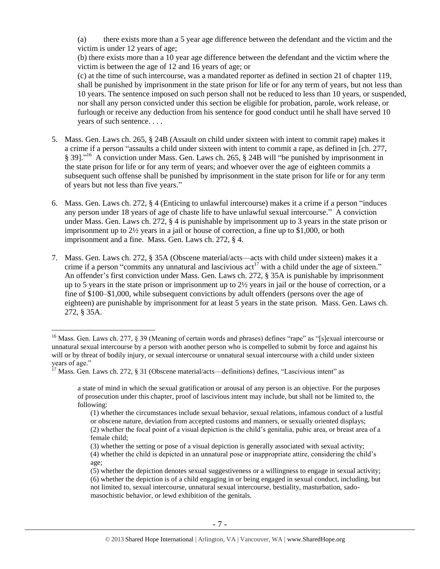(a) there exists more than a 5 year age difference between the defendant and the victim and the victim is under 12 years of age;

(b) there exists more than a 10 year age difference between the defendant and the victim where the victim is between the age of 12 and 16 years of age; or

(c) at the time of such intercourse, was a mandated reporter as defined in [section 21 of chapter 119,](https://www.lexis.com/research/buttonTFLink?_m=0c93665d56f2d939e64be662aa3dcd45&_xfercite=%3ccite%20cc%3d%22USA%22%3e%3c%21%5bCDATA%5bALM%20GL%20ch.%20265%2c%20%a7%2023A%5d%5d%3e%3c%2fcite%3e&_butType=4&_butStat=0&_butNum=2&_butInline=1&_butinfo=MACODE%20119%2021&_fmtstr=FULL&docnum=1&_startdoc=1&wchp=dGLzVzB-zSkAl&_md5=2918768be60ba0f93f8906240455a5dc) shall be punished by imprisonment in the state prison for life or for any term of years, but not less than 10 years. The sentence imposed on such person shall not be reduced to less than 10 years, or suspended, nor shall any person convicted under this section be eligible for probation, parole, work release, or furlough or receive any deduction from his sentence for good conduct until he shall have served 10 years of such sentence. . . .

- 5. Mass. Gen. Laws ch. 265, § 24B (Assault on child under sixteen with intent to commit rape) makes it a crime if a person "assaults a child under sixteen with intent to commit a rape, as defined in [ch. 277, § 39]."<sup>16</sup> A conviction under Mass. Gen. Laws ch. 265, § 24B will "be punished by imprisonment in the state prison for life or for any term of years; and whoever over the age of eighteen commits a subsequent such offense shall be punished by imprisonment in the state prison for life or for any term of years but not less than five years."
- 6. Mass. Gen. Laws ch. 272, § 4 (Enticing to unlawful intercourse) makes it a crime if a person "induces any person under 18 years of age of chaste life to have unlawful sexual intercourse." A conviction under Mass. Gen. Laws ch. 272, § 4 is punishable by imprisonment up to 3 years in the state prison or imprisonment up to 2½ years in a jail or house of correction, a fine up to \$1,000, or both imprisonment and a fine. Mass. Gen. Laws ch. 272, § 4.
- 7. Mass. Gen. Laws ch. 272, § 35A (Obscene material/acts—acts with child under sixteen) makes it a crime if a person "commits any unnatural and lascivious  $act<sup>17</sup>$  with a child under the age of sixteen." An offender's first conviction under Mass. Gen. Laws ch. 272, § 35A is punishable by imprisonment up to 5 years in the state prison or imprisonment up to 2½ years in jail or the house of correction, or a fine of \$100–\$1,000, while subsequent convictions by adult offenders (persons over the age of eighteen) are punishable by imprisonment for at least 5 years in the state prison. Mass. Gen. Laws ch. 272, § 35A.

<sup>&</sup>lt;sup>16</sup> Mass. Gen. Laws ch. 277, § 39 (Meaning of certain words and phrases) defines "rape" as "[s]exual intercourse or unnatural sexual intercourse by a person with another person who is compelled to submit by force and against his will or by threat of bodily injury, or sexual intercourse or unnatural sexual intercourse with a child under sixteen years of age."

 $17$  Mass. Gen. Laws ch. 272, § 31 (Obscene material/acts—definitions) defines, "Lascivious intent" as

a state of mind in which the sexual gratification or arousal of any person is an objective. For the purposes of prosecution under this chapter, proof of lascivious intent may include, but shall not be limited to, the following:

<sup>(1)</sup> whether the circumstances include sexual behavior, sexual relations, infamous conduct of a lustful or obscene nature, deviation from accepted customs and manners, or sexually oriented displays; (2) whether the focal point of a visual depiction is the child's genitalia, pubic area, or breast area of a female child;

<sup>(3)</sup> whether the setting or pose of a visual depiction is generally associated with sexual activity; (4) whether the child is depicted in an unnatural pose or inappropriate attire, considering the child's age;

<sup>(5)</sup> whether the depiction denotes sexual suggestiveness or a willingness to engage in sexual activity; (6) whether the depiction is of a child engaging in or being engaged in sexual conduct, including, but not limited to, sexual intercourse, unnatural sexual intercourse, bestiality, masturbation, sadomasochistic behavior, or lewd exhibition of the genitals.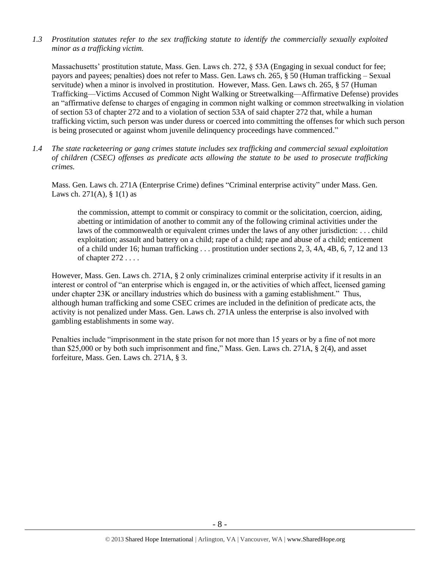*1.3 Prostitution statutes refer to the sex trafficking statute to identify the commercially sexually exploited minor as a trafficking victim.* 

Massachusetts' prostitution statute, Mass. Gen. Laws ch. 272, § 53A (Engaging in sexual conduct for fee; payors and payees; penalties) does not refer to Mass. Gen. Laws ch. 265, § 50 (Human trafficking – Sexual servitude) when a minor is involved in prostitution. However, Mass. Gen. Laws ch. 265, § 57 (Human Trafficking—Victims Accused of Common Night Walking or Streetwalking—Affirmative Defense) provides an "affirmative defense to charges of engaging in common night walking or common streetwalking in violation of section 53 of chapter 272 and to a violation of section 53A of said chapter 272 that, while a human trafficking victim, such person was under duress or coerced into committing the offenses for which such person is being prosecuted or against whom juvenile delinquency proceedings have commenced."

*1.4 The state racketeering or gang crimes statute includes sex trafficking and commercial sexual exploitation of children (CSEC) offenses as predicate acts allowing the statute to be used to prosecute trafficking crimes.* 

Mass. Gen. Laws ch. 271A (Enterprise Crime) defines "Criminal enterprise activity" under Mass. Gen. Laws ch. 271(A),  $\S$  1(1) as

the commission, attempt to commit or conspiracy to commit or the solicitation, coercion, aiding, abetting or intimidation of another to commit any of the following criminal activities under the laws of the commonwealth or equivalent crimes under the laws of any other jurisdiction: . . . child exploitation; assault and battery on a child; rape of a child; rape and abuse of a child; enticement of a child under 16; human trafficking . . . prostitution under sections 2, 3, 4A, 4B, 6, 7, 12 and 13 of chapter 272 . . . .

However, Mass. Gen. Laws ch. 271A, § 2 only criminalizes criminal enterprise activity if it results in an interest or control of "an enterprise which is engaged in, or the activities of which affect, licensed gaming under chapter 23K or ancillary industries which do business with a gaming establishment." Thus, although human trafficking and some CSEC crimes are included in the definition of predicate acts, the activity is not penalized under Mass. Gen. Laws ch. 271A unless the enterprise is also involved with gambling establishments in some way.

Penalties include "imprisonment in the state prison for not more than 15 years or by a fine of not more than \$25,000 or by both such imprisonment and fine," Mass. Gen. Laws ch. 271A, § 2(4), and asset forfeiture, Mass. Gen. Laws ch. 271A, § 3.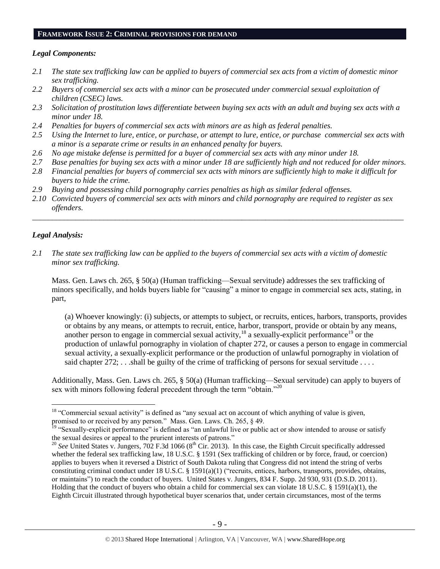#### **FRAMEWORK ISSUE 2: CRIMINAL PROVISIONS FOR DEMAND**

#### *Legal Components:*

- *2.1 The state sex trafficking law can be applied to buyers of commercial sex acts from a victim of domestic minor sex trafficking.*
- *2.2 Buyers of commercial sex acts with a minor can be prosecuted under commercial sexual exploitation of children (CSEC) laws.*
- *2.3 Solicitation of prostitution laws differentiate between buying sex acts with an adult and buying sex acts with a minor under 18.*
- *2.4 Penalties for buyers of commercial sex acts with minors are as high as federal penalties.*
- *2.5 Using the Internet to lure, entice, or purchase, or attempt to lure, entice, or purchase commercial sex acts with a minor is a separate crime or results in an enhanced penalty for buyers.*
- *2.6 No age mistake defense is permitted for a buyer of commercial sex acts with any minor under 18.*
- *2.7 Base penalties for buying sex acts with a minor under 18 are sufficiently high and not reduced for older minors.*
- *2.8 Financial penalties for buyers of commercial sex acts with minors are sufficiently high to make it difficult for buyers to hide the crime.*
- *2.9 Buying and possessing child pornography carries penalties as high as similar federal offenses.*
- *2.10 Convicted buyers of commercial sex acts with minors and child pornography are required to register as sex offenders.*

\_\_\_\_\_\_\_\_\_\_\_\_\_\_\_\_\_\_\_\_\_\_\_\_\_\_\_\_\_\_\_\_\_\_\_\_\_\_\_\_\_\_\_\_\_\_\_\_\_\_\_\_\_\_\_\_\_\_\_\_\_\_\_\_\_\_\_\_\_\_\_\_\_\_\_\_\_\_\_\_\_\_\_\_\_\_\_\_\_\_\_\_\_\_

# *Legal Analysis:*

 $\overline{a}$ 

*2.1 The state sex trafficking law can be applied to the buyers of commercial sex acts with a victim of domestic minor sex trafficking.*

Mass. Gen. Laws ch. 265, § 50(a) (Human trafficking—Sexual servitude) addresses the sex trafficking of minors specifically, and holds buyers liable for "causing" a minor to engage in commercial sex acts, stating, in part,

(a) Whoever knowingly: (i) subjects, or attempts to subject, or recruits, entices, harbors, transports, provides or obtains by any means, or attempts to recruit, entice, harbor, transport, provide or obtain by any means, another person to engage in commercial sexual activity,  $18$  a sexually-explicit performance<sup>19</sup> or the production of unlawful pornography in violation of chapter 272, or causes a person to engage in commercial sexual activity, a sexually-explicit performance or the production of unlawful pornography in violation of said chapter  $272$ ; ...shall be guilty of the crime of trafficking of persons for sexual servitude ...

Additionally, Mass. Gen. Laws ch. 265, § 50(a) (Human trafficking—Sexual servitude) can apply to buyers of sex with minors following federal precedent through the term "obtain."<sup>20</sup>

<sup>&</sup>lt;sup>18</sup> "Commercial sexual activity" is defined as "any sexual act on account of which anything of value is given, promised to or received by any person." Mass. Gen. Laws. Ch. 265, § 49.

<sup>&</sup>lt;sup>19</sup> "Sexually-explicit performance" is defined as "an unlawful live or public act or show intended to arouse or satisfy the sexual desires or appeal to the prurient interests of patrons."

 $20$  *See* United States v. Jungers, 702 F.3d 1066 ( $8<sup>th</sup>$  Cir. 2013). In this case, the Eighth Circuit specifically addressed whether the federal sex trafficking law, 18 U.S.C. § 1591 (Sex trafficking of children or by force, fraud, or coercion) applies to buyers when it reversed a District of South Dakota ruling that Congress did not intend the string of verbs constituting criminal conduct under 18 U.S.C. § 1591(a)(1) ("recruits, entices, harbors, transports, provides, obtains, or maintains") to reach the conduct of buyers. United States v. Jungers, 834 F. Supp. 2d 930, 931 (D.S.D. 2011). Holding that the conduct of buyers who obtain a child for commercial sex can violate 18 U.S.C. § 1591(a)(1), the Eighth Circuit illustrated through hypothetical buyer scenarios that, under certain circumstances, most of the terms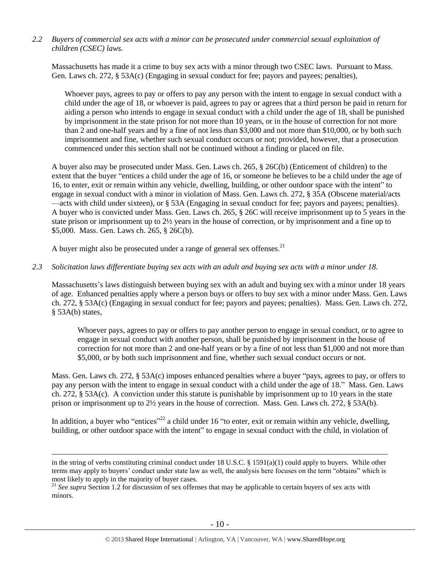*2.2 Buyers of commercial sex acts with a minor can be prosecuted under commercial sexual exploitation of children (CSEC) laws.*

Massachusetts has made it a crime to buy sex acts with a minor through two CSEC laws. Pursuant to Mass. Gen. Laws ch. 272, § 53A(c) (Engaging in sexual conduct for fee; payors and payees; penalties),

Whoever pays, agrees to pay or offers to pay any person with the intent to engage in sexual conduct with a child under the age of 18, or whoever is paid, agrees to pay or agrees that a third person be paid in return for aiding a person who intends to engage in sexual conduct with a child under the age of 18, shall be punished by imprisonment in the state prison for not more than 10 years, or in the house of correction for not more than 2 and one-half years and by a fine of not less than \$3,000 and not more than \$10,000, or by both such imprisonment and fine, whether such sexual conduct occurs or not; provided, however, that a prosecution commenced under this section shall not be continued without a finding or placed on file.

A buyer also may be prosecuted under Mass. Gen. Laws ch. 265, § 26C(b) (Enticement of children) to the extent that the buyer "entices a child under the age of 16, or someone he believes to be a child under the age of 16, to enter, exit or remain within any vehicle, dwelling, building, or other outdoor space with the intent" to engage in sexual conduct with a minor in violation of Mass. Gen. Laws ch. 272, § 35A (Obscene material/acts —acts with child under sixteen), or § 53A (Engaging in sexual conduct for fee; payors and payees; penalties). A buyer who is convicted under Mass. Gen. Laws ch. 265, § 26C will receive imprisonment up to 5 years in the state prison or imprisonment up to 2½ years in the house of correction, or by imprisonment and a fine up to \$5,000. Mass. Gen. Laws ch. 265, § 26C(b).

A buyer might also be prosecuted under a range of general sex offenses.<sup>21</sup>

 $\overline{a}$ 

#### *2.3 Solicitation laws differentiate buying sex acts with an adult and buying sex acts with a minor under 18.*

Massachusetts's laws distinguish between buying sex with an adult and buying sex with a minor under 18 years of age. Enhanced penalties apply where a person buys or offers to buy sex with a minor under Mass. Gen. Laws ch. 272, § 53A(c) (Engaging in sexual conduct for fee; payors and payees; penalties). Mass. Gen. Laws ch. 272, § 53A(b) states,

Whoever pays, agrees to pay or offers to pay another person to engage in sexual conduct, or to agree to engage in sexual conduct with another person, shall be punished by imprisonment in the house of correction for not more than 2 and one-half years or by a fine of not less than \$1,000 and not more than \$5,000, or by both such imprisonment and fine, whether such sexual conduct occurs or not.

Mass. Gen. Laws ch. 272, § 53A(c) imposes enhanced penalties where a buyer "pays, agrees to pay, or offers to pay any person with the intent to engage in sexual conduct with a child under the age of 18." Mass. Gen. Laws ch. 272, § 53A(c). A conviction under this statute is punishable by imprisonment up to 10 years in the state prison or imprisonment up to 2½ years in the house of correction. Mass. Gen. Laws ch. 272, § 53A(b).

In addition, a buyer who "entices"<sup>22</sup> a child under 16 "to enter, exit or remain within any vehicle, dwelling, building, or other outdoor space with the intent" to engage in sexual conduct with the child, in violation of

in the string of verbs constituting criminal conduct under 18 U.S.C. § 1591(a)(1) could apply to buyers. While other terms may apply to buyers' conduct under state law as well, the analysis here focuses on the term "obtains" which is most likely to apply in the majority of buyer cases.

<sup>&</sup>lt;sup>21</sup> See supra Section 1.2 for discussion of sex offenses that may be applicable to certain buyers of sex acts with minors.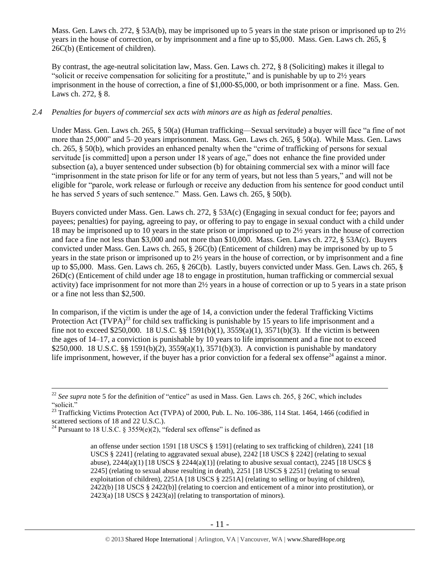Mass. Gen. Laws ch. 272, § 53A(b), may be imprisoned up to 5 years in the state prison or imprisoned up to 2½ years in the house of correction, or by imprisonment and a fine up to \$5,000. Mass. Gen. Laws ch. 265, § 26C(b) (Enticement of children).

By contrast, the age-neutral solicitation law, Mass. Gen. Laws ch. 272, § 8 (Soliciting) makes it illegal to "solicit or receive compensation for soliciting for a prostitute," and is punishable by up to 2½ years imprisonment in the house of correction, a fine of \$1,000-\$5,000, or both imprisonment or a fine. Mass. Gen. Laws ch. 272, § 8.

## *2.4 Penalties for buyers of commercial sex acts with minors are as high as federal penalties.*

Under Mass. Gen. Laws ch. 265, § 50(a) (Human trafficking—Sexual servitude) a buyer will face "a fine of not more than 25,000" and 5–20 years imprisonment. Mass. Gen. Laws ch. 265, § 50(a). While Mass. Gen. Laws ch. 265, § 50(b), which provides an enhanced penalty when the "crime of trafficking of persons for sexual servitude [is committed] upon a person under 18 years of age," does not enhance the fine provided under subsection (a), a buyer sentenced under subsection (b) for obtaining commercial sex with a minor will face "imprisonment in the state prison for life or for any term of years, but not less than 5 years," and will not be eligible for "parole, work release or furlough or receive any deduction from his sentence for good conduct until he has served 5 years of such sentence." Mass. Gen. Laws ch. 265, § 50(b).

Buyers convicted under Mass. Gen. Laws ch. 272, § 53A(c) (Engaging in sexual conduct for fee; payors and payees; penalties) for paying, agreeing to pay, or offering to pay to engage in sexual conduct with a child under 18 may be imprisoned up to 10 years in the state prison or imprisoned up to 2½ years in the house of correction and face a fine not less than \$3,000 and not more than \$10,000. Mass. Gen. Laws ch. 272, § 53A(c). Buyers convicted under Mass. Gen. Laws ch. 265, § 26C(b) (Enticement of children) may be imprisoned by up to 5 years in the state prison or imprisoned up to 2½ years in the house of correction, or by imprisonment and a fine up to \$5,000. Mass. Gen. Laws ch. 265, § 26C(b). Lastly, buyers convicted under Mass. Gen. Laws ch. 265, § 26D(c) (Enticement of child under age 18 to engage in prostitution, human trafficking or commercial sexual activity) face imprisonment for not more than 2½ years in a house of correction or up to 5 years in a state prison or a fine not less than \$2,500.

In comparison, if the victim is under the age of 14, a conviction under the federal Trafficking Victims Protection Act  $(TVPA)^{23}$  for child sex trafficking is punishable by 15 years to life imprisonment and a fine not to exceed \$250,000. 18 U.S.C. §§ 1591(b)(1), 3559(a)(1), 3571(b)(3). If the victim is between the ages of 14–17, a conviction is punishable by 10 years to life imprisonment and a fine not to exceed \$250,000. 18 U.S.C. §§ 1591(b)(2), 3559(a)(1), 3571(b)(3). A conviction is punishable by mandatory life imprisonment, however, if the buyer has a prior conviction for a federal sex offense<sup>24</sup> against a minor.

<sup>&</sup>lt;sup>22</sup> *See supra* note [5](#page-2-0) for the definition of "entice" as used in Mass. Gen. Laws ch. 265,  $\S$  26C, which includes "solicit."

<sup>&</sup>lt;sup>23</sup> Trafficking Victims Protection Act (TVPA) of 2000, Pub. L. No. 106-386, 114 Stat. 1464, 1466 (codified in scattered sections of 18 and 22 U.S.C.).

<sup>&</sup>lt;sup>24</sup> Pursuant to 18 U.S.C. § 3559(e)(2), "federal sex offense" is defined as

<span id="page-10-0"></span>an offense under section 1591 [18 USCS § 1591] (relating to sex trafficking of children), 2241 [18 USCS § 2241] (relating to aggravated sexual abuse), 2242 [18 USCS § 2242] (relating to sexual abuse),  $2244(a)(1)$  [18 USCS §  $2244(a)(1)$ ] (relating to abusive sexual contact),  $2245$  [18 USCS § 2245] (relating to sexual abuse resulting in death), 2251 [18 USCS § 2251] (relating to sexual exploitation of children), 2251A [18 USCS § 2251A] (relating to selling or buying of children), 2422(b) [18 USCS § 2422(b)] (relating to coercion and enticement of a minor into prostitution), or 2423(a) [18 USCS § 2423(a)] (relating to transportation of minors).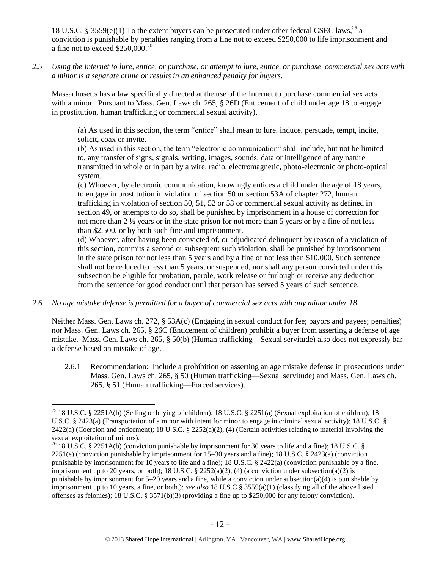18 U.S.C. § 3559(e)(1) To the extent buyers can be prosecuted under other federal CSEC laws,<sup>25</sup> a conviction is punishable by penalties ranging from a fine not to exceed \$250,000 to life imprisonment and a fine not to exceed  $$250,000.<sup>26</sup>$ 

*2.5 Using the Internet to lure, entice, or purchase, or attempt to lure, entice, or purchase commercial sex acts with a minor is a separate crime or results in an enhanced penalty for buyers.*

Massachusetts has a law specifically directed at the use of the Internet to purchase commercial sex acts with a minor. Pursuant to Mass. Gen. Laws ch. 265, § 26D (Enticement of child under age 18 to engage in prostitution, human trafficking or commercial sexual activity),

(a) As used in this section, the term "entice" shall mean to lure, induce, persuade, tempt, incite, solicit, coax or invite.

(b) As used in this section, the term "electronic communication" shall include, but not be limited to, any transfer of signs, signals, writing, images, sounds, data or intelligence of any nature transmitted in whole or in part by a wire, radio, electromagnetic, photo-electronic or photo-optical system.

(c) Whoever, by electronic communication, knowingly entices a child under the age of 18 years, to engage in prostitution in violation of section 50 or section 53A of chapter 272, human trafficking in violation of section 50, 51, 52 or 53 or commercial sexual activity as defined in section 49, or attempts to do so, shall be punished by imprisonment in a house of correction for not more than 2 ½ years or in the state prison for not more than 5 years or by a fine of not less than \$2,500, or by both such fine and imprisonment.

(d) Whoever, after having been convicted of, or adjudicated delinquent by reason of a violation of this section, commits a second or subsequent such violation, shall be punished by imprisonment in the state prison for not less than 5 years and by a fine of not less than \$10,000. Such sentence shall not be reduced to less than 5 years, or suspended, nor shall any person convicted under this subsection be eligible for probation, parole, work release or furlough or receive any deduction from the sentence for good conduct until that person has served 5 years of such sentence.

*2.6 No age mistake defense is permitted for a buyer of commercial sex acts with any minor under 18.*

 $\overline{a}$ 

Neither Mass. Gen. Laws ch. 272, § 53A(c) (Engaging in sexual conduct for fee; payors and payees; penalties) nor Mass. Gen. Laws ch. 265, § 26C (Enticement of children) prohibit a buyer from asserting a defense of age mistake. Mass. Gen. Laws ch. 265, § 50(b) (Human trafficking—Sexual servitude) also does not expressly bar a defense based on mistake of age.

2.6.1 Recommendation: Include a prohibition on asserting an age mistake defense in prosecutions under Mass. Gen. Laws ch. 265, § 50 (Human trafficking—Sexual servitude) and Mass. Gen. Laws ch. 265, § 51 (Human trafficking—Forced services).

<sup>&</sup>lt;sup>25</sup> 18 U.S.C. § 2251A(b) (Selling or buying of children); 18 U.S.C. § 2251(a) (Sexual exploitation of children); 18 U.S.C. § 2423(a) (Transportation of a minor with intent for minor to engage in criminal sexual activity); 18 U.S.C. §  $2422(a)$  (Coercion and enticement); 18 U.S.C. §  $2252(a)(2)$ , (4) (Certain activities relating to material involving the sexual exploitation of minors).

<sup>&</sup>lt;sup>26</sup> 18 U.S.C. § 2251A(b) (conviction punishable by imprisonment for 30 years to life and a fine); 18 U.S.C. § 2251(e) (conviction punishable by imprisonment for 15–30 years and a fine); 18 U.S.C. § 2423(a) (conviction punishable by imprisonment for 10 years to life and a fine); 18 U.S.C. § 2422(a) (conviction punishable by a fine, imprisonment up to 20 years, or both); 18 U.S.C.  $\S$  2252(a)(2), (4) (a conviction under subsection(a)(2) is punishable by imprisonment for 5–20 years and a fine, while a conviction under subsection(a)(4) is punishable by imprisonment up to 10 years, a fine, or both.); *see also* 18 U.S.C § 3559(a)(1) (classifying all of the above listed offenses as felonies); 18 U.S.C. § 3571(b)(3) (providing a fine up to \$250,000 for any felony conviction).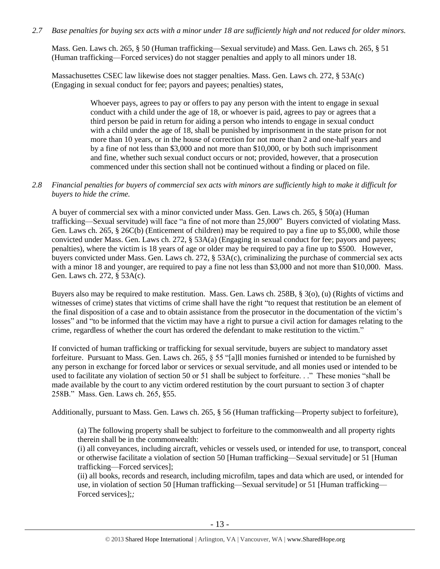## *2.7 Base penalties for buying sex acts with a minor under 18 are sufficiently high and not reduced for older minors.*

Mass. Gen. Laws ch. 265, § 50 (Human trafficking—Sexual servitude) and Mass. Gen. Laws ch. 265, § 51 (Human trafficking—Forced services) do not stagger penalties and apply to all minors under 18.

Massachusettes CSEC law likewise does not stagger penalties. Mass. Gen. Laws ch. 272, § 53A(c) (Engaging in sexual conduct for fee; payors and payees; penalties) states,

> Whoever pays, agrees to pay or offers to pay any person with the intent to engage in sexual conduct with a child under the age of 18, or whoever is paid, agrees to pay or agrees that a third person be paid in return for aiding a person who intends to engage in sexual conduct with a child under the age of 18, shall be punished by imprisonment in the state prison for not more than 10 years, or in the house of correction for not more than 2 and one-half years and by a fine of not less than \$3,000 and not more than \$10,000, or by both such imprisonment and fine, whether such sexual conduct occurs or not; provided, however, that a prosecution commenced under this section shall not be continued without a finding or placed on file.

## *2.8 Financial penalties for buyers of commercial sex acts with minors are sufficiently high to make it difficult for buyers to hide the crime.*

A buyer of commercial sex with a minor convicted under Mass. Gen. Laws ch. 265, § 50(a) (Human trafficking—Sexual servitude) will face "a fine of not more than 25,000" Buyers convicted of violating Mass. Gen. Laws ch. 265, § 26C(b) (Enticement of children) may be required to pay a fine up to \$5,000, while those convicted under Mass. Gen. Laws ch. 272, § 53A(a) (Engaging in sexual conduct for fee; payors and payees; penalties), where the victim is 18 years of age or older may be required to pay a fine up to \$500. However, buyers convicted under Mass. Gen. Laws ch. 272, § 53A(c), criminalizing the purchase of commercial sex acts with a minor 18 and younger, are required to pay a fine not less than \$3,000 and not more than \$10,000. Mass. Gen. Laws ch. 272, § 53A(c).

Buyers also may be required to make restitution. Mass. Gen. Laws ch. 258B, § 3(o), (u) (Rights of victims and witnesses of crime) states that victims of crime shall have the right "to request that restitution be an element of the final disposition of a case and to obtain assistance from the prosecutor in the documentation of the victim's losses" and "to be informed that the victim may have a right to pursue a civil action for damages relating to the crime, regardless of whether the court has ordered the defendant to make restitution to the victim."

If convicted of human trafficking or trafficking for sexual servitude, buyers are subject to mandatory asset forfeiture. Pursuant to Mass. Gen. Laws ch. 265, § 55 "[a]ll monies furnished or intended to be furnished by any person in exchange for forced labor or services or sexual servitude, and all monies used or intended to be used to facilitate any violation of section 50 or 51 shall be subject to forfeiture. . ." These monies "shall be made available by the court to any victim ordered restitution by the court pursuant to section 3 of chapter 258B." Mass. Gen. Laws ch. 265, §55.

Additionally, pursuant to Mass. Gen. Laws ch. 265, § 56 (Human trafficking—Property subject to forfeiture),

(a) The following property shall be subject to forfeiture to the commonwealth and all property rights therein shall be in the commonwealth:

(i) all conveyances, including aircraft, vehicles or vessels used, or intended for use, to transport, conceal or otherwise facilitate a violation of section 50 [Human trafficking—Sexual servitude] or 51 [Human trafficking—Forced services];

(ii) all books, records and research, including microfilm, tapes and data which are used, or intended for use, in violation of section 50 [Human trafficking—Sexual servitude] or 51 [Human trafficking— Forced services];*;*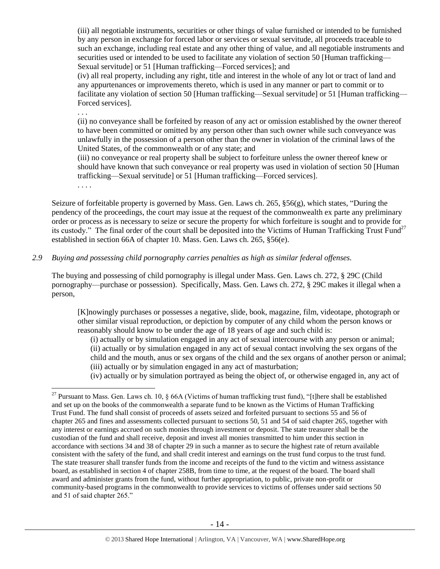(iii) all negotiable instruments, securities or other things of value furnished or intended to be furnished by any person in exchange for forced labor or services or sexual servitude, all proceeds traceable to such an exchange, including real estate and any other thing of value, and all negotiable instruments and securities used or intended to be used to facilitate any violation of section 50 [Human trafficking— Sexual servitude] or 51 [Human trafficking—Forced services]; and

(iv) all real property, including any right, title and interest in the whole of any lot or tract of land and any appurtenances or improvements thereto, which is used in any manner or part to commit or to facilitate any violation of section 50 [Human trafficking—Sexual servitude] or 51 [Human trafficking— Forced services].

. . .

(ii) no conveyance shall be forfeited by reason of any act or omission established by the owner thereof to have been committed or omitted by any person other than such owner while such conveyance was unlawfully in the possession of a person other than the owner in violation of the criminal laws of the United States, of the commonwealth or of any state; and

(iii) no conveyance or real property shall be subject to forfeiture unless the owner thereof knew or should have known that such conveyance or real property was used in violation of section 50 [Human trafficking—Sexual servitude] or 51 [Human trafficking—Forced services].

<span id="page-13-0"></span>. . . .

 $\overline{a}$ 

Seizure of forfeitable property is governed by Mass. Gen. Laws ch. 265, §56(g), which states, "During the pendency of the proceedings, the court may issue at the request of the commonwealth ex parte any preliminary order or process as is necessary to seize or secure the property for which forfeiture is sought and to provide for its custody." The final order of the court shall be deposited into the Victims of Human Trafficking Trust Fund<sup>27</sup> established in section 66A of chapter 10. Mass. Gen. Laws ch. 265, §56(e).

*2.9 Buying and possessing child pornography carries penalties as high as similar federal offenses.*

The buying and possessing of child pornography is illegal under Mass. Gen. Laws ch. 272, § 29C (Child pornography—purchase or possession). Specifically, Mass. Gen. Laws ch. 272, § 29C makes it illegal when a person,

[K]nowingly purchases or possesses a negative, slide, book, magazine, film, videotape, photograph or other similar visual reproduction, or depiction by computer of any child whom the person knows or reasonably should know to be under the age of 18 years of age and such child is:

(i) actually or by simulation engaged in any act of sexual intercourse with any person or animal; (ii) actually or by simulation engaged in any act of sexual contact involving the sex organs of the child and the mouth, anus or sex organs of the child and the sex organs of another person or animal; (iii) actually or by simulation engaged in any act of masturbation;

(iv) actually or by simulation portrayed as being the object of, or otherwise engaged in, any act of

<sup>&</sup>lt;sup>27</sup> Pursuant to Mass. Gen. Laws ch. 10,  $\frac{1}{66A}$  (Victims of human trafficking trust fund), "[t]here shall be established and set up on the books of the commonwealth a separate fund to be known as the Victims of Human Trafficking Trust Fund. The fund shall consist of proceeds of assets seized and forfeited pursuant to sections 55 and 56 of chapter 265 and fines and assessments collected pursuant to sections 50, 51 and 54 of said chapter 265, together with any interest or earnings accrued on such monies through investment or deposit. The state treasurer shall be the custodian of the fund and shall receive, deposit and invest all monies transmitted to him under this section in accordance with sections 34 and 38 of chapter 29 in such a manner as to secure the highest rate of return available consistent with the safety of the fund, and shall credit interest and earnings on the trust fund corpus to the trust fund. The state treasurer shall transfer funds from the income and receipts of the fund to the victim and witness assistance board, as established in section 4 of chapter 258B, from time to time, at the request of the board. The board shall award and administer grants from the fund, without further appropriation, to public, private non-profit or community-based programs in the commonwealth to provide services to victims of offenses under said sections 50 and 51 of said chapter 265."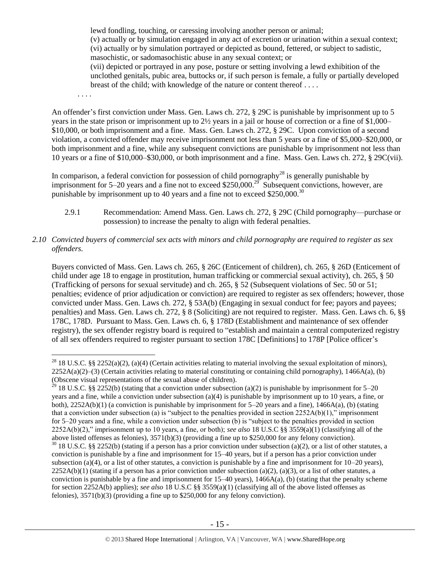lewd fondling, touching, or caressing involving another person or animal; (v) actually or by simulation engaged in any act of excretion or urination within a sexual context; (vi) actually or by simulation portrayed or depicted as bound, fettered, or subject to sadistic, masochistic, or sadomasochistic abuse in any sexual context; or

(vii) depicted or portrayed in any pose, posture or setting involving a lewd exhibition of the unclothed genitals, pubic area, buttocks or, if such person is female, a fully or partially developed breast of the child; with knowledge of the nature or content thereof . . . .

. . . .

 $\overline{a}$ 

An offender's first conviction under Mass. Gen. Laws ch. 272, § 29C is punishable by imprisonment up to 5 years in the state prison or imprisonment up to 2½ years in a jail or house of correction or a fine of \$1,000– \$10,000, or both imprisonment and a fine. Mass. Gen. Laws ch. 272, § 29C. Upon conviction of a second violation, a convicted offender may receive imprisonment not less than 5 years or a fine of \$5,000–\$20,000, or both imprisonment and a fine, while any subsequent convictions are punishable by imprisonment not less than 10 years or a fine of \$10,000–\$30,000, or both imprisonment and a fine. Mass. Gen. Laws ch. 272, § 29C(vii).

In comparison, a federal conviction for possession of child pornography<sup>28</sup> is generally punishable by imprisonment for 5–20 years and a fine not to exceed \$250,000.<sup>29</sup> Subsequent convictions, however, are punishable by imprisonment up to 40 years and a fine not to exceed \$250,000.<sup>30</sup>

- 2.9.1 Recommendation: Amend Mass. Gen. Laws ch. 272, § 29C (Child pornography—purchase or possession) to increase the penalty to align with federal penalties.
- *2.10 Convicted buyers of commercial sex acts with minors and child pornography are required to register as sex offenders.*

Buyers convicted of Mass. Gen. Laws ch. 265, § 26C (Enticement of children), ch. 265, § 26D (Enticement of child under age 18 to engage in prostitution, human trafficking or commercial sexual activity), ch. 265, § 50 (Trafficking of persons for sexual servitude) and ch. 265, § 52 (Subsequent violations of Sec. 50 or 51; penalties; evidence of prior adjudication or conviction) are required to register as sex offenders; however, those convicted under Mass. Gen. Laws ch. 272, § 53A(b) (Engaging in sexual conduct for fee; payors and payees; penalties) and Mass. Gen. Laws ch. 272, § 8 (Soliciting) are not required to register. Mass. Gen. Laws ch. 6, §§ 178C, 178D. Pursuant to Mass. Gen. Laws ch. 6, § 178D (Establishment and maintenance of sex offender registry), the sex offender registry board is required to "establish and maintain a central computerized registry of all sex offenders required to register pursuant to section 178C [Definitions] to 178P [Police officer's

<sup>&</sup>lt;sup>28</sup> 18 U.S.C. §§ 2252(a)(2), (a)(4) (Certain activities relating to material involving the sexual exploitation of minors),  $2252A(a)(2)$ –(3) (Certain activities relating to material constituting or containing child pornography), 1466A(a), (b) (Obscene visual representations of the sexual abuse of children).

<sup>&</sup>lt;sup>29</sup> 18 U.S.C. §§ 2252(b) (stating that a conviction under subsection (a)(2) is punishable by imprisonment for 5–20 years and a fine, while a conviction under subsection (a)(4) is punishable by imprisonment up to 10 years, a fine, or both), 2252A(b)(1) (a conviction is punishable by imprisonment for 5–20 years and a fine), 1466A(a), (b) (stating that a conviction under subsection (a) is "subject to the penalties provided in section  $2252A(b)(1)$ ," imprisonment for 5–20 years and a fine, while a conviction under subsection (b) is "subject to the penalties provided in section 2252A(b)(2)," imprisonment up to 10 years, a fine, or both); *see also* 18 U.S.C §§ 3559(a)(1) (classifying all of the above listed offenses as felonies), 3571(b)(3) (providing a fine up to \$250,000 for any felony conviction).  $30$  18 U.S.C. §§ 2252(b) (stating if a person has a prior conviction under subsection (a)(2), or a list of other statutes, a conviction is punishable by a fine and imprisonment for 15–40 years, but if a person has a prior conviction under subsection (a)(4), or a list of other statutes, a conviction is punishable by a fine and imprisonment for  $10-20$  years),  $2252A(b)(1)$  (stating if a person has a prior conviction under subsection (a)(2), (a)(3), or a list of other statutes, a conviction is punishable by a fine and imprisonment for  $15-40$  years),  $1466A(a)$ , (b) (stating that the penalty scheme for section 2252A(b) applies); *see also* 18 U.S.C §§ 3559(a)(1) (classifying all of the above listed offenses as felonies), 3571(b)(3) (providing a fine up to \$250,000 for any felony conviction).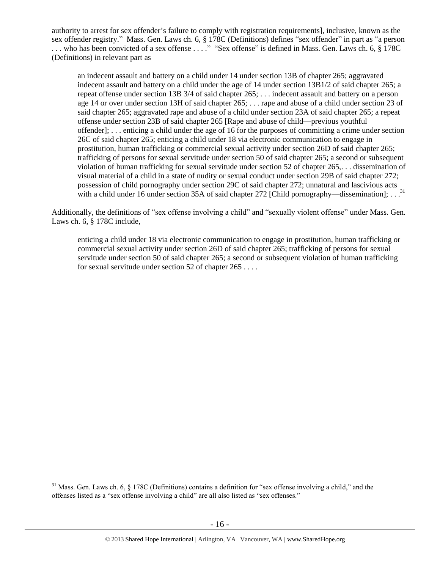authority to arrest for sex offender's failure to comply with registration requirements], inclusive, known as the sex offender registry." Mass. Gen. Laws ch. 6, § 178C (Definitions) defines "sex offender" in part as "a person ... who has been convicted of a sex offense ...." "Sex offense" is defined in Mass. Gen. Laws ch. 6, § 178C (Definitions) in relevant part as

an indecent assault and battery on a child under 14 under section 13B of chapter 265; aggravated indecent assault and battery on a child under the age of 14 under section 13B1/2 of said chapter 265; a repeat offense under section 13B 3/4 of said chapter 265; . . . indecent assault and battery on a person age 14 or over under section 13H of said chapter 265; . . . rape and abuse of a child under section 23 of said chapter 265; aggravated rape and abuse of a child under section 23A of said chapter 265; a repeat offense under section 23B of said chapter 265 [Rape and abuse of child—previous youthful offender]; . . . enticing a child under the age of 16 for the purposes of committing a crime under section 26C of said chapter 265; enticing a child under 18 via electronic communication to engage in prostitution, human trafficking or commercial sexual activity under section 26D of said chapter 265; trafficking of persons for sexual servitude under section 50 of said chapter 265; a second or subsequent violation of human trafficking for sexual servitude under section 52 of chapter 265,. . . dissemination of visual material of a child in a state of nudity or sexual conduct under section 29B of said chapter 272; possession of child pornography under section 29C of said chapter 272; unnatural and lascivious acts with a child under 16 under section 35A of said chapter 272 [Child pornography—dissemination];  $\dots$ <sup>31</sup>

Additionally, the definitions of "sex offense involving a child" and "sexually violent offense" under Mass. Gen. Laws ch. 6, § 178C include,

enticing a child under 18 via electronic communication to engage in prostitution, human trafficking or commercial sexual activity under section 26D of said chapter 265; trafficking of persons for sexual servitude under section 50 of said chapter 265; a second or subsequent violation of human trafficking for sexual servitude under section 52 of chapter 265 . . . .

 $31$  Mass. Gen. Laws ch. 6,  $\S$  178C (Definitions) contains a definition for "sex offense involving a child," and the offenses listed as a "sex offense involving a child" are all also listed as "sex offenses."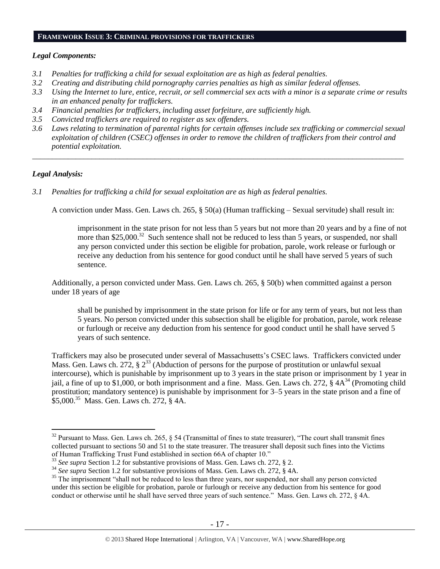#### **FRAMEWORK ISSUE 3: CRIMINAL PROVISIONS FOR TRAFFICKERS**

#### *Legal Components:*

- *3.1 Penalties for trafficking a child for sexual exploitation are as high as federal penalties.*
- *3.2 Creating and distributing child pornography carries penalties as high as similar federal offenses.*
- *3.3 Using the Internet to lure, entice, recruit, or sell commercial sex acts with a minor is a separate crime or results in an enhanced penalty for traffickers.*
- *3.4 Financial penalties for traffickers, including asset forfeiture, are sufficiently high.*
- *3.5 Convicted traffickers are required to register as sex offenders.*
- *3.6 Laws relating to termination of parental rights for certain offenses include sex trafficking or commercial sexual exploitation of children (CSEC) offenses in order to remove the children of traffickers from their control and potential exploitation.*

*\_\_\_\_\_\_\_\_\_\_\_\_\_\_\_\_\_\_\_\_\_\_\_\_\_\_\_\_\_\_\_\_\_\_\_\_\_\_\_\_\_\_\_\_\_\_\_\_\_\_\_\_\_\_\_\_\_\_\_\_\_\_\_\_\_\_\_\_\_\_\_\_\_\_\_\_\_\_\_\_\_\_\_\_\_\_\_\_\_\_\_\_\_\_*

#### *Legal Analysis:*

<span id="page-16-1"></span> $\overline{a}$ 

*3.1 Penalties for trafficking a child for sexual exploitation are as high as federal penalties.*

A conviction under Mass. Gen. Laws ch. 265, § 50(a) (Human trafficking – Sexual servitude) shall result in:

<span id="page-16-0"></span>imprisonment in the state prison for not less than 5 years but not more than 20 years and by a fine of not more than \$25,000.<sup>32</sup> Such sentence shall not be reduced to less than 5 years, or suspended, nor shall any person convicted under this section be eligible for probation, parole, work release or furlough or receive any deduction from his sentence for good conduct until he shall have served 5 years of such sentence.

Additionally, a person convicted under Mass. Gen. Laws ch. 265, § 50(b) when committed against a person under 18 years of age

shall be punished by imprisonment in the state prison for life or for any term of years, but not less than 5 years. No person convicted under this subsection shall be eligible for probation, parole, work release or furlough or receive any deduction from his sentence for good conduct until he shall have served 5 years of such sentence.

Traffickers may also be prosecuted under several of Massachusetts's CSEC laws. Traffickers convicted under Mass. Gen. Laws ch. 272, § 2<sup>33</sup> (Abduction of persons for the purpose of prostitution or unlawful sexual intercourse), which is punishable by imprisonment up to 3 years in the state prison or imprisonment by 1 year in jail, a fine of up to \$1,000, or both imprisonment and a fine. Mass. Gen. Laws ch. 272,  $\hat{\S}$  4A<sup>34</sup> (Promoting child prostitution; mandatory sentence) is punishable by imprisonment for 3–5 years in the state prison and a fine of \$5,000. 35 Mass. Gen. Laws ch. 272, § 4A.

 $32$  Pursuant to Mass. Gen. Laws ch. 265, § 54 (Transmittal of fines to state treasurer), "The court shall transmit fines collected pursuant to sections 50 and 51 to the state treasurer. The treasurer shall deposit such fines into the Victims of Human Trafficking Trust Fund established in section 66A of chapter 10."

<sup>33</sup> *See supra* Section 1.2 for substantive provisions of Mass. Gen. Laws ch. 272, § 2.

<sup>&</sup>lt;sup>34</sup> See supra Section 1.2 for substantive provisions of Mass. Gen. Laws ch. 272, § 4A.

<sup>&</sup>lt;sup>35</sup> The imprisonment "shall not be reduced to less than three years, nor suspended, nor shall any person convicted under this section be eligible for probation, parole or furlough or receive any deduction from his sentence for good conduct or otherwise until he shall have served three years of such sentence." Mass. Gen. Laws ch. 272, § 4A.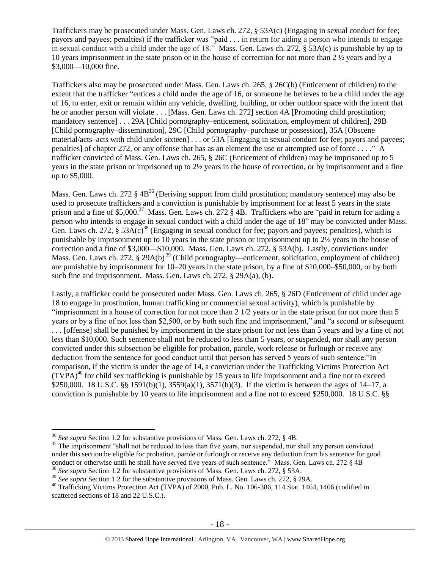Traffickers may be prosecuted under Mass. Gen. Laws ch. 272, § 53A(c) (Engaging in sexual conduct for fee; payors and payees; penalties) if the trafficker was "paid . . . in return for aiding a person who intends to engage in sexual conduct with a child under the age of 18." Mass. Gen. Laws ch. 272, § 53A(c) is punishable by up to 10 years imprisonment in the state prison or in the house of correction for not more than 2 ½ years and by a \$3,000—10,000 fine.

Traffickers also may be prosecuted under Mass. Gen. Laws ch. 265, § 26C(b) (Enticement of children) to the extent that the trafficker "entices a child under the age of 16, or someone he believes to be a child under the age of 16, to enter, exit or remain within any vehicle, dwelling, building, or other outdoor space with the intent that he or another person will violate . . . [Mass. Gen. Laws ch. 272] section 4A [Promoting child prostitution; mandatory sentence] . . . 29A [Child pornography–enticement, solicitation, employment of children], 29B [Child pornography–dissemination], 29C [Child pornography–purchase or possession], 35A [Obscene material/acts–acts with child under sixteen] . . . or 53A [Engaging in sexual conduct for fee; payors and payees; penalties] of chapter 272, or any offense that has as an element the use or attempted use of force . . . ." A trafficker convicted of Mass. Gen. Laws ch. 265, § 26C (Enticement of children) may be imprisoned up to 5 years in the state prison or imprisoned up to 2½ years in the house of correction, or by imprisonment and a fine up to \$5,000.

Mass. Gen. Laws ch. 272  $\S$  4B<sup>36</sup> (Deriving support from child prostitution; mandatory sentence) may also be used to prosecute traffickers and a conviction is punishable by imprisonment for at least 5 years in the state prison and a fine of \$5,000.<sup>37</sup> Mass. Gen. Laws ch. 272 § 4B. Traffickers who are "paid in return for aiding a person who intends to engage in sexual conduct with a child under the age of 18" may be convicted under Mass. Gen. Laws ch. 272,  $\S 53A(c)^{38}$  (Engaging in sexual conduct for fee; payors and payees; penalties), which is punishable by imprisonment up to 10 years in the state prison or imprisonment up to 2½ years in the house of correction and a fine of \$3,000—\$10,000. Mass. Gen. Laws ch. 272, § 53A(b). Lastly, convictions under Mass. Gen. Laws ch. 272, § 29A(b)<sup>39</sup> (Child pornography—enticement, solicitation, employment of children) are punishable by imprisonment for 10–20 years in the state prison, by a fine of \$10,000–\$50,000, or by both such fine and imprisonment. Mass. Gen. Laws ch. 272, § 29A(a), (b).

Lastly, a trafficker could be prosecuted under Mass. Gen. Laws ch. 265, § 26D (Enticement of child under age 18 to engage in prostitution, human trafficking or commercial sexual activity), which is punishable by "imprisonment in a house of correction for not more than 2 1/2 years or in the state prison for not more than 5 years or by a fine of not less than \$2,500, or by both such fine and imprisonment," and "a second or subsequent . . . [offense] shall be punished by imprisonment in the state prison for not less than 5 years and by a fine of not less than \$10,000. Such sentence shall not be reduced to less than 5 years, or suspended, nor shall any person convicted under this subsection be eligible for probation, parole, work release or furlough or receive any deduction from the sentence for good conduct until that person has served 5 years of such sentence."In comparison, if the victim is under the age of 14, a conviction under the Trafficking Victims Protection Act  $(TVPA)^{40}$  for child sex trafficking is punishable by 15 years to life imprisonment and a fine not to exceed \$250,000. 18 U.S.C. §§ 1591(b)(1), 3559(a)(1), 3571(b)(3). If the victim is between the ages of 14–17, a conviction is punishable by 10 years to life imprisonment and a fine not to exceed \$250,000. 18 U.S.C. §§

<sup>36</sup> *See supra* Section 1.2 for substantive provisions of Mass. Gen. Laws ch. 272, § 4B.

 $37$  The imprisonment "shall not be reduced to less than five years, nor suspended, nor shall any person convicted under this section be eligible for probation, parole or furlough or receive any deduction from his sentence for good conduct or otherwise until he shall have served five years of such sentence." Mass. Gen. Laws ch. 272 § 4B <sup>38</sup> *See supra* Section 1.2 for substantive provisions of Mass. Gen. Laws ch. 272, § 53A.

<sup>&</sup>lt;sup>39</sup> See supra Section 1.2 for the substantive provisions of Mass. Gen. Laws ch. 272, § 29A.

<sup>&</sup>lt;sup>40</sup> Trafficking Victims Protection Act (TVPA) of 2000, Pub. L. No. 106-386, 114 Stat. 1464, 1466 (codified in scattered sections of 18 and 22 U.S.C.).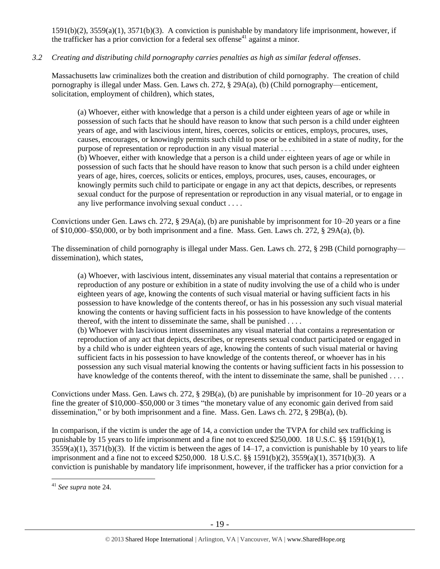1591(b)(2), 3559(a)(1), 3571(b)(3). A conviction is punishable by mandatory life imprisonment, however, if the trafficker has a prior conviction for a federal sex offense<sup>41</sup> against a minor.

# *3.2 Creating and distributing child pornography carries penalties as high as similar federal offenses*.

Massachusetts law criminalizes both the creation and distribution of child pornography. The creation of child pornography is illegal under Mass. Gen. Laws ch. 272, § 29A(a), (b) (Child pornography—enticement, solicitation, employment of children), which states,

(a) Whoever, either with knowledge that a person is a child under eighteen years of age or while in possession of such facts that he should have reason to know that such person is a child under eighteen years of age, and with lascivious intent, hires, coerces, solicits or entices, employs, procures, uses, causes, encourages, or knowingly permits such child to pose or be exhibited in a state of nudity, for the purpose of representation or reproduction in any visual material . . . .

(b) Whoever, either with knowledge that a person is a child under eighteen years of age or while in possession of such facts that he should have reason to know that such person is a child under eighteen years of age, hires, coerces, solicits or entices, employs, procures, uses, causes, encourages, or knowingly permits such child to participate or engage in any act that depicts, describes, or represents sexual conduct for the purpose of representation or reproduction in any visual material, or to engage in any live performance involving sexual conduct . . . .

Convictions under Gen. Laws ch. 272, § 29A(a), (b) are punishable by imprisonment for 10–20 years or a fine of \$10,000–\$50,000, or by both imprisonment and a fine. Mass. Gen. Laws ch. 272, § 29A(a), (b).

The dissemination of child pornography is illegal under Mass. Gen. Laws ch. 272, § 29B (Child pornography dissemination), which states,

(a) Whoever, with lascivious intent, disseminates any visual material that contains a representation or reproduction of any posture or exhibition in a state of nudity involving the use of a child who is under eighteen years of age, knowing the contents of such visual material or having sufficient facts in his possession to have knowledge of the contents thereof, or has in his possession any such visual material knowing the contents or having sufficient facts in his possession to have knowledge of the contents thereof, with the intent to disseminate the same, shall be punished . . . .

(b) Whoever with lascivious intent disseminates any visual material that contains a representation or reproduction of any act that depicts, describes, or represents sexual conduct participated or engaged in by a child who is under eighteen years of age, knowing the contents of such visual material or having sufficient facts in his possession to have knowledge of the contents thereof, or whoever has in his possession any such visual material knowing the contents or having sufficient facts in his possession to have knowledge of the contents thereof, with the intent to disseminate the same, shall be punished . . . .

Convictions under Mass. Gen. Laws ch. 272, § 29B(a), (b) are punishable by imprisonment for 10–20 years or a fine the greater of \$10,000–\$50,000 or 3 times "the monetary value of any economic gain derived from said dissemination," or by both imprisonment and a fine. Mass. Gen. Laws ch. 272, § 29B(a), (b).

In comparison, if the victim is under the age of 14, a conviction under the TVPA for child sex trafficking is punishable by 15 years to life imprisonment and a fine not to exceed \$250,000. 18 U.S.C. §§ 1591(b)(1),  $3559(a)(1)$ ,  $3571(b)(3)$ . If the victim is between the ages of  $14-17$ , a conviction is punishable by 10 years to life imprisonment and a fine not to exceed \$250,000. 18 U.S.C. §§ 1591(b)(2), 3559(a)(1), 3571(b)(3). A conviction is punishable by mandatory life imprisonment, however, if the trafficker has a prior conviction for a

<sup>41</sup> *See supra* note [24.](#page-10-0)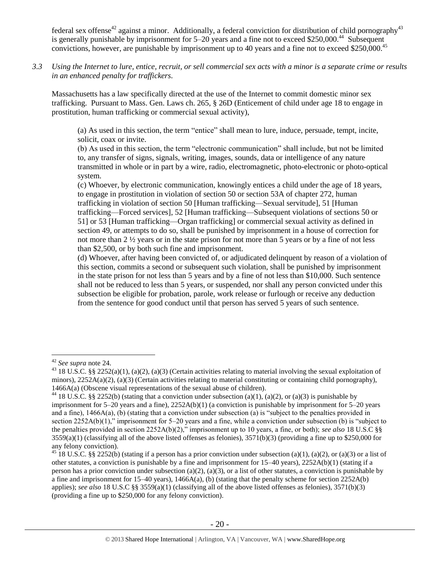federal sex offense<sup>42</sup> against a minor. Additionally, a federal conviction for distribution of child pornography<sup>43</sup> is generally punishable by imprisonment for 5–20 years and a fine not to exceed \$250,000.<sup>44</sup> Subsequent convictions, however, are punishable by imprisonment up to 40 years and a fine not to exceed \$250,000.<sup>45</sup>

*3.3 Using the Internet to lure, entice, recruit, or sell commercial sex acts with a minor is a separate crime or results in an enhanced penalty for traffickers.*

Massachusetts has a law specifically directed at the use of the Internet to commit domestic minor sex trafficking. Pursuant to Mass. Gen. Laws ch. 265, § 26D (Enticement of child under age 18 to engage in prostitution, human trafficking or commercial sexual activity),

(a) As used in this section, the term "entice" shall mean to lure, induce, persuade, tempt, incite, solicit, coax or invite.

(b) As used in this section, the term "electronic communication" shall include, but not be limited to, any transfer of signs, signals, writing, images, sounds, data or intelligence of any nature transmitted in whole or in part by a wire, radio, electromagnetic, photo-electronic or photo-optical system.

(c) Whoever, by electronic communication, knowingly entices a child under the age of 18 years, to engage in prostitution in violation of section 50 or section 53A of chapter 272, human trafficking in violation of section 50 [Human trafficking—Sexual servitude], 51 [Human trafficking—Forced services], 52 [Human trafficking—Subsequent violations of sections 50 or 51] or 53 [Human trafficking—Organ trafficking] or commercial sexual activity as defined in section 49, or attempts to do so, shall be punished by imprisonment in a house of correction for not more than 2 ½ years or in the state prison for not more than 5 years or by a fine of not less than \$2,500, or by both such fine and imprisonment.

(d) Whoever, after having been convicted of, or adjudicated delinquent by reason of a violation of this section, commits a second or subsequent such violation, shall be punished by imprisonment in the state prison for not less than 5 years and by a fine of not less than \$10,000. Such sentence shall not be reduced to less than 5 years, or suspended, nor shall any person convicted under this subsection be eligible for probation, parole, work release or furlough or receive any deduction from the sentence for good conduct until that person has served 5 years of such sentence.

<sup>42</sup> *See supra* note [24.](#page-10-0)

<sup>&</sup>lt;sup>43</sup> 18 U.S.C. §§ 2252(a)(1), (a)(2), (a)(3) (Certain activities relating to material involving the sexual exploitation of minors),  $2252A(a)(2)$ , (a)(3) (Certain activities relating to material constituting or containing child pornography), 1466A(a) (Obscene visual representations of the sexual abuse of children).

<sup>&</sup>lt;sup>44</sup> 18 U.S.C. §§ 2252(b) (stating that a conviction under subsection (a)(1), (a)(2), or (a)(3) is punishable by imprisonment for 5–20 years and a fine), 2252A(b)(1) (a conviction is punishable by imprisonment for 5–20 years and a fine), 1466A(a), (b) (stating that a conviction under subsection (a) is "subject to the penalties provided in section 2252A(b)(1)," imprisonment for 5–20 years and a fine, while a conviction under subsection (b) is "subject to the penalties provided in section 2252A(b)(2)," imprisonment up to 10 years, a fine, or both); *see also* 18 U.S.C §§  $3559(a)(1)$  (classifying all of the above listed offenses as felonies),  $3571(b)(3)$  (providing a fine up to \$250,000 for any felony conviction).

<sup>&</sup>lt;sup>45</sup> 18 U.S.C. §§ 2252(b) (stating if a person has a prior conviction under subsection (a)(1), (a)(2), or (a)(3) or a list of other statutes, a conviction is punishable by a fine and imprisonment for 15–40 years), 2252A(b)(1) (stating if a person has a prior conviction under subsection (a)(2), (a)(3), or a list of other statutes, a conviction is punishable by a fine and imprisonment for  $15-40$  years),  $1466A(a)$ , (b) (stating that the penalty scheme for section  $2252A(b)$ applies); *see also* 18 U.S.C §§ 3559(a)(1) (classifying all of the above listed offenses as felonies), 3571(b)(3) (providing a fine up to \$250,000 for any felony conviction).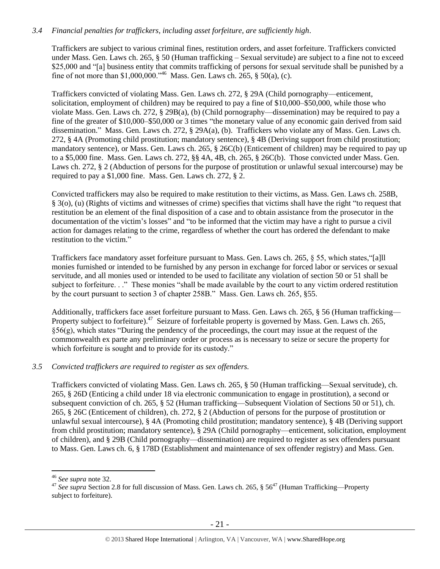## *3.4 Financial penalties for traffickers, including asset forfeiture, are sufficiently high*.

Traffickers are subject to various criminal fines, restitution orders, and asset forfeiture. Traffickers convicted under Mass. Gen. Laws ch. 265, § 50 (Human trafficking – Sexual servitude) are subject to a fine not to exceed \$25,000 and "[a] business entity that commits trafficking of persons for sexual servitude shall be punished by a fine of not more than \$1,000,000."<sup>46</sup> Mass. Gen. Laws ch. 265,  $\S$  50(a), (c).

Traffickers convicted of violating Mass. Gen. Laws ch. 272, § 29A (Child pornography—enticement, solicitation, employment of children) may be required to pay a fine of \$10,000–\$50,000, while those who violate Mass. Gen. Laws ch. 272, § 29B(a), (b) (Child pornography—dissemination) may be required to pay a fine of the greater of \$10,000–\$50,000 or 3 times "the monetary value of any economic gain derived from said dissemination." Mass. Gen. Laws ch. 272, § 29A(a), (b). Traffickers who violate any of Mass. Gen. Laws ch. 272, § 4A (Promoting child prostitution; mandatory sentence), § 4B (Deriving support from child prostitution; mandatory sentence), or Mass. Gen. Laws ch. 265, § 26C(b) (Enticement of children) may be required to pay up to a \$5,000 fine. Mass. Gen. Laws ch. 272, §§ 4A, 4B, ch. 265, § 26C(b). Those convicted under Mass. Gen. Laws ch. 272, § 2 (Abduction of persons for the purpose of prostitution or unlawful sexual intercourse) may be required to pay a \$1,000 fine. Mass. Gen. Laws ch. 272, § 2.

Convicted traffickers may also be required to make restitution to their victims, as Mass. Gen. Laws ch. 258B, § 3(o), (u) (Rights of victims and witnesses of crime) specifies that victims shall have the right "to request that restitution be an element of the final disposition of a case and to obtain assistance from the prosecutor in the documentation of the victim's losses" and "to be informed that the victim may have a right to pursue a civil action for damages relating to the crime, regardless of whether the court has ordered the defendant to make restitution to the victim."

Traffickers face mandatory asset forfeiture pursuant to Mass. Gen. Laws ch. 265, § 55, which states,"[a]ll monies furnished or intended to be furnished by any person in exchange for forced labor or services or sexual servitude, and all monies used or intended to be used to facilitate any violation of section 50 or 51 shall be subject to forfeiture. . ." These monies "shall be made available by the court to any victim ordered restitution by the court pursuant to section 3 of chapter 258B." Mass. Gen. Laws ch. 265, §55.

Additionally, traffickers face asset forfeiture pursuant to Mass. Gen. Laws ch. 265, § 56 (Human trafficking— Property subject to forfeiture).<sup>47</sup> Seizure of forfeitable property is governed by Mass. Gen. Laws ch. 265,  $§56(g)$ , which states "During the pendency of the proceedings, the court may issue at the request of the commonwealth ex parte any preliminary order or process as is necessary to seize or secure the property for which forfeiture is sought and to provide for its custody."

#### *3.5 Convicted traffickers are required to register as sex offenders.*

Traffickers convicted of violating Mass. Gen. Laws ch. 265, § 50 (Human trafficking—Sexual servitude), ch. 265, § 26D (Enticing a child under 18 via electronic communication to engage in prostitution), a second or subsequent conviction of ch. 265, § 52 (Human trafficking—Subsequent Violation of Sections 50 or 51), ch. 265, § 26C (Enticement of children), ch. 272, § 2 (Abduction of persons for the purpose of prostitution or unlawful sexual intercourse), § 4A (Promoting child prostitution; mandatory sentence), § 4B (Deriving support from child prostitution; mandatory sentence), § 29A (Child pornography—enticement, solicitation, employment of children), and § 29B (Child pornography—dissemination) are required to register as sex offenders pursuant to Mass. Gen. Laws ch. 6, § 178D (Establishment and maintenance of sex offender registry) and Mass. Gen.

<sup>46</sup> *See supra* note [32.](#page-16-0)

<sup>&</sup>lt;sup>47</sup> See supra Section 2.8 for full discussion of Mass. Gen. Laws ch. 265, § 56<sup>47</sup> (Human Trafficking—Property subject to forfeiture).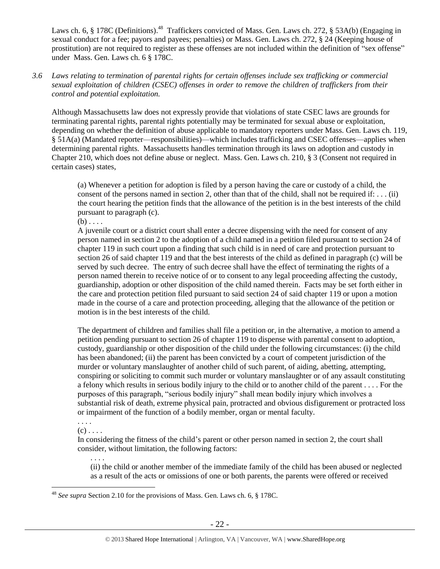Laws ch. 6, § 178C (Definitions).<sup>48</sup> Traffickers convicted of Mass. Gen. Laws ch. 272, § 53A(b) (Engaging in sexual conduct for a fee; payors and payees; penalties) or Mass. Gen. Laws ch. 272, § 24 (Keeping house of prostitution) are not required to register as these offenses are not included within the definition of "sex offense" under Mass. Gen. Laws ch. 6 § 178C.

## *3.6 Laws relating to termination of parental rights for certain offenses include sex trafficking or commercial sexual exploitation of children (CSEC) offenses in order to remove the children of traffickers from their control and potential exploitation.*

Although Massachusetts law does not expressly provide that violations of state CSEC laws are grounds for terminating parental rights, parental rights potentially may be terminated for sexual abuse or exploitation, depending on whether the definition of abuse applicable to mandatory reporters under Mass. Gen. Laws ch. 119, § 51A(a) (Mandated reporter—responsibilities)—which includes trafficking and CSEC offenses—applies when determining parental rights. Massachusetts handles termination through its laws on adoption and custody in Chapter 210, which does not define abuse or neglect. Mass. Gen. Laws ch. 210, § 3 (Consent not required in certain cases) states,

(a) Whenever a petition for adoption is filed by a person having the care or custody of a child, the consent of the persons named in section 2, other than that of the child, shall not be required if:  $\dots$  (ii) the court hearing the petition finds that the allowance of the petition is in the best interests of the child pursuant to paragraph (c).

 $(b) \ldots$ 

A juvenile court or a district court shall enter a decree dispensing with the need for consent of any person named in section 2 to the adoption of a child named in a petition filed pursuant to section 24 of chapter 119 in such court upon a finding that such child is in need of care and protection pursuant to section 26 of said chapter 119 and that the best interests of the child as defined in paragraph (c) will be served by such decree. The entry of such decree shall have the effect of terminating the rights of a person named therein to receive notice of or to consent to any legal proceeding affecting the custody, guardianship, adoption or other disposition of the child named therein. Facts may be set forth either in the care and protection petition filed pursuant to said section 24 of said chapter 119 or upon a motion made in the course of a care and protection proceeding, alleging that the allowance of the petition or motion is in the best interests of the child.

The department of children and families shall file a petition or, in the alternative, a motion to amend a petition pending pursuant to section 26 of chapter 119 to dispense with parental consent to adoption, custody, guardianship or other disposition of the child under the following circumstances: (i) the child has been abandoned; (ii) the parent has been convicted by a court of competent jurisdiction of the murder or voluntary manslaughter of another child of such parent, of aiding, abetting, attempting, conspiring or soliciting to commit such murder or voluntary manslaughter or of any assault constituting a felony which results in serious bodily injury to the child or to another child of the parent . . . . For the purposes of this paragraph, "serious bodily injury" shall mean bodily injury which involves a substantial risk of death, extreme physical pain, protracted and obvious disfigurement or protracted loss or impairment of the function of a bodily member, organ or mental faculty.

. . . .  $(c)$ ...

. . . .

In considering the fitness of the child's parent or other person named in section 2, the court shall consider, without limitation, the following factors:

(ii) the child or another member of the immediate family of the child has been abused or neglected as a result of the acts or omissions of one or both parents, the parents were offered or received

 $\overline{a}$ <sup>48</sup> *See supra* Section 2.10 for the provisions of Mass. Gen. Laws ch. 6, § 178C.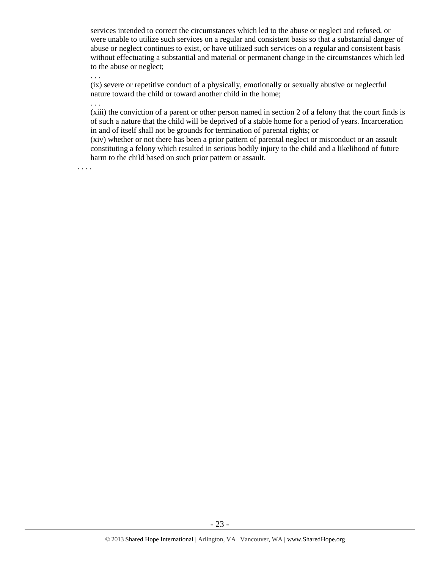services intended to correct the circumstances which led to the abuse or neglect and refused, or were unable to utilize such services on a regular and consistent basis so that a substantial danger of abuse or neglect continues to exist, or have utilized such services on a regular and consistent basis without effectuating a substantial and material or permanent change in the circumstances which led to the abuse or neglect;

(ix) severe or repetitive conduct of a physically, emotionally or sexually abusive or neglectful nature toward the child or toward another child in the home;

. . .

. . .

(xiii) the conviction of a parent or other person named in section 2 of a felony that the court finds is of such a nature that the child will be deprived of a stable home for a period of years. Incarceration in and of itself shall not be grounds for termination of parental rights; or

(xiv) whether or not there has been a prior pattern of parental neglect or misconduct or an assault constituting a felony which resulted in serious bodily injury to the child and a likelihood of future harm to the child based on such prior pattern or assault.

. . . .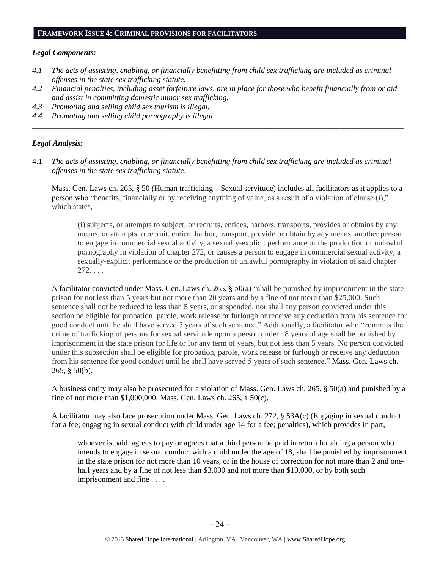#### **FRAMEWORK ISSUE 4: CRIMINAL PROVISIONS FOR FACILITATORS**

#### *Legal Components:*

- *4.1 The acts of assisting, enabling, or financially benefitting from child sex trafficking are included as criminal offenses in the state sex trafficking statute.*
- *4.2 Financial penalties, including asset forfeiture laws, are in place for those who benefit financially from or aid and assist in committing domestic minor sex trafficking.*

*\_\_\_\_\_\_\_\_\_\_\_\_\_\_\_\_\_\_\_\_\_\_\_\_\_\_\_\_\_\_\_\_\_\_\_\_\_\_\_\_\_\_\_\_\_\_\_\_\_\_\_\_\_\_\_\_\_\_\_\_\_\_\_\_\_\_\_\_\_\_\_\_\_\_\_\_\_\_\_\_\_\_\_\_\_\_\_\_\_\_\_\_\_\_*

- *4.3 Promoting and selling child sex tourism is illegal.*
- *4.4 Promoting and selling child pornography is illegal.*

#### *Legal Analysis:*

4.1 *The acts of assisting, enabling, or financially benefitting from child sex trafficking are included as criminal offenses in the state sex trafficking statute*.

Mass. Gen. Laws ch. 265, § 50 (Human trafficking—Sexual servitude) includes all facilitators as it applies to a person who "benefits, financially or by receiving anything of value, as a result of a violation of clause (i)," which states,

(i) subjects, or attempts to subject, or recruits, entices, harbors, transports, provides or obtains by any means, or attempts to recruit, entice, harbor, transport, provide or obtain by any means, another person to engage in commercial sexual activity, a sexually-explicit performance or the production of unlawful pornography in violation of chapter 272, or causes a person to engage in commercial sexual activity, a sexually-explicit performance or the production of unlawful pornography in violation of said chapter 272. . . .

A facilitator convicted under Mass. Gen. Laws ch. 265, § 50(a) "shall be punished by imprisonment in the state prison for not less than 5 years but not more than 20 years and by a fine of not more than \$25,000. Such sentence shall not be reduced to less than 5 years, or suspended, nor shall any person convicted under this section be eligible for probation, parole, work release or furlough or receive any deduction from his sentence for good conduct until he shall have served 5 years of such sentence." Additionally, a facilitator who "commits the crime of trafficking of persons for sexual servitude upon a person under 18 years of age shall be punished by imprisonment in the state prison for life or for any term of years, but not less than 5 years. No person convicted under this subsection shall be eligible for probation, parole, work release or furlough or receive any deduction from his sentence for good conduct until he shall have served 5 years of such sentence." Mass. Gen. Laws ch. 265, § 50(b).

A business entity may also be prosecuted for a violation of Mass. Gen. Laws ch. 265, § 50(a) and punished by a fine of not more than \$1,000,000. Mass. Gen. Laws ch. 265, § 50(c).

A facilitator may also face prosecution under Mass. Gen. Laws ch. 272, § 53A(c) (Engaging in sexual conduct for a fee; engaging in sexual conduct with child under age 14 for a fee; penalties), which provides in part,

whoever is paid, agrees to pay or agrees that a third person be paid in return for aiding a person who intends to engage in sexual conduct with a child under the age of 18, shall be punished by imprisonment in the state prison for not more than 10 years, or in the house of correction for not more than 2 and onehalf years and by a fine of not less than \$3,000 and not more than \$10,000, or by both such imprisonment and fine . . . .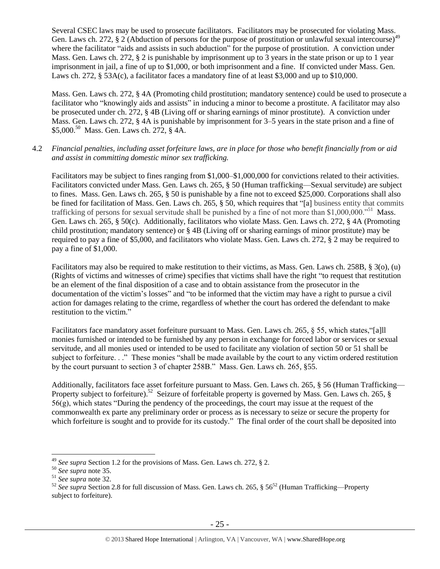Several CSEC laws may be used to prosecute facilitators. Facilitators may be prosecuted for violating Mass. Gen. Laws ch. 272, § 2 (Abduction of persons for the purpose of prostitution or unlawful sexual intercourse)<sup>4</sup> where the facilitator "aids and assists in such abduction" for the purpose of prostitution. A conviction under Mass. Gen. Laws ch. 272, § 2 is punishable by imprisonment up to 3 years in the state prison or up to 1 year imprisonment in jail, a fine of up to \$1,000, or both imprisonment and a fine. If convicted under Mass. Gen. Laws ch. 272, § 53A(c), a facilitator faces a mandatory fine of at least \$3,000 and up to \$10,000.

Mass. Gen. Laws ch. 272, § 4A (Promoting child prostitution; mandatory sentence) could be used to prosecute a facilitator who "knowingly aids and assists" in inducing a minor to become a prostitute. A facilitator may also be prosecuted under ch. 272, § 4B (Living off or sharing earnings of minor prostitute). A conviction under Mass. Gen. Laws ch. 272, § 4A is punishable by imprisonment for 3–5 years in the state prison and a fine of \$5,000. <sup>50</sup> Mass. Gen. Laws ch. 272, § 4A.

4.2 *Financial penalties, including asset forfeiture laws, are in place for those who benefit financially from or aid and assist in committing domestic minor sex trafficking.*

Facilitators may be subject to fines ranging from \$1,000–\$1,000,000 for convictions related to their activities. Facilitators convicted under Mass. Gen. Laws ch. 265, § 50 (Human trafficking—Sexual servitude) are subject to fines. Mass. Gen. Laws ch. 265, § 50 is punishable by a fine not to exceed \$25,000. Corporations shall also be fined for facilitation of Mass. Gen. Laws ch. 265, § 50, which requires that "[a] business entity that commits trafficking of persons for sexual servitude shall be punished by a fine of not more than \$1,000,000."<sup>51</sup> Mass. Gen. Laws ch. 265, § 50(c). Additionally, facilitators who violate Mass. Gen. Laws ch. 272, § 4A (Promoting child prostitution; mandatory sentence) or § 4B (Living off or sharing earnings of minor prostitute) may be required to pay a fine of \$5,000, and facilitators who violate Mass. Gen. Laws ch. 272, § 2 may be required to pay a fine of \$1,000.

Facilitators may also be required to make restitution to their victims, as Mass. Gen. Laws ch. 258B, § 3(o), (u) (Rights of victims and witnesses of crime) specifies that victims shall have the right "to request that restitution be an element of the final disposition of a case and to obtain assistance from the prosecutor in the documentation of the victim's losses" and "to be informed that the victim may have a right to pursue a civil action for damages relating to the crime, regardless of whether the court has ordered the defendant to make restitution to the victim."

Facilitators face mandatory asset forfeiture pursuant to Mass. Gen. Laws ch. 265, § 55, which states,"[a]ll monies furnished or intended to be furnished by any person in exchange for forced labor or services or sexual servitude, and all monies used or intended to be used to facilitate any violation of section 50 or 51 shall be subject to forfeiture. . ." These monies "shall be made available by the court to any victim ordered restitution by the court pursuant to section 3 of chapter 258B." Mass. Gen. Laws ch. 265, §55.

Additionally, facilitators face asset forfeiture pursuant to Mass. Gen. Laws ch. 265, § 56 (Human Trafficking— Property subject to forfeiture).<sup>52</sup> Seizure of forfeitable property is governed by Mass. Gen. Laws ch. 265, § 56(g), which states "During the pendency of the proceedings, the court may issue at the request of the commonwealth ex parte any preliminary order or process as is necessary to seize or secure the property for which forfeiture is sought and to provide for its custody." The final order of the court shall be deposited into

<sup>49</sup> *See supra* Section 1.2 for the provisions of Mass. Gen. Laws ch. 272, § 2.

<sup>50</sup> *See supra* note [35.](#page-16-1)

<sup>51</sup> *See supra* note [32.](#page-16-0)

<sup>&</sup>lt;sup>52</sup> See supra Section 2.8 for full discussion of Mass. Gen. Laws ch. 265, § 56<sup>52</sup> (Human Trafficking—Property subject to forfeiture).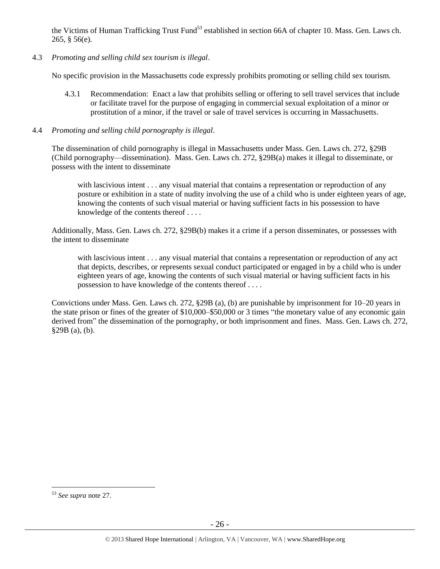the Victims of Human Trafficking Trust Fund<sup>53</sup> established in section 66A of chapter 10. Mass. Gen. Laws ch. 265, § 56(e).

4.3 *Promoting and selling child sex tourism is illegal*.

No specific provision in the Massachusetts code expressly prohibits promoting or selling child sex tourism.

- 4.3.1 Recommendation: Enact a law that prohibits selling or offering to sell travel services that include or facilitate travel for the purpose of engaging in commercial sexual exploitation of a minor or prostitution of a minor, if the travel or sale of travel services is occurring in Massachusetts.
- 4.4 *Promoting and selling child pornography is illegal*.

The dissemination of child pornography is illegal in Massachusetts under Mass. Gen. Laws ch. 272, §29B (Child pornography—dissemination). Mass. Gen. Laws ch. 272, §29B(a) makes it illegal to disseminate, or possess with the intent to disseminate

with lascivious intent . . . any visual material that contains a representation or reproduction of any posture or exhibition in a state of nudity involving the use of a child who is under eighteen years of age, knowing the contents of such visual material or having sufficient facts in his possession to have knowledge of the contents thereof . . . .

Additionally, Mass. Gen. Laws ch. 272, §29B(b) makes it a crime if a person disseminates, or possesses with the intent to disseminate

with lascivious intent . . . any visual material that contains a representation or reproduction of any act that depicts, describes, or represents sexual conduct participated or engaged in by a child who is under eighteen years of age, knowing the contents of such visual material or having sufficient facts in his possession to have knowledge of the contents thereof . . . .

Convictions under Mass. Gen. Laws ch. 272, §29B (a), (b) are punishable by imprisonment for 10–20 years in the state prison or fines of the greater of \$10,000–\$50,000 or 3 times "the monetary value of any economic gain derived from" the dissemination of the pornography, or both imprisonment and fines. Mass. Gen. Laws ch. 272, §29B (a), (b).

<sup>53</sup> *See supra* note [27.](#page-13-0)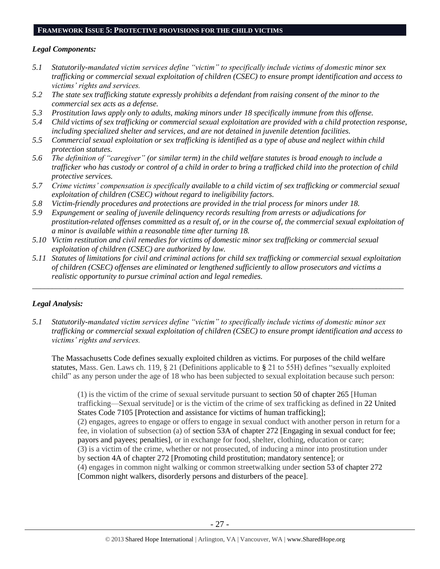#### **FRAMEWORK ISSUE 5: PROTECTIVE PROVISIONS FOR THE CHILD VICTIMS**

#### *Legal Components:*

- <span id="page-26-0"></span>*5.1 Statutorily-mandated victim services define "victim" to specifically include victims of domestic minor sex trafficking or commercial sexual exploitation of children (CSEC) to ensure prompt identification and access to victims' rights and services.*
- *5.2 The state sex trafficking statute expressly prohibits a defendant from raising consent of the minor to the commercial sex acts as a defense.*
- *5.3 Prostitution laws apply only to adults, making minors under 18 specifically immune from this offense.*
- <span id="page-26-1"></span>*5.4 Child victims of sex trafficking or commercial sexual exploitation are provided with a child protection response, including specialized shelter and services, and are not detained in juvenile detention facilities.*
- *5.5 Commercial sexual exploitation or sex trafficking is identified as a type of abuse and neglect within child protection statutes.*
- *5.6 The definition of "caregiver" (or similar term) in the child welfare statutes is broad enough to include a trafficker who has custody or control of a child in order to bring a trafficked child into the protection of child protective services.*
- *5.7 Crime victims' compensation is specifically available to a child victim of sex trafficking or commercial sexual exploitation of children (CSEC) without regard to ineligibility factors.*
- *5.8 Victim-friendly procedures and protections are provided in the trial process for minors under 18.*
- *5.9 Expungement or sealing of juvenile delinquency records resulting from arrests or adjudications for prostitution-related offenses committed as a result of, or in the course of, the commercial sexual exploitation of a minor is available within a reasonable time after turning 18.*
- *5.10 Victim restitution and civil remedies for victims of domestic minor sex trafficking or commercial sexual exploitation of children (CSEC) are authorized by law.*
- *5.11 Statutes of limitations for civil and criminal actions for child sex trafficking or commercial sexual exploitation of children (CSEC) offenses are eliminated or lengthened sufficiently to allow prosecutors and victims a realistic opportunity to pursue criminal action and legal remedies.*

*\_\_\_\_\_\_\_\_\_\_\_\_\_\_\_\_\_\_\_\_\_\_\_\_\_\_\_\_\_\_\_\_\_\_\_\_\_\_\_\_\_\_\_\_\_\_\_\_\_\_\_\_\_\_\_\_\_\_\_\_\_\_\_\_\_\_\_\_\_\_\_\_\_\_\_\_\_\_\_\_\_\_\_\_\_\_\_\_\_\_\_\_\_\_*

#### *Legal Analysis:*

*5.1 Statutorily-mandated victim services define "victim" to specifically include victims of domestic minor sex trafficking or commercial sexual exploitation of children (CSEC) to ensure prompt identification and access to victims' rights and services.*

The Massachusetts Code defines sexually exploited children as victims. For purposes of the child welfare statutes, Mass. Gen. Laws ch. 119, § 21 (Definitions applicable to **§** 21 to 55H) defines "sexually exploited child" as any person under the age of 18 who has been subjected to sexual exploitation because such person:

(1) is the victim of the crime of sexual servitude pursuant to section 50 of chapter 265 [Human trafficking—Sexual servitude] or is the victim of the crime of sex trafficking as defined in 22 United States Code 7105 [Protection and assistance for victims of human trafficking]; (2) engages, agrees to engage or offers to engage in sexual conduct with another person in return for a fee, in violation of subsection (a) of section 53A of chapter 272 [Engaging in sexual conduct for fee; payors and payees; penalties], or in exchange for food, shelter, clothing, education or care; (3) is a victim of the crime, whether or not prosecuted, of inducing a minor into prostitution under by section 4A of chapter 272 [Promoting child prostitution; mandatory sentence]; or (4) engages in common night walking or common streetwalking under section 53 of chapter 272 [Common night walkers, disorderly persons and disturbers of the peace].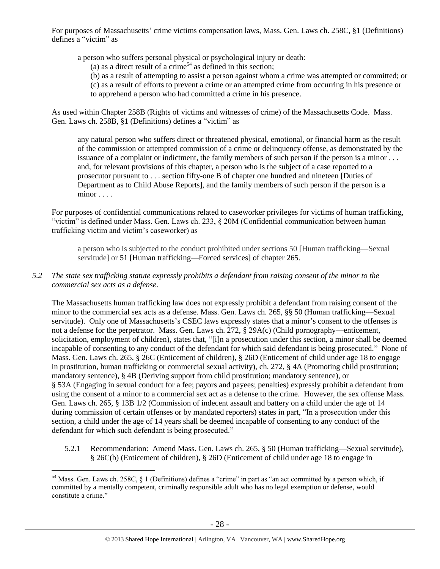For purposes of Massachusetts' crime victims compensation laws, Mass. Gen. Laws ch. 258C, §1 (Definitions) defines a "victim" as

a person who suffers personal physical or psychological injury or death:

(a) as a direct result of a crime<sup>54</sup> as defined in this section;

- (b) as a result of attempting to assist a person against whom a crime was attempted or committed; or
- (c) as a result of efforts to prevent a crime or an attempted crime from occurring in his presence or
- to apprehend a person who had committed a crime in his presence.

As used within Chapter 258B (Rights of victims and witnesses of crime) of the Massachusetts Code. Mass. Gen. Laws ch. 258B, §1 (Definitions) defines a "victim" as

any natural person who suffers direct or threatened physical, emotional, or financial harm as the result of the commission or attempted commission of a crime or delinquency offense, as demonstrated by the issuance of a complaint or indictment, the family members of such person if the person is a minor . . . and, for relevant provisions of this chapter, a person who is the subject of a case reported to a prosecutor pursuant to . . . [section fifty-one B of chapter one hundred and nineteen](https://a.next.westlaw.com/Link/Document/FullText?findType=L&pubNum=1000042&cite=MAST119S51B&originatingDoc=NB51C3450173D11DB9292C066B0348FB7&refType=LQ&originationContext=document&transitionType=DocumentItem&contextData=(sc.Search)) [Duties of Department as to Child Abuse Reports], and the family members of such person if the person is a minor . . . .

For purposes of confidential communications related to caseworker privileges for victims of human trafficking, "victim" is defined under Mass. Gen. Laws ch. 233, § 20M (Confidential communication between human trafficking victim and victim's caseworker) as

a person who is subjected to the conduct prohibited under sections 50 [Human trafficking—Sexual servitude] or 51 [Human trafficking—Forced services] of chapter 265.

## *5.2 The state sex trafficking statute expressly prohibits a defendant from raising consent of the minor to the commercial sex acts as a defense.*

The Massachusetts human trafficking law does not expressly prohibit a defendant from raising consent of the minor to the commercial sex acts as a defense. Mass. Gen. Laws ch. 265, §§ 50 (Human trafficking—Sexual servitude). Only one of Massachusetts's CSEC laws expressly states that a minor's consent to the offenses is not a defense for the perpetrator. Mass. Gen. Laws ch. 272, § 29A(c) (Child pornography—enticement, solicitation, employment of children), states that, "[i]n a prosecution under this section, a minor shall be deemed incapable of consenting to any conduct of the defendant for which said defendant is being prosecuted." None of Mass. Gen. Laws ch. 265, § 26C (Enticement of children), § 26D (Enticement of child under age 18 to engage in prostitution, human trafficking or commercial sexual activity), ch. 272, § 4A (Promoting child prostitution; mandatory sentence), § 4B (Deriving support from child prostitution; mandatory sentence), or § 53A (Engaging in sexual conduct for a fee; payors and payees; penalties) expressly prohibit a defendant from using the consent of a minor to a commercial sex act as a defense to the crime. However, the sex offense Mass. Gen. Laws ch. 265, § 13B 1/2 (Commission of indecent assault and battery on a child under the age of 14 during commission of certain offenses or by mandated reporters) states in part, "In a prosecution under this section, a child under the age of 14 years shall be deemed incapable of consenting to any conduct of the defendant for which such defendant is being prosecuted."

5.2.1 Recommendation: Amend Mass. Gen. Laws ch. 265, § 50 (Human trafficking—Sexual servitude), § 26C(b) (Enticement of children), § 26D (Enticement of child under age 18 to engage in

 $54$  Mass. Gen. Laws ch. 258C, § 1 (Definitions) defines a "crime" in part as "an act committed by a person which, if committed by a mentally competent, criminally responsible adult who has no legal exemption or defense, would constitute a crime."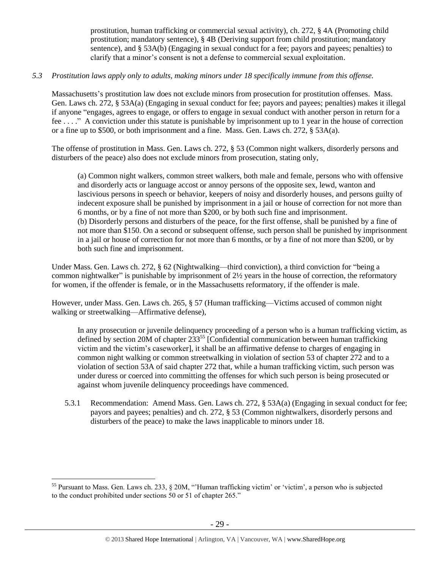prostitution, human trafficking or commercial sexual activity), ch. 272, § 4A (Promoting child prostitution; mandatory sentence), § 4B (Deriving support from child prostitution; mandatory sentence), and § 53A(b) (Engaging in sexual conduct for a fee; payors and payees; penalties) to clarify that a minor's consent is not a defense to commercial sexual exploitation.

## *5.3 Prostitution laws apply only to adults, making minors under 18 specifically immune from this offense.*

Massachusetts's prostitution law does not exclude minors from prosecution for prostitution offenses. Mass. Gen. Laws ch. 272, § 53A(a) (Engaging in sexual conduct for fee; payors and payees; penalties) makes it illegal if anyone "engages, agrees to engage, or offers to engage in sexual conduct with another person in return for a fee . . . ." A conviction under this statute is punishable by imprisonment up to 1 year in the house of correction or a fine up to \$500, or both imprisonment and a fine. Mass. Gen. Laws ch. 272, § 53A(a).

The offense of prostitution in Mass. Gen. Laws ch. 272, § 53 (Common night walkers, disorderly persons and disturbers of the peace) also does not exclude minors from prosecution, stating only,

(a) Common night walkers, common street walkers, both male and female, persons who with offensive and disorderly acts or language accost or annoy persons of the opposite sex, lewd, wanton and lascivious persons in speech or behavior, keepers of noisy and disorderly houses, and persons guilty of indecent exposure shall be punished by imprisonment in a jail or house of correction for not more than 6 months, or by a fine of not more than \$200, or by both such fine and imprisonment. (b) Disorderly persons and disturbers of the peace, for the first offense, shall be punished by a fine of not more than \$150. On a second or subsequent offense, such person shall be punished by imprisonment in a jail or house of correction for not more than 6 months, or by a fine of not more than \$200, or by both such fine and imprisonment.

Under Mass. Gen. Laws ch. 272, § 62 (Nightwalking—third conviction), a third conviction for "being a common nightwalker" is punishable by imprisonment of 2½ years in the house of correction, the reformatory for women, if the offender is female, or in the Massachusetts reformatory, if the offender is male.

However, under Mass. Gen. Laws ch. 265, § 57 (Human trafficking—Victims accused of common night walking or streetwalking—Affirmative defense),

In any prosecution or juvenile delinquency proceeding of a person who is a human trafficking victim, as defined by section 20M of chapter  $233^{55}$  [Confidential communication between human trafficking victim and the victim's caseworker], it shall be an affirmative defense to charges of engaging in common night walking or common streetwalking in violation of section 53 of chapter 272 and to a violation of section 53A of said chapter 272 that, while a human trafficking victim, such person was under duress or coerced into committing the offenses for which such person is being prosecuted or against whom juvenile delinquency proceedings have commenced.

5.3.1 Recommendation: Amend Mass. Gen. Laws ch. 272, § 53A(a) (Engaging in sexual conduct for fee; payors and payees; penalties) and ch. 272, § 53 (Common nightwalkers, disorderly persons and disturbers of the peace) to make the laws inapplicable to minors under 18.

<sup>&</sup>lt;sup>55</sup> Pursuant to Mass. Gen. Laws ch. 233,  $\S$  20M, "Human trafficking victim' or 'victim', a person who is subjected to the conduct prohibited under sections 50 or 51 of chapter 265."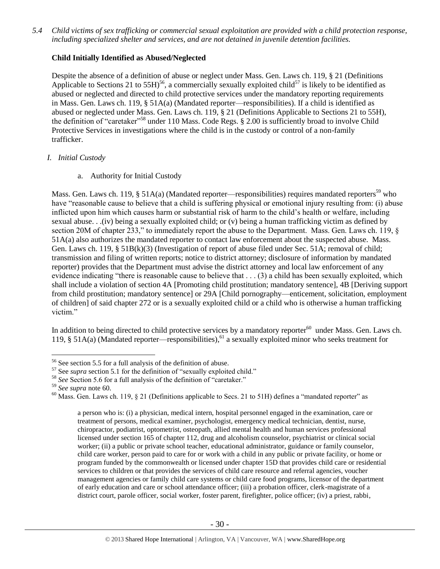*5.4 Child victims of sex trafficking or commercial sexual exploitation are provided with a child protection response, including specialized shelter and services, and are not detained in juvenile detention facilities.*

# **Child Initially Identified as Abused/Neglected**

Despite the absence of a definition of abuse or neglect under Mass. Gen. Laws ch. 119, § 21 (Definitions Applicable to Sections 21 to 55H)<sup>56</sup>, a commercially sexually exploited child<sup>57</sup> is likely to be identified as abused or neglected and directed to child protective services under the mandatory reporting requirements in Mass. Gen. Laws ch. 119, § 51A(a) (Mandated reporter—responsibilities). If a child is identified as abused or neglected under Mass. Gen. Laws ch. 119, § 21 (Definitions Applicable to Sections 21 to 55H), the definition of "caretaker"<sup>58</sup> under 110 Mass. Code Regs. § 2.00 is sufficiently broad to involve Child Protective Services in investigations where the child is in the custody or control of a non-family trafficker.

## *I. Initial Custody*

a. Authority for Initial Custody

Mass. Gen. Laws ch. 119, § 51A(a) (Mandated reporter—responsibilities) requires mandated reporters<sup>59</sup> who have "reasonable cause to believe that a child is suffering physical or emotional injury resulting from: (i) abuse inflicted upon him which causes harm or substantial risk of harm to the child's health or welfare, including sexual abuse. . .(iv) being a sexually exploited child; or (v) being a human trafficking victim as defined by section 20M of chapter 233," to immediately report the abuse to the Department. Mass. Gen. Laws ch. 119,  $\&$ 51A(a) also authorizes the mandated reporter to contact law enforcement about the suspected abuse. Mass. Gen. Laws ch. 119, § 51B(k)(3) (Investigation of report of abuse filed under Sec. 51A; removal of child; transmission and filing of written reports; notice to district attorney; disclosure of information by mandated reporter) provides that the Department must advise the district attorney and local law enforcement of any evidence indicating "there is reasonable cause to believe that . . . (3) a child has been sexually exploited, which shall include a violation of section 4A [Promoting child prostitution; mandatory sentence], 4B [Deriving support from child prostitution; mandatory sentence] or 29A [Child pornography—enticement, solicitation, employment of children] of said chapter 272 or is a sexually exploited child or a child who is otherwise a human trafficking victim."

In addition to being directed to child protective services by a mandatory reporter $60$  under Mass. Gen. Laws ch. 119, § 51A(a) (Mandated reporter—responsibilities), <sup>61</sup> a sexually exploited minor who seeks treatment for

 $\overline{a}$ 

<span id="page-29-0"></span>a person who is: (i) a physician, medical intern, hospital personnel engaged in the examination, care or treatment of persons, medical examiner, psychologist, emergency medical technician, dentist, nurse, chiropractor, podiatrist, optometrist, osteopath, allied mental health and human services professional licensed under section 165 of chapter 112, drug and alcoholism counselor, psychiatrist or clinical social worker; (ii) a public or private school teacher, educational administrator, guidance or family counselor, child care worker, person paid to care for or work with a child in any public or private facility, or home or program funded by the commonwealth or licensed under chapter 15D that provides child care or residential services to children or that provides the services of child care resource and referral agencies, voucher management agencies or family child care systems or child care food programs, licensor of the department of early education and care or school attendance officer; (iii) a probation officer, clerk-magistrate of a district court, parole officer, social worker, foster parent, firefighter, police officer; (iv) a priest, rabbi,

<sup>56</sup> See section 5.5 for a full analysis of the definition of abuse.

<sup>57</sup> See *supra* section [5.1](#page-26-0) for the definition of "sexually exploited child."

<sup>&</sup>lt;sup>58</sup> See Section 5.6 for a full analysis of the definition of "caretaker."

<sup>59</sup> *See supra* note [60.](#page-29-0)

<sup>&</sup>lt;sup>60</sup> Mass. Gen. Laws ch. 119, § 21 (Definitions applicable to Secs. 21 to 51H) defines a "mandated reporter" as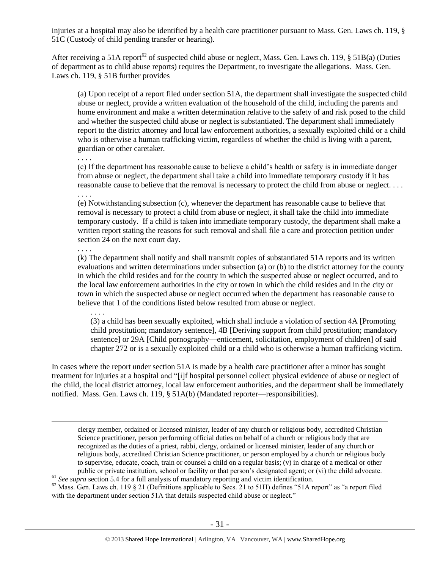injuries at a hospital may also be identified by a health care practitioner pursuant to Mass. Gen. Laws ch. 119, § 51C (Custody of child pending transfer or hearing).

After receiving a 51A report<sup>62</sup> of suspected child abuse or neglect, Mass. Gen. Laws ch. 119,  $\S$  51B(a) (Duties of department as to child abuse reports) requires the Department, to investigate the allegations. Mass. Gen. Laws ch. 119, § 51B further provides

(a) Upon receipt of a report filed under section 51A, the department shall investigate the suspected child abuse or neglect, provide a written evaluation of the household of the child, including the parents and home environment and make a written determination relative to the safety of and risk posed to the child and whether the suspected child abuse or neglect is substantiated. The department shall immediately report to the district attorney and local law enforcement authorities, a sexually exploited child or a child who is otherwise a human trafficking victim, regardless of whether the child is living with a parent, guardian or other caretaker. . . . .

(c) If the department has reasonable cause to believe a child's health or safety is in immediate danger from abuse or neglect, the department shall take a child into immediate temporary custody if it has reasonable cause to believe that the removal is necessary to protect the child from abuse or neglect. . . . . . . .

(e) Notwithstanding subsection (c), whenever the department has reasonable cause to believe that removal is necessary to protect a child from abuse or neglect, it shall take the child into immediate temporary custody. If a child is taken into immediate temporary custody, the department shall make a written report stating the reasons for such removal and shall file a care and protection petition under section 24 on the next court day.

#### . . . .

 $\overline{a}$ 

(k) The department shall notify and shall transmit copies of substantiated 51A reports and its written evaluations and written determinations under subsection (a) or (b) to the district attorney for the county in which the child resides and for the county in which the suspected abuse or neglect occurred, and to the local law enforcement authorities in the city or town in which the child resides and in the city or town in which the suspected abuse or neglect occurred when the department has reasonable cause to believe that 1 of the conditions listed below resulted from abuse or neglect.

. . . .

(3) a child has been sexually exploited, which shall include a violation of section 4A [Promoting child prostitution; mandatory sentence], 4B [Deriving support from child prostitution; mandatory sentence] or 29A [Child pornography—enticement, solicitation, employment of children] of said chapter 272 or is a sexually exploited child or a child who is otherwise a human trafficking victim.

In cases where the report under section 51A is made by a health care practitioner after a minor has sought treatment for injuries at a hospital and "[i]f hospital personnel collect physical evidence of abuse or neglect of the child, the local district attorney, local law enforcement authorities, and the department shall be immediately notified. Mass. Gen. Laws ch. 119, § 51A(b) (Mandated reporter—responsibilities).

clergy member, ordained or licensed minister, leader of any church or religious body, accredited Christian Science practitioner, person performing official duties on behalf of a church or religious body that are recognized as the duties of a priest, rabbi, clergy, ordained or licensed minister, leader of any church or religious body, accredited Christian Science practitioner, or person employed by a church or religious body to supervise, educate, coach, train or counsel a child on a regular basis; (v) in charge of a medical or other public or private institution, school or facility or that person's designated agent; or (vi) the child advocate.

<sup>61</sup> See supra sectio[n 5.4](#page-26-1) for a full analysis of mandatory reporting and victim identification.

<sup>62</sup> Mass. Gen. Laws ch. 119 § 21 (Definitions applicable to Secs. 21 to 51H) defines "51A report" as "a report filed with the department under section 51A that details suspected child abuse or neglect."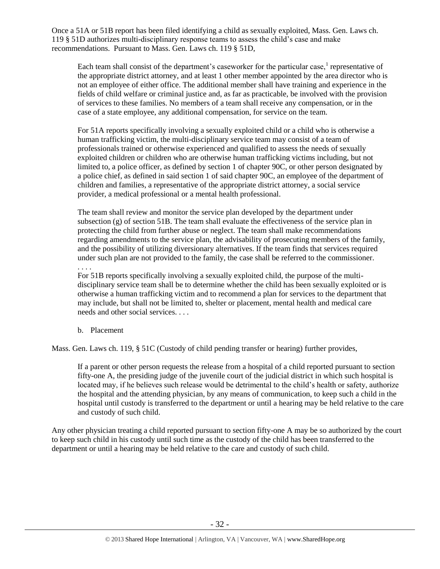Once a 51A or 51B report has been filed identifying a child as sexually exploited, Mass. Gen. Laws ch. 119 § 51D authorizes multi-disciplinary response teams to assess the child's case and make recommendations. Pursuant to Mass. Gen. Laws ch. 119 § 51D,

Each team shall consist of the department's caseworker for the particular case, $<sup>1</sup>$  representative of</sup> the appropriate district attorney, and at least 1 other member appointed by the area director who is not an employee of either office. The additional member shall have training and experience in the fields of child welfare or criminal justice and, as far as practicable, be involved with the provision of services to these families. No members of a team shall receive any compensation, or in the case of a state employee, any additional compensation, for service on the team.

For 51A reports specifically involving a sexually exploited child or a child who is otherwise a human trafficking victim, the multi-disciplinary service team may consist of a team of professionals trained or otherwise experienced and qualified to assess the needs of sexually exploited children or children who are otherwise human trafficking victims including, but not limited to, a police officer, as defined by section 1 of chapter 90C, or other person designated by a police chief, as defined in said section 1 of said chapter 90C, an employee of the department of children and families, a representative of the appropriate district attorney, a social service provider, a medical professional or a mental health professional.

The team shall review and monitor the service plan developed by the department under subsection (g) of section 51B. The team shall evaluate the effectiveness of the service plan in protecting the child from further abuse or neglect. The team shall make recommendations regarding amendments to the service plan, the advisability of prosecuting members of the family, and the possibility of utilizing diversionary alternatives. If the team finds that services required under such plan are not provided to the family, the case shall be referred to the commissioner.

. . . .

For 51B reports specifically involving a sexually exploited child, the purpose of the multidisciplinary service team shall be to determine whether the child has been sexually exploited or is otherwise a human trafficking victim and to recommend a plan for services to the department that may include, but shall not be limited to, shelter or placement, mental health and medical care needs and other social services. . . .

b. Placement

Mass. Gen. Laws ch. 119, § 51C (Custody of child pending transfer or hearing) further provides,

If a parent or other person requests the release from a hospital of a child reported pursuant to section fifty-one A, the presiding judge of the juvenile court of the judicial district in which such hospital is located may, if he believes such release would be detrimental to the child's health or safety, authorize the hospital and the attending physician, by any means of communication, to keep such a child in the hospital until custody is transferred to the department or until a hearing may be held relative to the care and custody of such child.

Any other physician treating a child reported pursuant to section fifty-one A may be so authorized by the court to keep such child in his custody until such time as the custody of the child has been transferred to the department or until a hearing may be held relative to the care and custody of such child.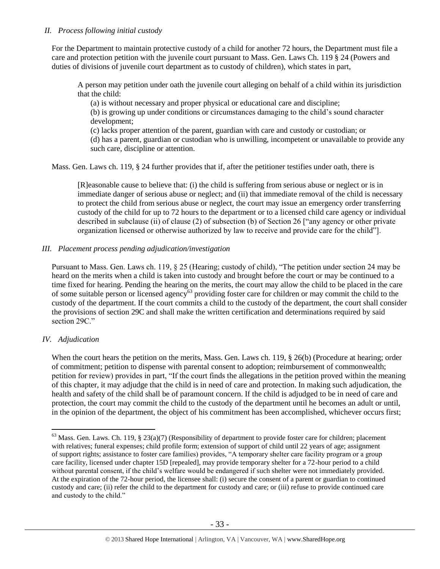## *II. Process following initial custody*

For the Department to maintain protective custody of a child for another 72 hours, the Department must file a care and protection petition with the juvenile court pursuant to Mass. Gen. Laws Ch. 119 § 24 (Powers and duties of divisions of juvenile court department as to custody of children), which states in part,

A person may petition under oath the juvenile court alleging on behalf of a child within its jurisdiction that the child:

(a) is without necessary and proper physical or educational care and discipline;

(b) is growing up under conditions or circumstances damaging to the child's sound character development;

(c) lacks proper attention of the parent, guardian with care and custody or custodian; or (d) has a parent, guardian or custodian who is unwilling, incompetent or unavailable to provide any such care, discipline or attention.

Mass. Gen. Laws ch. 119, § 24 further provides that if, after the petitioner testifies under oath, there is

[R]easonable cause to believe that: (i) the child is suffering from serious abuse or neglect or is in immediate danger of serious abuse or neglect; and (ii) that immediate removal of the child is necessary to protect the child from serious abuse or neglect, the court may issue an emergency order transferring custody of the child for up to 72 hours to the department or to a licensed child care agency or individual described in subclause (ii) of clause (2) of subsection (b) of Section 26 ["any agency or other private organization licensed or otherwise authorized by law to receive and provide care for the child"].

## *III. Placement process pending adjudication/investigation*

Pursuant to Mass. Gen. Laws ch. 119, § 25 (Hearing; custody of child), "The petition under section 24 may be heard on the merits when a child is taken into custody and brought before the court or may be continued to a time fixed for hearing. Pending the hearing on the merits, the court may allow the child to be placed in the care of some suitable person or licensed agency<sup>63</sup> providing foster care for children or may commit the child to the custody of the department. If the court commits a child to the custody of the department, the court shall consider the provisions of section 29C and shall make the written certification and determinations required by said section 29C."

# *IV. Adjudication*

 $\overline{a}$ 

When the court hears the petition on the merits, Mass. Gen. Laws ch. 119, § 26(b) (Procedure at hearing; order of commitment; petition to dispense with parental consent to adoption; reimbursement of commonwealth; petition for review) provides in part, "If the court finds the allegations in the petition proved within the meaning of this chapter, it may adjudge that the child is in need of care and protection. In making such adjudication, the health and safety of the child shall be of paramount concern. If the child is adjudged to be in need of care and protection, the court may commit the child to the custody of the department until he becomes an adult or until, in the opinion of the department, the object of his commitment has been accomplished, whichever occurs first;

 $63$  Mass. Gen. Laws. Ch. 119, § 23(a)(7) (Responsibility of department to provide foster care for children; placement with relatives; funeral expenses; child profile form; extension of support of child until 22 years of age; assignment of support rights; assistance to foster care families) provides, "A temporary shelter care facility program or a group care facility, licensed under chapter 15D [repealed], may provide temporary shelter for a 72-hour period to a child without parental consent, if the child's welfare would be endangered if such shelter were not immediately provided. At the expiration of the 72-hour period, the licensee shall: (i) secure the consent of a parent or guardian to continued custody and care; (ii) refer the child to the department for custody and care; or (iii) refuse to provide continued care and custody to the child."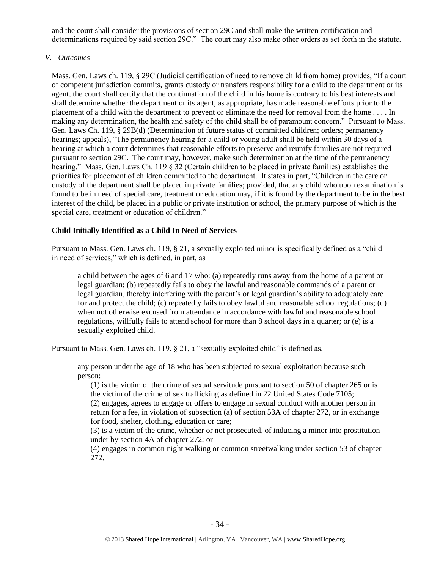and the court shall consider the provisions of section 29C and shall make the written certification and determinations required by said section 29C." The court may also make other orders as set forth in the statute.

## *V. Outcomes*

Mass. Gen. Laws ch. 119, § 29C (Judicial certification of need to remove child from home) provides, "If a court of competent jurisdiction commits, grants custody or transfers responsibility for a child to the department or its agent, the court shall certify that the continuation of the child in his home is contrary to his best interests and shall determine whether the department or its agent, as appropriate, has made reasonable efforts prior to the placement of a child with the department to prevent or eliminate the need for removal from the home . . . . In making any determination, the health and safety of the child shall be of paramount concern." Pursuant to Mass. Gen. Laws Ch. 119, § 29B(d) (Determination of future status of committed children; orders; permanency hearings; appeals), "The permanency hearing for a child or young adult shall be held within 30 days of a hearing at which a court determines that reasonable efforts to preserve and reunify families are not required pursuant to section 29C. The court may, however, make such determination at the time of the permanency hearing." Mass. Gen. Laws Ch. 119 § 32 (Certain children to be placed in private families) establishes the priorities for placement of children committed to the department. It states in part, "Children in the care or custody of the department shall be placed in private families; provided, that any child who upon examination is found to be in need of special care, treatment or education may, if it is found by the department to be in the best interest of the child, be placed in a public or private institution or school, the primary purpose of which is the special care, treatment or education of children."

# **Child Initially Identified as a Child In Need of Services**

Pursuant to Mass. Gen. Laws ch. 119, § 21, a sexually exploited minor is specifically defined as a "child in need of services," which is defined, in part, as

a child between the ages of 6 and 17 who: (a) repeatedly runs away from the home of a parent or legal guardian; (b) repeatedly fails to obey the lawful and reasonable commands of a parent or legal guardian, thereby interfering with the parent's or legal guardian's ability to adequately care for and protect the child; (c) repeatedly fails to obey lawful and reasonable school regulations; (d) when not otherwise excused from attendance in accordance with lawful and reasonable school regulations, willfully fails to attend school for more than 8 school days in a quarter; or (e) is a sexually exploited child.

Pursuant to Mass. Gen. Laws ch. 119, § 21, a "sexually exploited child" is defined as,

any person under the age of 18 who has been subjected to sexual exploitation because such person:

(1) is the victim of the crime of sexual servitude pursuant to section 50 of chapter 265 or is the victim of the crime of sex trafficking as defined in 22 United States Code 7105;

(2) engages, agrees to engage or offers to engage in sexual conduct with another person in return for a fee, in violation of subsection (a) of section 53A of chapter 272, or in exchange for food, shelter, clothing, education or care;

(3) is a victim of the crime, whether or not prosecuted, of inducing a minor into prostitution under by section 4A of chapter 272; or

(4) engages in common night walking or common streetwalking under section 53 of chapter 272.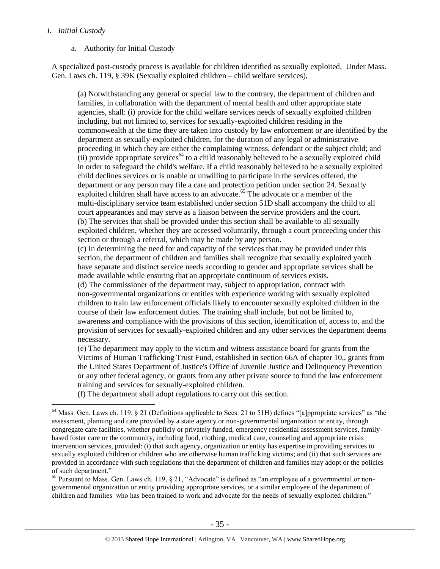## *I. Initial Custody*

 $\overline{a}$ 

## a. Authority for Initial Custody

A specialized post-custody process is available for children identified as sexually exploited. Under Mass. Gen. Laws ch. 119, § 39K (Sexually exploited children – child welfare services),

(a) Notwithstanding any general or special law to the contrary, the department of children and families, in collaboration with the department of mental health and other appropriate state agencies, shall: (i) provide for the child welfare services needs of sexually exploited children including, but not limited to, services for sexually-exploited children residing in the commonwealth at the time they are taken into custody by law enforcement or are identified by the department as sexually-exploited children, for the duration of any legal or administrative proceeding in which they are either the complaining witness, defendant or the subject child; and  $(iii)$  provide appropriate services<sup>64</sup> to a child reasonably believed to be a sexually exploited child in order to safeguard the child's welfare. If a child reasonably believed to be a sexually exploited child declines services or is unable or unwilling to participate in the services offered, the department or any person may file a care and protection petition under section 24. Sexually exploited children shall have access to an advocate.<sup>65</sup> The advocate or a member of the multi-disciplinary service team established under section 51D shall accompany the child to all court appearances and may serve as a liaison between the service providers and the court. (b) The services that shall be provided under this section shall be available to all sexually exploited children, whether they are accessed voluntarily, through a court proceeding under this section or through a referral, which may be made by any person.

(c) In determining the need for and capacity of the services that may be provided under this section, the department of children and families shall recognize that sexually exploited youth have separate and distinct service needs according to gender and appropriate services shall be made available while ensuring that an appropriate continuum of services exists.

(d) The commissioner of the department may, subject to appropriation, contract with non-governmental organizations or entities with experience working with sexually exploited children to train law enforcement officials likely to encounter sexually exploited children in the course of their law enforcement duties. The training shall include, but not be limited to, awareness and compliance with the provisions of this section, identification of, access to, and the provision of services for sexually-exploited children and any other services the department deems necessary.

(e) The department may apply to the victim and witness assistance board for grants from the Victims of Human Trafficking Trust Fund, established in section 66A of chapter 10,, grants from the United States Department of Justice's Office of Juvenile Justice and Delinquency Prevention or any other federal agency, or grants from any other private source to fund the law enforcement training and services for sexually-exploited children.

(f) The department shall adopt regulations to carry out this section.

<sup>65</sup> Pursuant to Mass. Gen. Laws ch. 119, § 21, "Advocate" is defined as "an employee of a governmental or nongovernmental organization or entity providing appropriate services, or a similar employee of the department of children and families who has been trained to work and advocate for the needs of sexually exploited children."

 $64$  Mass. Gen. Laws ch. 119, § 21 (Definitions applicable to Secs. 21 to 51H) defines "[a]ppropriate services" as "the assessment, planning and care provided by a state agency or non-governmental organization or entity, through congregate care facilities, whether publicly or privately funded, emergency residential assessment services, familybased foster care or the community, including food, clothing, medical care, counseling and appropriate crisis intervention services, provided: (i) that such agency, organization or entity has expertise in providing services to sexually exploited children or children who are otherwise human trafficking victims; and (ii) that such services are provided in accordance with such regulations that the department of children and families may adopt or the policies of such department."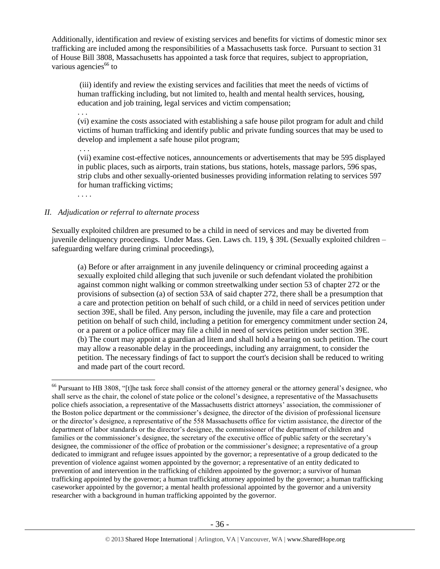Additionally, identification and review of existing services and benefits for victims of domestic minor sex trafficking are included among the responsibilities of a Massachusetts task force. Pursuant to section 31 of House Bill 3808, Massachusetts has appointed a task force that requires, subject to appropriation, various agencies $^{66}$  to

<span id="page-35-0"></span>(iii) identify and review the existing services and facilities that meet the needs of victims of human trafficking including, but not limited to, health and mental health services, housing, education and job training, legal services and victim compensation;

. . .

(vi) examine the costs associated with establishing a safe house pilot program for adult and child victims of human trafficking and identify public and private funding sources that may be used to develop and implement a safe house pilot program;

. . . (vii) examine cost-effective notices, announcements or advertisements that may be 595 displayed in public places, such as airports, train stations, bus stations, hotels, massage parlors, 596 spas, strip clubs and other sexually-oriented businesses providing information relating to services 597 for human trafficking victims;

. . . .

 $\overline{a}$ 

## *II. Adjudication or referral to alternate process*

Sexually exploited children are presumed to be a child in need of services and may be diverted from juvenile delinquency proceedings. Under Mass. Gen. Laws ch. 119, § 39L (Sexually exploited children – safeguarding welfare during criminal proceedings),

(a) Before or after arraignment in any juvenile delinquency or criminal proceeding against a sexually exploited child alleging that such juvenile or such defendant violated the prohibition against common night walking or common streetwalking under section 53 of chapter 272 or the provisions of subsection (a) of section 53A of said chapter 272, there shall be a presumption that a care and protection petition on behalf of such child, or a child in need of services petition under section 39E, shall be filed. Any person, including the juvenile, may file a care and protection petition on behalf of such child, including a petition for emergency commitment under section 24, or a parent or a police officer may file a child in need of services petition under section 39E. (b) The court may appoint a guardian ad litem and shall hold a hearing on such petition. The court may allow a reasonable delay in the proceedings, including any arraignment, to consider the petition. The necessary findings of fact to support the court's decision shall be reduced to writing and made part of the court record.

<sup>&</sup>lt;sup>66</sup> Pursuant to HB 3808, "[t]he task force shall consist of the attorney general or the attorney general's designee, who shall serve as the chair, the colonel of state police or the colonel's designee, a representative of the Massachusetts police chiefs association, a representative of the Massachusetts district attorneys' association, the commissioner of the Boston police department or the commissioner's designee, the director of the division of professional licensure or the director's designee, a representative of the 558 Massachusetts office for victim assistance, the director of the department of labor standards or the director's designee, the commissioner of the department of children and families or the commissioner's designee, the secretary of the executive office of public safety or the secretary's designee, the commissioner of the office of probation or the commissioner's designee; a representative of a group dedicated to immigrant and refugee issues appointed by the governor; a representative of a group dedicated to the prevention of violence against women appointed by the governor; a representative of an entity dedicated to prevention of and intervention in the trafficking of children appointed by the governor; a survivor of human trafficking appointed by the governor; a human trafficking attorney appointed by the governor; a human trafficking caseworker appointed by the governor; a mental health professional appointed by the governor and a university researcher with a background in human trafficking appointed by the governor.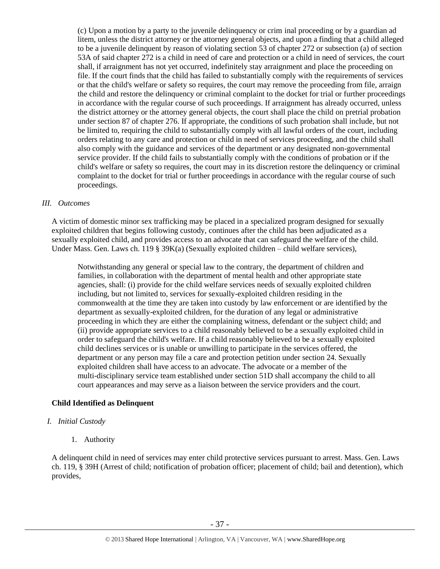(c) Upon a motion by a party to the juvenile delinquency or crim inal proceeding or by a guardian ad litem, unless the district attorney or the attorney general objects, and upon a finding that a child alleged to be a juvenile delinquent by reason of violating section 53 of chapter 272 or subsection (a) of section 53A of said chapter 272 is a child in need of care and protection or a child in need of services, the court shall, if arraignment has not yet occurred, indefinitely stay arraignment and place the proceeding on file. If the court finds that the child has failed to substantially comply with the requirements of services or that the child's welfare or safety so requires, the court may remove the proceeding from file, arraign the child and restore the delinquency or criminal complaint to the docket for trial or further proceedings in accordance with the regular course of such proceedings. If arraignment has already occurred, unless the district attorney or the attorney general objects, the court shall place the child on pretrial probation under section 87 of chapter 276. If appropriate, the conditions of such probation shall include, but not be limited to, requiring the child to substantially comply with all lawful orders of the court, including orders relating to any care and protection or child in need of services proceeding, and the child shall also comply with the guidance and services of the department or any designated non-governmental service provider. If the child fails to substantially comply with the conditions of probation or if the child's welfare or safety so requires, the court may in its discretion restore the delinquency or criminal complaint to the docket for trial or further proceedings in accordance with the regular course of such proceedings.

#### *III. Outcomes*

A victim of domestic minor sex trafficking may be placed in a specialized program designed for sexually exploited children that begins following custody, continues after the child has been adjudicated as a sexually exploited child, and provides access to an advocate that can safeguard the welfare of the child. Under Mass. Gen. Laws ch. 119 § 39K(a) (Sexually exploited children – child welfare services),

Notwithstanding any general or special law to the contrary, the department of children and families, in collaboration with the department of mental health and other appropriate state agencies, shall: (i) provide for the child welfare services needs of sexually exploited children including, but not limited to, services for sexually-exploited children residing in the commonwealth at the time they are taken into custody by law enforcement or are identified by the department as sexually-exploited children, for the duration of any legal or administrative proceeding in which they are either the complaining witness, defendant or the subject child; and (ii) provide appropriate services to a child reasonably believed to be a sexually exploited child in order to safeguard the child's welfare. If a child reasonably believed to be a sexually exploited child declines services or is unable or unwilling to participate in the services offered, the department or any person may file a care and protection petition under section 24. Sexually exploited children shall have access to an advocate. The advocate or a member of the multi-disciplinary service team established under section 51D shall accompany the child to all court appearances and may serve as a liaison between the service providers and the court.

# **Child Identified as Delinquent**

# *I. Initial Custody*

1. Authority

A delinquent child in need of services may enter child protective services pursuant to arrest. Mass. Gen. Laws ch. 119, § 39H (Arrest of child; notification of probation officer; placement of child; bail and detention), which provides,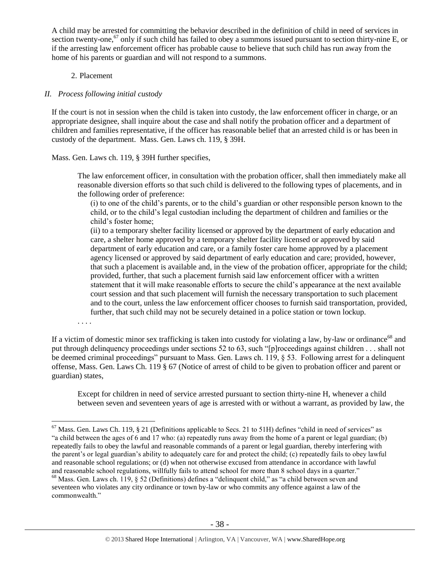A child may be arrested for committing the behavior described in the definition of child in need of services in section twenty-one,<sup>67</sup> only if such child has failed to obey a summons issued pursuant to section thirty-nine E, or if the arresting law enforcement officer has probable cause to believe that such child has run away from the home of his parents or guardian and will not respond to a summons.

## 2. Placement

## *II. Process following initial custody*

If the court is not in session when the child is taken into custody, the law enforcement officer in charge, or an appropriate designee, shall inquire about the case and shall notify the probation officer and a department of children and families representative, if the officer has reasonable belief that an arrested child is or has been in custody of the department. Mass. Gen. Laws ch. 119, § 39H.

Mass. Gen. Laws ch. 119, § 39H further specifies,

The law enforcement officer, in consultation with the probation officer, shall then immediately make all reasonable diversion efforts so that such child is delivered to the following types of placements, and in the following order of preference:

(i) to one of the child's parents, or to the child's guardian or other responsible person known to the child, or to the child's legal custodian including the department of children and families or the child's foster home;

(ii) to a temporary shelter facility licensed or approved by the department of early education and care, a shelter home approved by a temporary shelter facility licensed or approved by said department of early education and care, or a family foster care home approved by a placement agency licensed or approved by said department of early education and care; provided, however, that such a placement is available and, in the view of the probation officer, appropriate for the child; provided, further, that such a placement furnish said law enforcement officer with a written statement that it will make reasonable efforts to secure the child's appearance at the next available court session and that such placement will furnish the necessary transportation to such placement and to the court, unless the law enforcement officer chooses to furnish said transportation, provided, further, that such child may not be securely detained in a police station or town lockup.

. . . .

If a victim of domestic minor sex trafficking is taken into custody for violating a law, by-law or ordinance<sup>68</sup> and put through delinquency proceedings under sections 52 to 63, such "[p]roceedings against children . . . shall not be deemed criminal proceedings" pursuant to Mass. Gen. Laws ch. 119, § 53. Following arrest for a delinquent offense, Mass. Gen. Laws Ch. 119 § 67 (Notice of arrest of child to be given to probation officer and parent or guardian) states,

Except for children in need of service arrested pursuant to section thirty-nine H, whenever a child between seven and seventeen years of age is arrested with or without a warrant, as provided by law, the

 $\overline{a}$  $67$  Mass. Gen. Laws Ch. 119, § 21 (Definitions applicable to Secs. 21 to 51H) defines "child in need of services" as "a child between the ages of 6 and 17 who: (a) repeatedly runs away from the home of a parent or legal guardian; (b) repeatedly fails to obey the lawful and reasonable commands of a parent or legal guardian, thereby interfering with the parent's or legal guardian's ability to adequately care for and protect the child; (c) repeatedly fails to obey lawful and reasonable school regulations; or (d) when not otherwise excused from attendance in accordance with lawful and reasonable school regulations, willfully fails to attend school for more than 8 school days in a quarter."

<sup>68</sup> Mass. Gen. Laws ch. 119, § 52 (Definitions) defines a "delinquent child," as "a child between seven and seventeen who violates any city ordinance or town by-law or who commits any offence against a law of the commonwealth"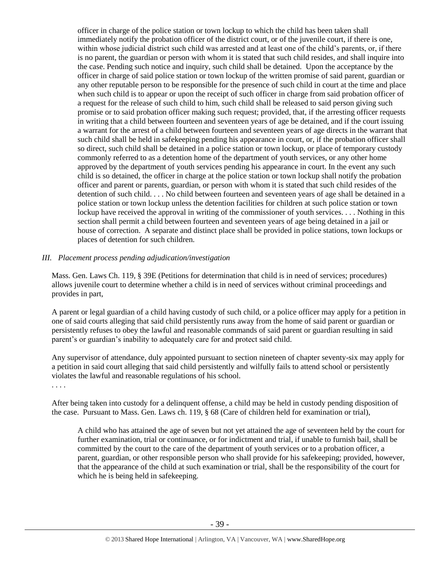officer in charge of the police station or town lockup to which the child has been taken shall immediately notify the probation officer of the district court, or of the juvenile court, if there is one, within whose judicial district such child was arrested and at least one of the child's parents, or, if there is no parent, the guardian or person with whom it is stated that such child resides, and shall inquire into the case. Pending such notice and inquiry, such child shall be detained. Upon the acceptance by the officer in charge of said police station or town lockup of the written promise of said parent, guardian or any other reputable person to be responsible for the presence of such child in court at the time and place when such child is to appear or upon the receipt of such officer in charge from said probation officer of a request for the release of such child to him, such child shall be released to said person giving such promise or to said probation officer making such request; provided, that, if the arresting officer requests in writing that a child between fourteen and seventeen years of age be detained, and if the court issuing a warrant for the arrest of a child between fourteen and seventeen years of age directs in the warrant that such child shall be held in safekeeping pending his appearance in court, or, if the probation officer shall so direct, such child shall be detained in a police station or town lockup, or place of temporary custody commonly referred to as a detention home of the department of youth services, or any other home approved by the department of youth services pending his appearance in court. In the event any such child is so detained, the officer in charge at the police station or town lockup shall notify the probation officer and parent or parents, guardian, or person with whom it is stated that such child resides of the detention of such child. . . . No child between fourteen and seventeen years of age shall be detained in a police station or town lockup unless the detention facilities for children at such police station or town lockup have received the approval in writing of the commissioner of youth services. . . . Nothing in this section shall permit a child between fourteen and seventeen years of age being detained in a jail or house of correction. A separate and distinct place shall be provided in police stations, town lockups or places of detention for such children.

#### *III. Placement process pending adjudication/investigation*

Mass. Gen. Laws Ch. 119, § 39E (Petitions for determination that child is in need of services; procedures) allows juvenile court to determine whether a child is in need of services without criminal proceedings and provides in part,

A parent or legal guardian of a child having custody of such child, or a police officer may apply for a petition in one of said courts alleging that said child persistently runs away from the home of said parent or guardian or persistently refuses to obey the lawful and reasonable commands of said parent or guardian resulting in said parent's or guardian's inability to adequately care for and protect said child.

Any supervisor of attendance, duly appointed pursuant to section nineteen of chapter seventy-six may apply for a petition in said court alleging that said child persistently and wilfully fails to attend school or persistently violates the lawful and reasonable regulations of his school.

. . . .

After being taken into custody for a delinquent offense, a child may be held in custody pending disposition of the case. Pursuant to Mass. Gen. Laws ch. 119, § 68 (Care of children held for examination or trial),

A child who has attained the age of seven but not yet attained the age of seventeen held by the court for further examination, trial or continuance, or for indictment and trial, if unable to furnish bail, shall be committed by the court to the care of the department of youth services or to a probation officer, a parent, guardian, or other responsible person who shall provide for his safekeeping; provided, however, that the appearance of the child at such examination or trial, shall be the responsibility of the court for which he is being held in safekeeping.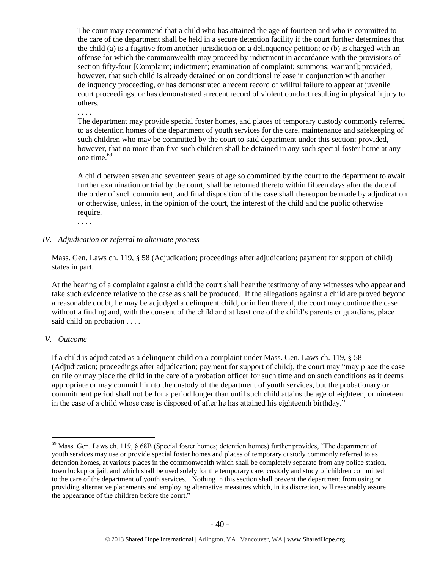The court may recommend that a child who has attained the age of fourteen and who is committed to the care of the department shall be held in a secure detention facility if the court further determines that the child (a) is a fugitive from another jurisdiction on a delinquency petition; or (b) is charged with an offense for which the commonwealth may proceed by indictment in accordance with the provisions of section fifty-four [Complaint; indictment; examination of complaint; summons; warrant]; provided, however, that such child is already detained or on conditional release in conjunction with another delinquency proceeding, or has demonstrated a recent record of willful failure to appear at juvenile court proceedings, or has demonstrated a recent record of violent conduct resulting in physical injury to others.

. . . .

The department may provide special foster homes, and places of temporary custody commonly referred to as detention homes of the department of youth services for the care, maintenance and safekeeping of such children who may be committed by the court to said department under this section; provided, however, that no more than five such children shall be detained in any such special foster home at any one time.<sup>69</sup>

A child between seven and seventeen years of age so committed by the court to the department to await further examination or trial by the court, shall be returned thereto within fifteen days after the date of the order of such commitment, and final disposition of the case shall thereupon be made by adjudication or otherwise, unless, in the opinion of the court, the interest of the child and the public otherwise require.

. . . .

#### *IV. Adjudication or referral to alternate process*

Mass. Gen. Laws ch. 119, § 58 (Adjudication; proceedings after adjudication; payment for support of child) states in part,

At the hearing of a complaint against a child the court shall hear the testimony of any witnesses who appear and take such evidence relative to the case as shall be produced. If the allegations against a child are proved beyond a reasonable doubt, he may be adjudged a delinquent child, or in lieu thereof, the court may continue the case without a finding and, with the consent of the child and at least one of the child's parents or guardians, place said child on probation . . . .

#### *V. Outcome*

 $\overline{a}$ 

If a child is adjudicated as a delinquent child on a complaint under Mass. Gen. Laws ch. 119, § 58 (Adjudication; proceedings after adjudication; payment for support of child), the court may "may place the case on file or may place the child in the care of a probation officer for such time and on such conditions as it deems appropriate or may commit him to the custody of the department of youth services, but the probationary or commitment period shall not be for a period longer than until such child attains the age of eighteen, or nineteen in the case of a child whose case is disposed of after he has attained his eighteenth birthday."

<sup>69</sup> Mass. Gen. Laws ch. 119, § 68B (Special foster homes; detention homes) further provides, "The department of youth services may use or provide special foster homes and places of temporary custody commonly referred to as detention homes, at various places in the commonwealth which shall be completely separate from any police station, town lockup or jail, and which shall be used solely for the temporary care, custody and study of children committed to the care of the department of youth services. Nothing in this section shall prevent the department from using or providing alternative placements and employing alternative measures which, in its discretion, will reasonably assure the appearance of the children before the court."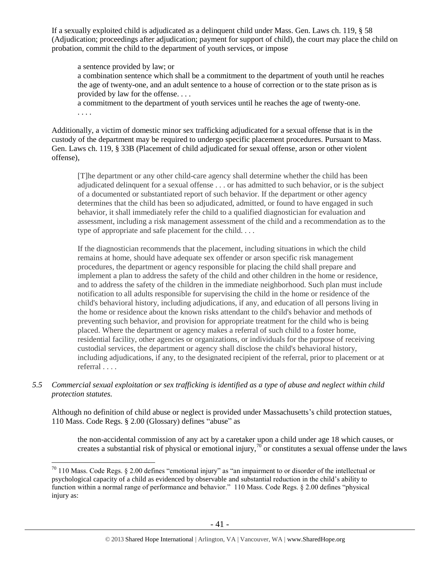If a sexually exploited child is adjudicated as a delinquent child under Mass. Gen. Laws ch. 119, § 58 (Adjudication; proceedings after adjudication; payment for support of child), the court may place the child on probation, commit the child to the department of youth services, or impose

a sentence provided by law; or a combination sentence which shall be a commitment to the department of youth until he reaches the age of twenty-one, and an adult sentence to a house of correction or to the state prison as is provided by law for the offense. . . .

a commitment to the department of youth services until he reaches the age of twenty-one. . . . .

Additionally, a victim of domestic minor sex trafficking adjudicated for a sexual offense that is in the custody of the department may be required to undergo specific placement procedures. Pursuant to Mass. Gen. Laws ch. 119, § 33B (Placement of child adjudicated for sexual offense, arson or other violent offense),

[T]he department or any other child-care agency shall determine whether the child has been adjudicated delinquent for a sexual offense . . . or has admitted to such behavior, or is the subject of a documented or substantiated report of such behavior. If the department or other agency determines that the child has been so adjudicated, admitted, or found to have engaged in such behavior, it shall immediately refer the child to a qualified diagnostician for evaluation and assessment, including a risk management assessment of the child and a recommendation as to the type of appropriate and safe placement for the child. . . .

If the diagnostician recommends that the placement, including situations in which the child remains at home, should have adequate sex offender or arson specific risk management procedures, the department or agency responsible for placing the child shall prepare and implement a plan to address the safety of the child and other children in the home or residence, and to address the safety of the children in the immediate neighborhood. Such plan must include notification to all adults responsible for supervising the child in the home or residence of the child's behavioral history, including adjudications, if any, and education of all persons living in the home or residence about the known risks attendant to the child's behavior and methods of preventing such behavior, and provision for appropriate treatment for the child who is being placed. Where the department or agency makes a referral of such child to a foster home, residential facility, other agencies or organizations, or individuals for the purpose of receiving custodial services, the department or agency shall disclose the child's behavioral history, including adjudications, if any, to the designated recipient of the referral, prior to placement or at referral . . . .

*5.5 Commercial sexual exploitation or sex trafficking is identified as a type of abuse and neglect within child protection statutes.*

Although no definition of child abuse or neglect is provided under Massachusetts's child protection statues, 110 Mass. Code Regs. § 2.00 (Glossary) defines "abuse" as

the non-accidental commission of any act by a caretaker upon a child under age 18 which causes, or creates a substantial risk of physical or emotional injury,<sup>70</sup> or constitutes a sexual offense under the laws

 $70$  110 Mass. Code Regs. § 2.00 defines "emotional injury" as "an impairment to or disorder of the intellectual or psychological capacity of a child as evidenced by observable and substantial reduction in the child's ability to function within a normal range of performance and behavior." 110 Mass. Code Regs. § 2.00 defines "physical injury as: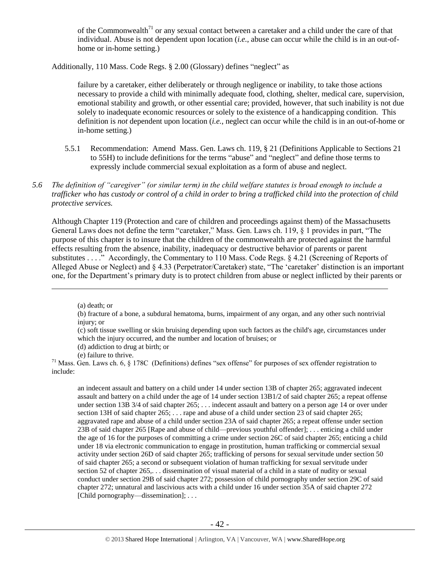of the Commonwealth<sup>71</sup> or any sexual contact between a caretaker and a child under the care of that individual. Abuse is not dependent upon location (*i.e.*, abuse can occur while the child is in an out-ofhome or in-home setting.)

Additionally, 110 Mass. Code Regs. § 2.00 (Glossary) defines "neglect" as

failure by a caretaker, either deliberately or through negligence or inability, to take those actions necessary to provide a child with minimally adequate food, clothing, shelter, medical care, supervision, emotional stability and growth, or other essential care; provided, however, that such inability is not due solely to inadequate economic resources or solely to the existence of a handicapping condition. This definition is *not* dependent upon location (*i.e.*, neglect can occur while the child is in an out-of-home or in-home setting.)

- 5.5.1 Recommendation: Amend Mass. Gen. Laws ch. 119, § 21 (Definitions Applicable to Sections 21 to 55H) to include definitions for the terms "abuse" and "neglect" and define those terms to expressly include commercial sexual exploitation as a form of abuse and neglect.
- *5.6 The definition of "caregiver" (or similar term) in the child welfare statutes is broad enough to include a trafficker who has custody or control of a child in order to bring a trafficked child into the protection of child protective services.*

Although Chapter 119 (Protection and care of children and proceedings against them) of the Massachusetts General Laws does not define the term "caretaker," Mass. Gen. Laws ch. 119, § 1 provides in part, "The purpose of this chapter is to insure that the children of the commonwealth are protected against the harmful effects resulting from the absence, inability, inadequacy or destructive behavior of parents or parent substitutes . . . . " Accordingly, the Commentary to 110 Mass. Code Regs. § 4.21 (Screening of Reports of Alleged Abuse or Neglect) and § 4.33 (Perpetrator/Caretaker) state, "The 'caretaker' distinction is an important one, for the Department's primary duty is to protect children from abuse or neglect inflicted by their parents or

 $\overline{a}$ 

an indecent assault and battery on a child under 14 under section 13B of chapter 265; aggravated indecent assault and battery on a child under the age of 14 under section 13B1/2 of said chapter 265; a repeat offense under section 13B 3/4 of said chapter 265; . . . indecent assault and battery on a person age 14 or over under section 13H of said chapter 265; . . . rape and abuse of a child under section 23 of said chapter 265; aggravated rape and abuse of a child under section 23A of said chapter 265; a repeat offense under section 23B of said chapter 265 [Rape and abuse of child—previous youthful offender]; . . . enticing a child under the age of 16 for the purposes of committing a crime under section 26C of said chapter 265; enticing a child under 18 via electronic communication to engage in prostitution, human trafficking or commercial sexual activity under section 26D of said chapter 265; trafficking of persons for sexual servitude under section 50 of said chapter 265; a second or subsequent violation of human trafficking for sexual servitude under section 52 of chapter 265,... dissemination of visual material of a child in a state of nudity or sexual conduct under section 29B of said chapter 272; possession of child pornography under section 29C of said chapter 272; unnatural and lascivious acts with a child under 16 under section 35A of said chapter 272 [Child pornography—dissemination]; ...

<sup>(</sup>a) death; or

<sup>(</sup>b) fracture of a bone, a subdural hematoma, burns, impairment of any organ, and any other such nontrivial injury; or

<sup>(</sup>c) soft tissue swelling or skin bruising depending upon such factors as the child's age, circumstances under which the injury occurred, and the number and location of bruises; or

<sup>(</sup>d) addiction to drug at birth; or

<sup>(</sup>e) failure to thrive.

 $71$  Mass. Gen. Laws ch. 6, § 178C (Definitions) defines "sex offense" for purposes of sex offender registration to include: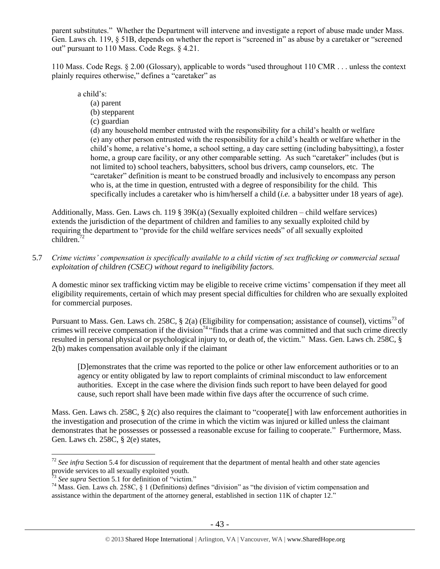parent substitutes." Whether the Department will intervene and investigate a report of abuse made under Mass. Gen. Laws ch. 119, § 51B, depends on whether the report is "screened in" as abuse by a caretaker or "screened out" pursuant to 110 Mass. Code Regs. § 4.21.

110 Mass. Code Regs. § 2.00 (Glossary), applicable to words "used throughout 110 CMR . . . unless the context plainly requires otherwise," defines a "caretaker" as

a child's:

- (a) parent
- (b) stepparent
- (c) guardian

(d) any household member entrusted with the responsibility for a child's health or welfare (e) any other person entrusted with the responsibility for a child's health or welfare whether in the child's home, a relative's home, a school setting, a day care setting (including babysitting), a foster home, a group care facility, or any other comparable setting. As such "caretaker" includes (but is not limited to) school teachers, babysitters, school bus drivers, camp counselors, etc. The "caretaker" definition is meant to be construed broadly and inclusively to encompass any person who is, at the time in question, entrusted with a degree of responsibility for the child. This specifically includes a caretaker who is him/herself a child (*i.e.* a babysitter under 18 years of age).

Additionally, Mass. Gen. Laws ch. 119 § 39K(a) (Sexually exploited children – child welfare services) extends the jurisdiction of the department of children and families to any sexually exploited child by requiring the department to "provide for the child welfare services needs" of all sexually exploited children.<sup>72</sup>

5.7 *Crime victims' compensation is specifically available to a child victim of sex trafficking or commercial sexual exploitation of children (CSEC) without regard to ineligibility factors.*

A domestic minor sex trafficking victim may be eligible to receive crime victims' compensation if they meet all eligibility requirements, certain of which may present special difficulties for children who are sexually exploited for commercial purposes.

Pursuant to Mass. Gen. Laws ch. 258C,  $\S$  2(a) (Eligibility for compensation; assistance of counsel), victims<sup>73</sup> of crimes will receive compensation if the division<sup>74</sup> "finds that a crime was committed and that such crime directly resulted in personal physical or psychological injury to, or death of, the victim." Mass. Gen. Laws ch. 258C, § 2(b) makes compensation available only if the claimant

[D]emonstrates that the crime was reported to the police or other law enforcement authorities or to an agency or entity obligated by law to report complaints of criminal misconduct to law enforcement authorities. Except in the case where the division finds such report to have been delayed for good cause, such report shall have been made within five days after the occurrence of such crime.

Mass. Gen. Laws ch. 258C, § 2(c) also requires the claimant to "cooperate<sup>[]</sup> with law enforcement authorities in the investigation and prosecution of the crime in which the victim was injured or killed unless the claimant demonstrates that he possesses or possessed a reasonable excuse for failing to cooperate." Furthermore, Mass. Gen. Laws ch. 258C, § 2(e) states,

<sup>&</sup>lt;sup>72</sup> See infra Section 5.4 for discussion of requirement that the department of mental health and other state agencies provide services to all sexually exploited youth.

See supra Section 5.1 for definition of "victim."

<sup>74</sup> Mass. Gen. Laws ch. 258C, § 1 (Definitions) defines "division" as "the division of victim compensation and assistance within the department of the attorney general, established in [section 11K of chapter 12.](https://www.lexis.com/research/buttonTFLink?_m=0a9bf3f22019a5688cf9dc3603928030&_xfercite=%3ccite%20cc%3d%22USA%22%3e%3c%21%5bCDATA%5bALM%20GL%20ch.%20258C%2c%20%a7%201%5d%5d%3e%3c%2fcite%3e&_butType=4&_butStat=0&_butNum=3&_butInline=1&_butinfo=MACODE%2012%2011K&_fmtstr=FULL&docnum=1&_startdoc=1&wchp=dGLbVzt-zSkAz&_md5=8a1ac463f2ddb37903ab8243ac925274)"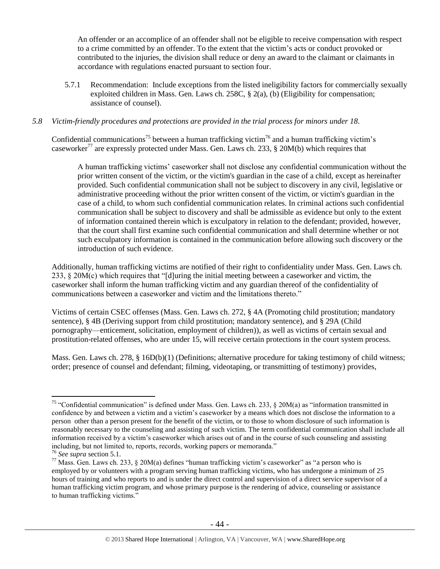An offender or an accomplice of an offender shall not be eligible to receive compensation with respect to a crime committed by an offender. To the extent that the victim's acts or conduct provoked or contributed to the injuries, the division shall reduce or deny an award to the claimant or claimants in accordance with regulations enacted pursuant to section four.

5.7.1 Recommendation: Include exceptions from the listed ineligibility factors for commercially sexually exploited children in Mass. Gen. Laws ch. 258C, § 2(a), (b) (Eligibility for compensation; assistance of counsel).

## *5.8 Victim-friendly procedures and protections are provided in the trial process for minors under 18.*

Confidential communications<sup>75</sup> between a human trafficking victim<sup>76</sup> and a human trafficking victim's caseworker<sup>77</sup> are expressly protected under Mass. Gen. Laws ch. 233, § 20M(b) which requires that

A human trafficking victims' caseworker shall not disclose any confidential communication without the prior written consent of the victim, or the victim's guardian in the case of a child, except as hereinafter provided. Such confidential communication shall not be subject to discovery in any civil, legislative or administrative proceeding without the prior written consent of the victim, or victim's guardian in the case of a child, to whom such confidential communication relates. In criminal actions such confidential communication shall be subject to discovery and shall be admissible as evidence but only to the extent of information contained therein which is exculpatory in relation to the defendant; provided, however, that the court shall first examine such confidential communication and shall determine whether or not such exculpatory information is contained in the communication before allowing such discovery or the introduction of such evidence.

Additionally, human trafficking victims are notified of their right to confidentiality under Mass. Gen. Laws ch. 233, § 20M(c) which requires that "[d]uring the initial meeting between a caseworker and victim, the caseworker shall inform the human trafficking victim and any guardian thereof of the confidentiality of communications between a caseworker and victim and the limitations thereto."

Victims of certain CSEC offenses (Mass. Gen. Laws ch. 272, § 4A (Promoting child prostitution; mandatory sentence), § 4B (Deriving support from child prostitution; mandatory sentence), and § 29A (Child pornography—enticement, solicitation, employment of children)), as well as victims of certain sexual and prostitution-related offenses, who are under 15, will receive certain protections in the court system process.

Mass. Gen. Laws ch. 278, § 16D(b)(1) (Definitions; alternative procedure for taking testimony of child witness; order; presence of counsel and defendant; filming, videotaping, or transmitting of testimony) provides,

 $\overline{a}$ <sup>75</sup> "Confidential communication" is defined under Mass. Gen. Laws ch. 233,  $\S$  20M(a) as "information transmitted in confidence by and between a victim and a victim's caseworker by a means which does not disclose the information to a person other than a person present for the benefit of the victim, or to those to whom disclosure of such information is reasonably necessary to the counseling and assisting of such victim. The term confidential communication shall include all information received by a victim's caseworker which arises out of and in the course of such counseling and assisting including, but not limited to, reports, records, working papers or memoranda."

<sup>76</sup> *See supra* section 5.1.

 $^{77}$  Mass. Gen. Laws ch. 233, § 20M(a) defines "human trafficking victim's caseworker" as "a person who is employed by or volunteers with a program serving human trafficking victims, who has undergone a minimum of 25 hours of training and who reports to and is under the direct control and supervision of a direct service supervisor of a human trafficking victim program, and whose primary purpose is the rendering of advice, counseling or assistance to human trafficking victims."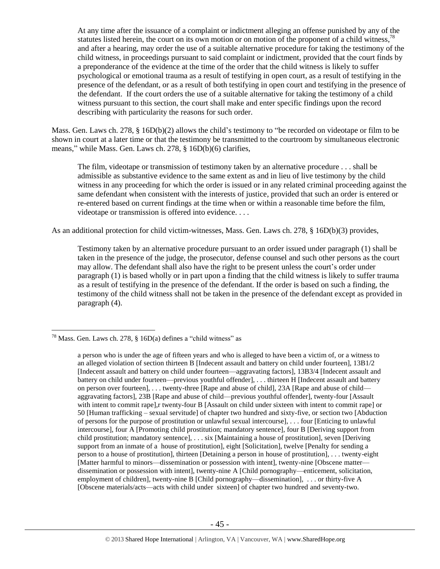At any time after the issuance of a complaint or indictment alleging an offense punished by any of the statutes listed herein, the court on its own motion or on motion of the proponent of a child witness,<sup>78</sup> and after a hearing, may order the use of a suitable alternative procedure for taking the testimony of the child witness, in proceedings pursuant to said complaint or indictment, provided that the court finds by a preponderance of the evidence at the time of the order that the child witness is likely to suffer psychological or emotional trauma as a result of testifying in open court, as a result of testifying in the presence of the defendant, or as a result of both testifying in open court and testifying in the presence of the defendant. If the court orders the use of a suitable alternative for taking the testimony of a child witness pursuant to this section, the court shall make and enter specific findings upon the record describing with particularity the reasons for such order.

Mass. Gen. Laws ch. 278, § 16D(b)(2) allows the child's testimony to "be recorded on videotape or film to be shown in court at a later time or that the testimony be transmitted to the courtroom by simultaneous electronic means," while Mass. Gen. Laws ch. 278, § 16D(b)(6) clarifies,

The film, videotape or transmission of testimony taken by an alternative procedure . . . shall be admissible as substantive evidence to the same extent as and in lieu of live testimony by the child witness in any proceeding for which the order is issued or in any related criminal proceeding against the same defendant when consistent with the interests of justice, provided that such an order is entered or re-entered based on current findings at the time when or within a reasonable time before the film, videotape or transmission is offered into evidence. . . .

As an additional protection for child victim-witnesses, Mass. Gen. Laws ch. 278, § 16D(b)(3) provides,

Testimony taken by an alternative procedure pursuant to an order issued under paragraph (1) shall be taken in the presence of the judge, the prosecutor, defense counsel and such other persons as the court may allow. The defendant shall also have the right to be present unless the court's order under paragraph (1) is based wholly or in part upon a finding that the child witness is likely to suffer trauma as a result of testifying in the presence of the defendant. If the order is based on such a finding, the testimony of the child witness shall not be taken in the presence of the defendant except as provided in paragraph (4).

<sup>&</sup>lt;sup>78</sup> Mass. Gen. Laws ch. 278, § 16D(a) defines a "child witness" as

a person who is under the age of fifteen years and who is alleged to have been a victim of, or a witness to an alleged violation of section thirteen B [Indecent assault and battery on child under fourteen], 13B1/2 [Indecent assault and battery on child under fourteen—aggravating factors], 13B3/4 [Indecent assault and battery on child under fourteen—previous youthful offender], . . . thirteen H [Indecent assault and battery on person over fourteen], . . . twenty-three [Rape and abuse of child], 23A [Rape and abuse of child aggravating factors], 23B [Rape and abuse of child—previous youthful offender], twenty-four [Assault with intent to commit rape], r twenty-four B [Assault on child under sixteen with intent to commit rape] or 50 [Human trafficking – sexual servitude] of chapter two hundred and sixty-five, or section two [Abduction of persons for the purpose of prostitution or unlawful sexual intercourse], . . . four [Enticing to unlawful intercourse], four A [Promoting child prostitution; mandatory sentence], four B [Deriving support from child prostitution; mandatory sentence], . . . six [Maintaining a house of prostitution], seven [Deriving support from an inmate of a house of prostitution], eight [Solicitation], twelve [Penalty for sending a person to a house of prostitution], thirteen [Detaining a person in house of prostitution], . . . twenty-eight [Matter harmful to minors—dissemination or possession with intent], twenty-nine [Obscene matter dissemination or possession with intent], twenty-nine A [Child pornography—enticement, solicitation, employment of children], twenty-nine B [Child pornography—dissemination], . . . or thirty-five A [Obscene materials/acts—acts with child under sixteen] of chapter two hundred and seventy-two.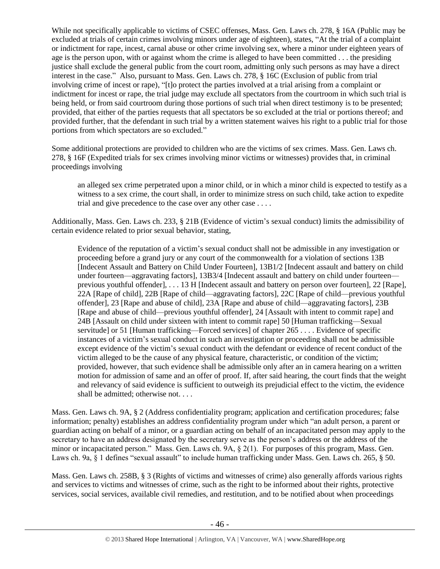While not specifically applicable to victims of CSEC offenses, Mass. Gen. Laws ch. 278, § 16A (Public may be excluded at trials of certain crimes involving minors under age of eighteen), states, "At the trial of a complaint or indictment for rape, incest, carnal abuse or other crime involving sex, where a minor under eighteen years of age is the person upon, with or against whom the crime is alleged to have been committed . . . the presiding justice shall exclude the general public from the court room, admitting only such persons as may have a direct interest in the case." Also, pursuant to Mass. Gen. Laws ch. 278, § 16C (Exclusion of public from trial involving crime of incest or rape), "[t]o protect the parties involved at a trial arising from a complaint or indictment for incest or rape, the trial judge may exclude all spectators from the courtroom in which such trial is being held, or from said courtroom during those portions of such trial when direct testimony is to be presented; provided, that either of the parties requests that all spectators be so excluded at the trial or portions thereof; and provided further, that the defendant in such trial by a written statement waives his right to a public trial for those portions from which spectators are so excluded."

Some additional protections are provided to children who are the victims of sex crimes. Mass. Gen. Laws ch. 278, § 16F (Expedited trials for sex crimes involving minor victims or witnesses) provides that, in criminal proceedings involving

an alleged sex crime perpetrated upon a minor child, or in which a minor child is expected to testify as a witness to a sex crime, the court shall, in order to minimize stress on such child, take action to expedite trial and give precedence to the case over any other case . . . .

Additionally, Mass. Gen. Laws ch. 233, § 21B (Evidence of victim's sexual conduct) limits the admissibility of certain evidence related to prior sexual behavior, stating,

Evidence of the reputation of a victim's sexual conduct shall not be admissible in any investigation or proceeding before a grand jury or any court of the commonwealth for a violation of sections 13B [Indecent Assault and Battery on Child Under Fourteen], 13B1/2 [Indecent assault and battery on child under fourteen—aggravating factors], 13B3/4 [Indecent assault and battery on child under fourteen previous youthful offender], . . . 13 H [Indecent assault and battery on person over fourteen], 22 [Rape], 22A [Rape of child], 22B [Rape of child—aggravating factors], 22C [Rape of child—previous youthful offender], 23 [Rape and abuse of child], 23A [Rape and abuse of child—aggravating factors], 23B [Rape and abuse of child—previous youthful offender], 24 [Assault with intent to commit rape] and 24B [Assault on child under sixteen with intent to commit rape] 50 [Human trafficking—Sexual servitude] or 51 [Human trafficking—Forced services] of chapter 265 . . . . Evidence of specific instances of a victim's sexual conduct in such an investigation or proceeding shall not be admissible except evidence of the victim's sexual conduct with the defendant or evidence of recent conduct of the victim alleged to be the cause of any physical feature, characteristic, or condition of the victim; provided, however, that such evidence shall be admissible only after an in camera hearing on a written motion for admission of same and an offer of proof. If, after said hearing, the court finds that the weight and relevancy of said evidence is sufficient to outweigh its prejudicial effect to the victim, the evidence shall be admitted; otherwise not. . . .

Mass. Gen. Laws ch. 9A, § 2 (Address confidentiality program; application and certification procedures; false information; penalty) establishes an address confidentiality program under which "an adult person, a parent or guardian acting on behalf of a minor, or a guardian acting on behalf of an incapacitated person may apply to the secretary to have an address designated by the secretary serve as the person's address or the address of the minor or incapacitated person." Mass. Gen. Laws ch. 9A, § 2(1). For purposes of this program, Mass. Gen. Laws ch. 9a, § 1 defines "sexual assault" to include human trafficking under Mass. Gen. Laws ch. 265, § 50.

Mass. Gen. Laws ch. 258B, § 3 (Rights of victims and witnesses of crime) also generally affords various rights and services to victims and witnesses of crime, such as the right to be informed about their rights, protective services, social services, available civil remedies, and restitution, and to be notified about when proceedings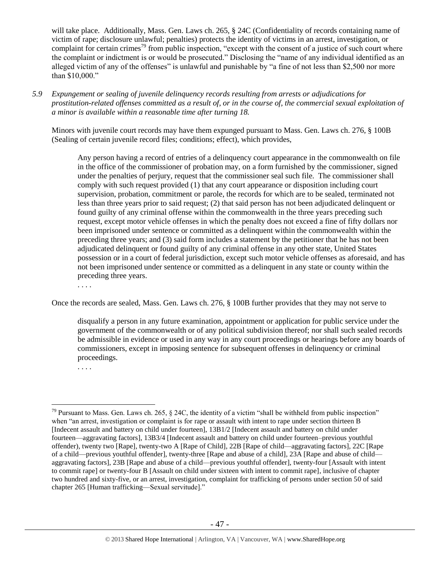will take place. Additionally, Mass. Gen. Laws ch. 265, § 24C (Confidentiality of records containing name of victim of rape; disclosure unlawful; penalties) protects the identity of victims in an arrest, investigation, or complaint for certain crimes<sup>79</sup> from public inspection, "except with the consent of a justice of such court where the complaint or indictment is or would be prosecuted." Disclosing the "name of any individual identified as an alleged victim of any of the offenses" is unlawful and punishable by "a fine of not less than \$2,500 nor more than \$10,000."

*5.9 Expungement or sealing of juvenile delinquency records resulting from arrests or adjudications for prostitution-related offenses committed as a result of, or in the course of, the commercial sexual exploitation of a minor is available within a reasonable time after turning 18.*

Minors with juvenile court records may have them expunged pursuant to Mass. Gen. Laws ch. 276, § 100B (Sealing of certain juvenile record files; conditions; effect), which provides,

Any person having a record of entries of a delinquency court appearance in the commonwealth on file in the office of the commissioner of probation may, on a form furnished by the commissioner, signed under the penalties of perjury, request that the commissioner seal such file. The commissioner shall comply with such request provided (1) that any court appearance or disposition including court supervision, probation, commitment or parole, the records for which are to be sealed, terminated not less than three years prior to said request; (2) that said person has not been adjudicated delinquent or found guilty of any criminal offense within the commonwealth in the three years preceding such request, except motor vehicle offenses in which the penalty does not exceed a fine of fifty dollars nor been imprisoned under sentence or committed as a delinquent within the commonwealth within the preceding three years; and (3) said form includes a statement by the petitioner that he has not been adjudicated delinquent or found guilty of any criminal offense in any other state, United States possession or in a court of federal jurisdiction, except such motor vehicle offenses as aforesaid, and has not been imprisoned under sentence or committed as a delinquent in any state or county within the preceding three years.

. . . .

Once the records are sealed, Mass. Gen. Laws ch. 276, § 100B further provides that they may not serve to

disqualify a person in any future examination, appointment or application for public service under the government of the commonwealth or of any political subdivision thereof; nor shall such sealed records be admissible in evidence or used in any way in any court proceedings or hearings before any boards of commissioners, except in imposing sentence for subsequent offenses in delinquency or criminal proceedings.

. . . .

 $79$  Pursuant to Mass. Gen. Laws ch. 265, § 24C, the identity of a victim "shall be withheld from public inspection" when "an arrest, investigation or complaint is for rape or assault with intent to rape under section thirteen B [Indecent assault and battery on child under fourteen], 13B1/2 [Indecent assault and battery on child under fourteen—aggravating factors], 13B3/4 [Indecent assault and battery on child under fourteen–previous youthful offender), twenty two [Rape], twenty-two A [Rape of Child], 22B [Rape of child—aggravating factors], 22C [Rape of a child—previous youthful offender], twenty-three [Rape and abuse of a child], 23A [Rape and abuse of child aggravating factors], 23B [Rape and abuse of a child—previous youthful offender], twenty-four [Assault with intent to commit rape] or twenty-four B [Assault on child under sixteen with intent to commit rape], inclusive of chapter two hundred and sixty-five, or an arrest, investigation, complaint for trafficking of persons under section 50 of said chapter 265 [Human trafficking—Sexual servitude]."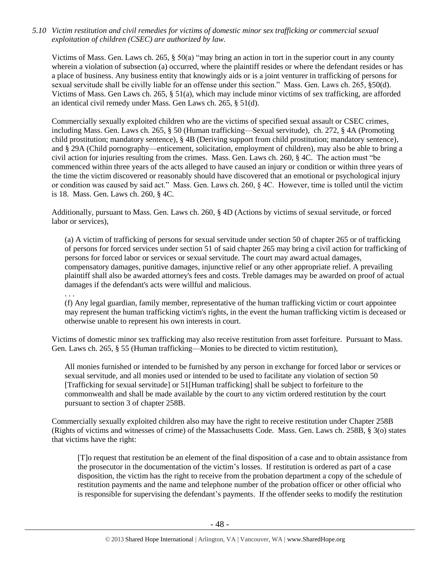*5.10 Victim restitution and civil remedies for victims of domestic minor sex trafficking or commercial sexual exploitation of children (CSEC) are authorized by law.* 

Victims of Mass. Gen. Laws ch. 265, § 50(a) "may bring an action in tort in the superior court in any county wherein a violation of subsection (a) occurred, where the plaintiff resides or where the defendant resides or has a place of business. Any business entity that knowingly aids or is a joint venturer in trafficking of persons for sexual servitude shall be civilly liable for an offense under this section." Mass. Gen. Laws ch. 265, §50(d). Victims of Mass. Gen Laws ch. 265, § 51(a), which may include minor victims of sex trafficking, are afforded an identical civil remedy under Mass. Gen Laws ch. 265, § 51(d).

Commercially sexually exploited children who are the victims of specified sexual assault or CSEC crimes, including Mass. Gen. Laws ch. 265, § 50 (Human trafficking—Sexual servitude), ch. 272, § 4A (Promoting child prostitution; mandatory sentence), § 4B (Deriving support from child prostitution; mandatory sentence), and § 29A (Child pornography—enticement, solicitation, employment of children), may also be able to bring a civil action for injuries resulting from the crimes. Mass. Gen. Laws ch. 260, § 4C. The action must "be commenced within three years of the acts alleged to have caused an injury or condition or within three years of the time the victim discovered or reasonably should have discovered that an emotional or psychological injury or condition was caused by said act." Mass. Gen. Laws ch. 260, § 4C. However, time is tolled until the victim is 18. Mass. Gen. Laws ch. 260, § 4C.

Additionally, pursuant to Mass. Gen. Laws ch. 260, § 4D (Actions by victims of sexual servitude, or forced labor or services),

. . .

(a) A victim of trafficking of persons for sexual servitude under section 50 of chapter 265 or of trafficking of persons for forced services under section 51 of said chapter 265 may bring a civil action for trafficking of persons for forced labor or services or sexual servitude. The court may award actual damages, compensatory damages, punitive damages, injunctive relief or any other appropriate relief. A prevailing plaintiff shall also be awarded attorney's fees and costs. Treble damages may be awarded on proof of actual damages if the defendant's acts were willful and malicious.

(f) Any legal guardian, family member, representative of the human trafficking victim or court appointee may represent the human trafficking victim's rights, in the event the human trafficking victim is deceased or otherwise unable to represent his own interests in court.

Victims of domestic minor sex trafficking may also receive restitution from asset forfeiture. Pursuant to Mass. Gen. Laws ch. 265, § 55 (Human trafficking—Monies to be directed to victim restitution),

All monies furnished or intended to be furnished by any person in exchange for forced labor or services or sexual servitude, and all monies used or intended to be used to facilitate any violation of section 50 [Trafficking for sexual servitude] or 51[Human trafficking] shall be subject to forfeiture to the commonwealth and shall be made available by the court to any victim ordered restitution by the court pursuant to section 3 of chapter 258B.

Commercially sexually exploited children also may have the right to receive restitution under Chapter 258B (Rights of victims and witnesses of crime) of the Massachusetts Code. Mass. Gen. Laws ch. 258B, § 3(o) states that victims have the right:

[T]o request that restitution be an element of the final disposition of a case and to obtain assistance from the prosecutor in the documentation of the victim's losses. If restitution is ordered as part of a case disposition, the victim has the right to receive from the probation department a copy of the schedule of restitution payments and the name and telephone number of the probation officer or other official who is responsible for supervising the defendant's payments. If the offender seeks to modify the restitution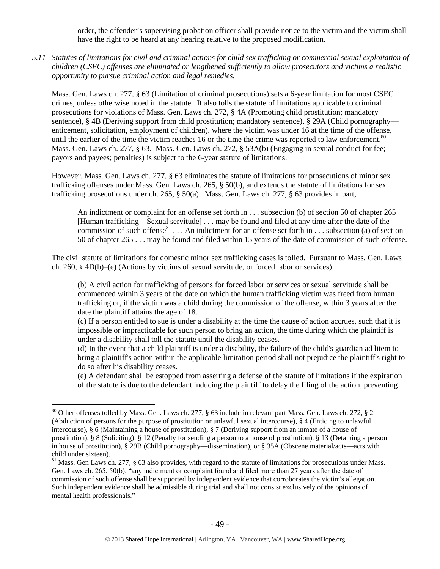order, the offender's supervising probation officer shall provide notice to the victim and the victim shall have the right to be heard at any hearing relative to the proposed modification.

*5.11 Statutes of limitations for civil and criminal actions for child sex trafficking or commercial sexual exploitation of children (CSEC) offenses are eliminated or lengthened sufficiently to allow prosecutors and victims a realistic opportunity to pursue criminal action and legal remedies.*

Mass. Gen. Laws ch. 277, § 63 (Limitation of criminal prosecutions) sets a 6-year limitation for most CSEC crimes, unless otherwise noted in the statute. It also tolls the statute of limitations applicable to criminal prosecutions for violations of Mass. Gen. Laws ch. 272, § 4A (Promoting child prostitution; mandatory sentence), § 4B (Deriving support from child prostitution; mandatory sentence), § 29A (Child pornography enticement, solicitation, employment of children), where the victim was under 16 at the time of the offense, until the earlier of the time the victim reaches 16 or the time the crime was reported to law enforcement.<sup>80</sup> Mass. Gen. Laws ch. 277, § 63. Mass. Gen. Laws ch. 272, § 53A(b) (Engaging in sexual conduct for fee; payors and payees; penalties) is subject to the 6-year statute of limitations.

However, Mass. Gen. Laws ch. 277, § 63 eliminates the statute of limitations for prosecutions of minor sex trafficking offenses under Mass. Gen. Laws ch. 265, § 50(b), and extends the statute of limitations for sex trafficking prosecutions under ch. 265, § 50(a). Mass. Gen. Laws ch. 277, § 63 provides in part,

An indictment or complaint for an offense set forth in . . . subsection (b) of section 50 of chapter 265 [Human trafficking—Sexual servitude] . . . may be found and filed at any time after the date of the commission of such offense<sup>81</sup> . . . An indictment for an offense set forth in . . . subsection (a) of section 50 of chapter 265 . . . may be found and filed within 15 years of the date of commission of such offense.

The civil statute of limitations for domestic minor sex trafficking cases is tolled. Pursuant to Mass. Gen. Laws ch. 260, § 4D(b)–(e) (Actions by victims of sexual servitude, or forced labor or services),

(b) A civil action for trafficking of persons for forced labor or services or sexual servitude shall be commenced within 3 years of the date on which the human trafficking victim was freed from human trafficking or, if the victim was a child during the commission of the offense, within 3 years after the date the plaintiff attains the age of 18.

(c) If a person entitled to sue is under a disability at the time the cause of action accrues, such that it is impossible or impracticable for such person to bring an action, the time during which the plaintiff is under a disability shall toll the statute until the disability ceases.

(d) In the event that a child plaintiff is under a disability, the failure of the child's guardian ad litem to bring a plaintiff's action within the applicable limitation period shall not prejudice the plaintiff's right to do so after his disability ceases.

(e) A defendant shall be estopped from asserting a defense of the statute of limitations if the expiration of the statute is due to the defendant inducing the plaintiff to delay the filing of the action, preventing

<sup>80</sup> Other offenses tolled by Mass. Gen. Laws ch. 277, § 63 include in relevant part Mass. Gen. Laws ch. 272, § 2 (Abduction of persons for the purpose of prostitution or unlawful sexual intercourse), § 4 (Enticing to unlawful intercourse), § 6 (Maintaining a house of prostitution), § 7 (Deriving support from an inmate of a house of prostitution), § 8 (Soliciting), § 12 (Penalty for sending a person to a house of prostitution), § 13 (Detaining a person in house of prostitution), § 29B (Child pornography—dissemination), or § 35A (Obscene material/acts—acts with child under sixteen).

 $81$  Mass. Gen Laws ch. 277, § 63 also provides, with regard to the statute of limitations for prosecutions under Mass. Gen. Laws ch. 265, 50(b), "any indictment or complaint found and filed more than 27 years after the date of commission of such offense shall be supported by independent evidence that corroborates the victim's allegation. Such independent evidence shall be admissible during trial and shall not consist exclusively of the opinions of mental health professionals."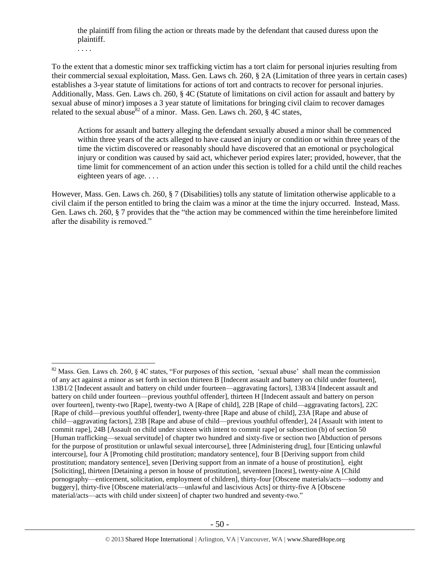the plaintiff from filing the action or threats made by the defendant that caused duress upon the plaintiff.

. . . .

 $\overline{a}$ 

To the extent that a domestic minor sex trafficking victim has a tort claim for personal injuries resulting from their commercial sexual exploitation, Mass. Gen. Laws ch. 260, § 2A (Limitation of three years in certain cases) establishes a 3-year statute of limitations for actions of tort and contracts to recover for personal injuries. Additionally, Mass. Gen. Laws ch. 260, § 4C (Statute of limitations on civil action for assault and battery by sexual abuse of minor) imposes a 3 year statute of limitations for bringing civil claim to recover damages related to the sexual abuse<sup>82</sup> of a minor. Mass. Gen. Laws ch. 260,  $\frac{8}{9}$  4C states,

Actions for assault and battery alleging the defendant sexually abused a minor shall be commenced within three years of the acts alleged to have caused an injury or condition or within three years of the time the victim discovered or reasonably should have discovered that an emotional or psychological injury or condition was caused by said act, whichever period expires later; provided, however, that the time limit for commencement of an action under this section is tolled for a child until the child reaches eighteen years of age. . . .

However, Mass. Gen. Laws ch. 260, § 7 (Disabilities) tolls any statute of limitation otherwise applicable to a civil claim if the person entitled to bring the claim was a minor at the time the injury occurred. Instead, Mass. Gen. Laws ch. 260, § 7 provides that the "the action may be commenced within the time hereinbefore limited after the disability is removed."

<sup>&</sup>lt;sup>82</sup> Mass. Gen. Laws ch. 260,  $\S$  4C states, "For purposes of this section, 'sexual abuse' shall mean the commission of any act against a minor as set forth in section thirteen B [Indecent assault and battery on child under fourteen], 13B1/2 [Indecent assault and battery on child under fourteen—aggravating factors], 13B3/4 [Indecent assault and battery on child under fourteen—previous youthful offender], thirteen H [Indecent assault and battery on person over fourteen], twenty-two [Rape], twenty-two A [Rape of child], 22B [Rape of child—aggravating factors], 22C [Rape of child—previous youthful offender], twenty-three [Rape and abuse of child], 23A [Rape and abuse of child—aggravating factors], 23B [Rape and abuse of child—previous youthful offender], 24 [Assault with intent to commit rape], 24B [Assault on child under sixteen with intent to commit rape] or subsection (b) of section 50 [Human trafficking—sexual servitude] of chapter two hundred and sixty-five or section two [Abduction of persons for the purpose of prostitution or unlawful sexual intercourse], three [Administering drug], four [Enticing unlawful intercourse], four A [Promoting child prostitution; mandatory sentence], four B [Deriving support from child prostitution; mandatory sentence], seven [Deriving support from an inmate of a house of prostitution], eight [Soliciting], thirteen [Detaining a person in house of prostitution], seventeen [Incest], twenty-nine A [Child pornography—enticement, solicitation, employment of children], thirty-four [Obscene materials/acts—sodomy and buggery], thirty-five [Obscene material/acts—unlawful and lascivious Acts] or thirty-five A [Obscene material/acts—acts with child under sixteen] of chapter two hundred and seventy-two."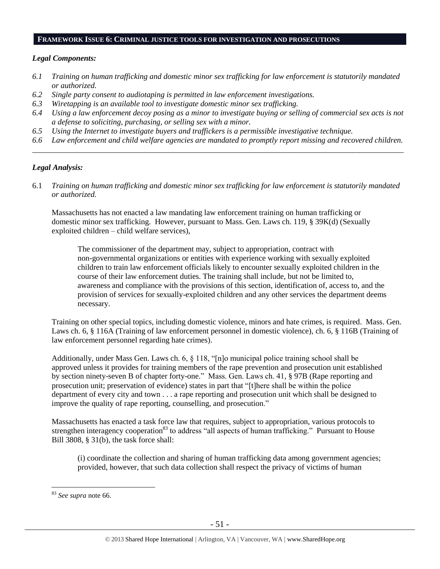## **FRAMEWORK ISSUE 6: CRIMINAL JUSTICE TOOLS FOR INVESTIGATION AND PROSECUTIONS**

#### *Legal Components:*

- *6.1 Training on human trafficking and domestic minor sex trafficking for law enforcement is statutorily mandated or authorized.*
- *6.2 Single party consent to audiotaping is permitted in law enforcement investigations.*
- *6.3 Wiretapping is an available tool to investigate domestic minor sex trafficking.*
- *6.4 Using a law enforcement decoy posing as a minor to investigate buying or selling of commercial sex acts is not a defense to soliciting, purchasing, or selling sex with a minor.*
- *6.5 Using the Internet to investigate buyers and traffickers is a permissible investigative technique.*
- *6.6 Law enforcement and child welfare agencies are mandated to promptly report missing and recovered children. \_\_\_\_\_\_\_\_\_\_\_\_\_\_\_\_\_\_\_\_\_\_\_\_\_\_\_\_\_\_\_\_\_\_\_\_\_\_\_\_\_\_\_\_\_\_\_\_\_\_\_\_\_\_\_\_\_\_\_\_\_\_\_\_\_\_\_\_\_\_\_\_\_\_\_\_\_\_\_\_\_\_\_\_\_\_\_\_\_\_\_\_\_\_*

#### *Legal Analysis:*

6.1 *Training on human trafficking and domestic minor sex trafficking for law enforcement is statutorily mandated or authorized.*

Massachusetts has not enacted a law mandating law enforcement training on human trafficking or domestic minor sex trafficking. However, pursuant to Mass. Gen. Laws ch. 119, § 39K(d) (Sexually exploited children – child welfare services),

The commissioner of the department may, subject to appropriation, contract with non-governmental organizations or entities with experience working with sexually exploited children to train law enforcement officials likely to encounter sexually exploited children in the course of their law enforcement duties. The training shall include, but not be limited to, awareness and compliance with the provisions of this section, identification of, access to, and the provision of services for sexually-exploited children and any other services the department deems necessary.

Training on other special topics, including domestic violence, minors and hate crimes, is required. Mass. Gen. Laws ch. 6, § 116A (Training of law enforcement personnel in domestic violence), ch. 6, § 116B (Training of law enforcement personnel regarding hate crimes).

Additionally, under Mass Gen. Laws ch. 6, § 118, "[n]o municipal police training school shall be approved unless it provides for training members of the rape prevention and prosecution unit established by section ninety-seven B of chapter forty-one." Mass. Gen. Laws ch. 41, § 97B (Rape reporting and prosecution unit; preservation of evidence) states in part that "[t]here shall be within the police department of every city and town . . . a rape reporting and prosecution unit which shall be designed to improve the quality of rape reporting, counselling, and prosecution."

Massachusetts has enacted a task force law that requires, subject to appropriation, various protocols to strengthen interagency cooperation<sup>83</sup> to address "all aspects of human trafficking." Pursuant to House Bill 3808, § 31(b), the task force shall:

(i) coordinate the collection and sharing of human trafficking data among government agencies; provided, however, that such data collection shall respect the privacy of victims of human

<sup>83</sup> *See supra* note [66.](#page-35-0)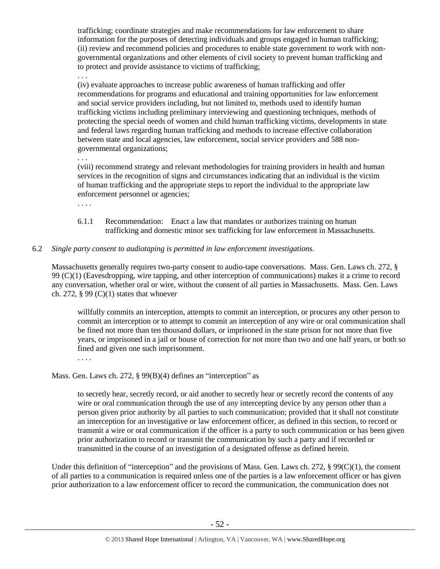trafficking; coordinate strategies and make recommendations for law enforcement to share information for the purposes of detecting individuals and groups engaged in human trafficking; (ii) review and recommend policies and procedures to enable state government to work with nongovernmental organizations and other elements of civil society to prevent human trafficking and to protect and provide assistance to victims of trafficking;

. . . (iv) evaluate approaches to increase public awareness of human trafficking and offer recommendations for programs and educational and training opportunities for law enforcement and social service providers including, but not limited to, methods used to identify human trafficking victims including preliminary interviewing and questioning techniques, methods of protecting the special needs of women and child human trafficking victims, developments in state and federal laws regarding human trafficking and methods to increase effective collaboration between state and local agencies, law enforcement, social service providers and 588 nongovernmental organizations;

. . .

(viii) recommend strategy and relevant methodologies for training providers in health and human services in the recognition of signs and circumstances indicating that an individual is the victim of human trafficking and the appropriate steps to report the individual to the appropriate law enforcement personnel or agencies;

. . . .

- 6.1.1 Recommendation: Enact a law that mandates or authorizes training on human trafficking and domestic minor sex trafficking for law enforcement in Massachusetts.
- 6.2 *Single party consent to audiotaping is permitted in law enforcement investigations.*

Massachusetts generally requires two-party consent to audio-tape conversations. Mass. Gen. Laws ch. 272, § 99 (C)(1) (Eavesdropping, wire tapping, and other interception of communications) makes it a crime to record any conversation, whether oral or wire, without the consent of all parties in Massachusetts. Mass. Gen. Laws ch. 272,  $\S 99 (C)(1)$  states that whoever

willfully commits an interception, attempts to commit an interception, or procures any other person to commit an interception or to attempt to commit an interception of any wire or oral communication shall be fined not more than ten thousand dollars, or imprisoned in the state prison for not more than five years, or imprisoned in a jail or house of correction for not more than two and one half years, or both so fined and given one such imprisonment.

. . . .

Mass. Gen. Laws ch. 272, § 99(B)(4) defines an "interception" as

to secretly hear, secretly record, or aid another to secretly hear or secretly record the contents of any wire or oral communication through the use of any intercepting device by any person other than a person given prior authority by all parties to such communication; provided that it shall not constitute an interception for an investigative or law enforcement officer, as defined in this section, to record or transmit a wire or oral communication if the officer is a party to such communication or has been given prior authorization to record or transmit the communication by such a party and if recorded or transmitted in the course of an investigation of a designated offense as defined herein.

Under this definition of "interception" and the provisions of Mass. Gen. Laws ch. 272,  $\S 99(C)(1)$ , the consent of all parties to a communication is required unless one of the parties is a law enforcement officer or has given prior authorization to a law enforcement officer to record the communication, the communication does not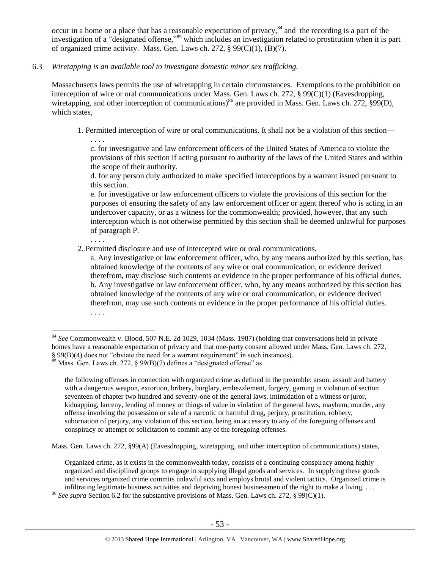<span id="page-52-0"></span>occur in a home or a place that has a reasonable expectation of privacy, $84$  and the recording is a part of the investigation of a "designated offense," <sup>85</sup> which includes an investigation related to prostitution when it is part of organized crime activity. Mass. Gen. Laws ch. 272,  $\S$  99(C)(1), (B)(7).

6.3 *Wiretapping is an available tool to investigate domestic minor sex trafficking.* 

. . . .

. . . .

 $\overline{a}$ 

Massachusetts laws permits the use of wiretapping in certain circumstances. Exemptions to the prohibition on interception of wire or oral communications under Mass. Gen. Laws ch. 272, § 99(C)(1) (Eavesdropping, wiretapping, and other interception of communications)<sup>86</sup> are provided in Mass. Gen. Laws ch. 272, §99(D), which states.

1. Permitted interception of wire or oral communications. It shall not be a violation of this section—

c. for investigative and law enforcement officers of the United States of America to violate the provisions of this section if acting pursuant to authority of the laws of the United States and within the scope of their authority.

d. for any person duly authorized to make specified interceptions by a warrant issued pursuant to this section.

e. for investigative or law enforcement officers to violate the provisions of this section for the purposes of ensuring the safety of any law enforcement officer or agent thereof who is acting in an undercover capacity, or as a witness for the commonwealth; provided, however, that any such interception which is not otherwise permitted by this section shall be deemed unlawful for purposes of paragraph P.

2. Permitted disclosure and use of intercepted wire or oral communications.

a. Any investigative or law enforcement officer, who, by any means authorized by this section, has obtained knowledge of the contents of any wire or oral communication, or evidence derived therefrom, may disclose such contents or evidence in the proper performance of his official duties. b. Any investigative or law enforcement officer, who, by any means authorized by this section has obtained knowledge of the contents of any wire or oral communication, or evidence derived therefrom, may use such contents or evidence in the proper performance of his official duties. . . . .

Mass. Gen. Laws ch. 272, §99(A) (Eavesdropping, wiretapping, and other interception of communications) states,

Organized crime, as it exists in the commonwealth today, consists of a continuing conspiracy among highly organized and disciplined groups to engage in supplying illegal goods and services. In supplying these goods and services organized crime commits unlawful acts and employs brutal and violent tactics. Organized crime is infiltrating legitimate business activities and depriving honest businessmen of the right to make a living. . . .

<sup>86</sup> *See supra* Section 6.2 for the substantive provisions of Mass. Gen. Laws ch. 272, § 99(C)(1).

<sup>84</sup> *See* Commonwealth v. Blood, 507 N.E. 2d 1029, 1034 (Mass. 1987) (holding that conversations held in private homes have a reasonable expectation of privacy and that one-party consent allowed under Mass. Gen. Laws ch. 272, § 99(B)(4) does not "obviate the need for a warrant requirement" in such instances). <sup>85</sup> Mass. Gen. Laws ch. 272, § 99(B)(7) defines a "designated offense" as

the following offenses in connection with organized crime as defined in the preamble: arson, assault and battery with a dangerous weapon, extortion, bribery, burglary, embezzlement, forgery, gaming in violation of section seventeen of chapter two hundred and seventy-one of the general laws, intimidation of a witness or juror, kidnapping, larceny, lending of money or things of value in violation of the general laws, mayhem, murder, any offense involving the possession or sale of a narcotic or harmful drug, perjury, prostitution, robbery, subornation of perjury, any violation of this section, being an accessory to any of the foregoing offenses and conspiracy or attempt or solicitation to commit any of the foregoing offenses.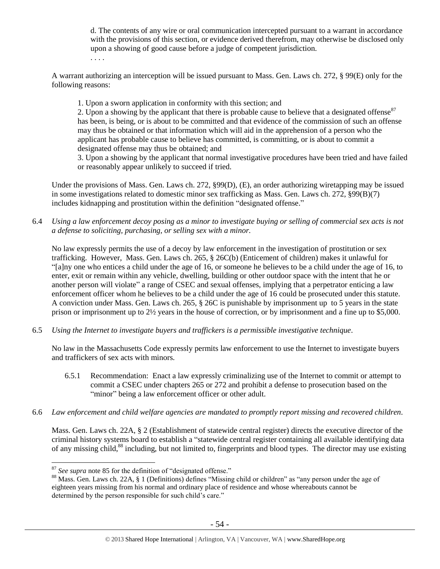d. The contents of any wire or oral communication intercepted pursuant to a warrant in accordance with the provisions of this section, or evidence derived therefrom, may otherwise be disclosed only upon a showing of good cause before a judge of competent jurisdiction.

. . . .

A warrant authorizing an interception will be issued pursuant to Mass. Gen. Laws ch. 272, § 99(E) only for the following reasons:

1. Upon a sworn application in conformity with this section; and

2. Upon a showing by the applicant that there is probable cause to believe that a designated offense<sup>87</sup> has been, is being, or is about to be committed and that evidence of the commission of such an offense may thus be obtained or that information which will aid in the apprehension of a person who the applicant has probable cause to believe has committed, is committing, or is about to commit a designated offense may thus be obtained; and

3. Upon a showing by the applicant that normal investigative procedures have been tried and have failed or reasonably appear unlikely to succeed if tried.

Under the provisions of Mass. Gen. Laws ch. 272, §99(D), (E), an order authorizing wiretapping may be issued in some investigations related to domestic minor sex trafficking as Mass. Gen. Laws ch. 272, §99(B)(7) includes kidnapping and prostitution within the definition "designated offense."

6.4 *Using a law enforcement decoy posing as a minor to investigate buying or selling of commercial sex acts is not a defense to soliciting, purchasing, or selling sex with a minor.*

No law expressly permits the use of a decoy by law enforcement in the investigation of prostitution or sex trafficking. However, Mass. Gen. Laws ch. 265, § 26C(b) (Enticement of children) makes it unlawful for "[a]ny one who entices a child under the age of 16, or someone he believes to be a child under the age of 16, to enter, exit or remain within any vehicle, dwelling, building or other outdoor space with the intent that he or another person will violate" a range of CSEC and sexual offenses, implying that a perpetrator enticing a law enforcement officer whom he believes to be a child under the age of 16 could be prosecuted under this statute. A conviction under Mass. Gen. Laws ch. 265, § 26C is punishable by imprisonment up to 5 years in the state prison or imprisonment up to 2½ years in the house of correction, or by imprisonment and a fine up to \$5,000.

6.5 *Using the Internet to investigate buyers and traffickers is a permissible investigative technique.*

No law in the Massachusetts Code expressly permits law enforcement to use the Internet to investigate buyers and traffickers of sex acts with minors.

- 6.5.1 Recommendation: Enact a law expressly criminalizing use of the Internet to commit or attempt to commit a CSEC under chapters 265 or 272 and prohibit a defense to prosecution based on the "minor" being a law enforcement officer or other adult.
- 6.6 *Law enforcement and child welfare agencies are mandated to promptly report missing and recovered children.*

Mass. Gen. Laws ch. 22A, § 2 (Establishment of statewide central register) directs the executive director of the criminal history systems board to establish a "statewide central register containing all available identifying data of any missing child,<sup>88</sup> including, but not limited to, fingerprints and blood types. The director may use existing

<sup>87</sup> *See supra* note [85](#page-52-0) for the definition of "designated offense."

<sup>&</sup>lt;sup>88</sup> Mass. Gen. Laws ch. 22A, § 1 (Definitions) defines "Missing child or children" as "any person under the age of eighteen years missing from his normal and ordinary place of residence and whose whereabouts cannot be determined by the person responsible for such child's care."